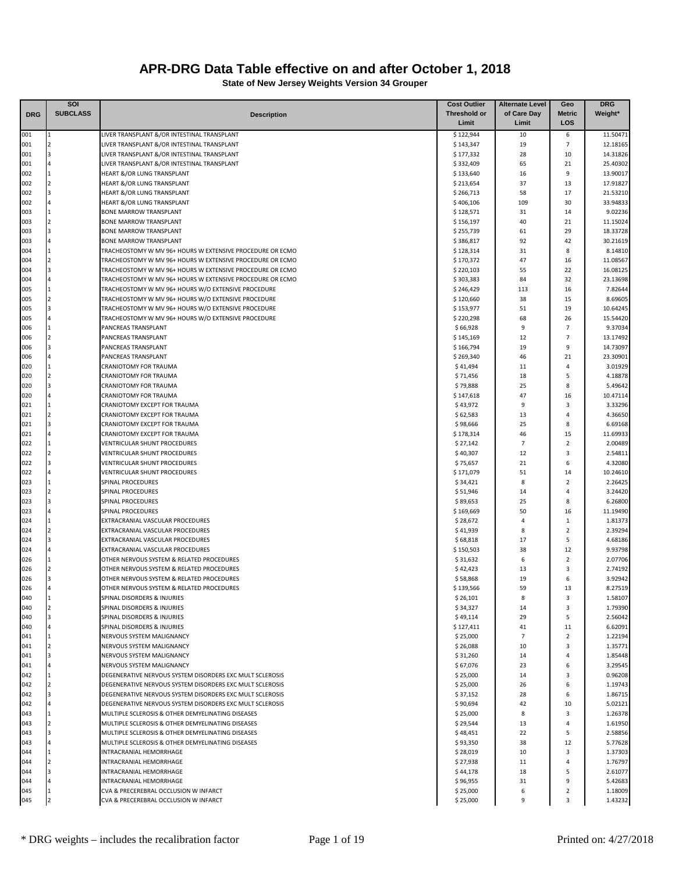|            | SOI                            |                                                                               | <b>Cost Outlier</b>    | <b>Alternate Level</b> | Geo                          | <b>DRG</b>           |
|------------|--------------------------------|-------------------------------------------------------------------------------|------------------------|------------------------|------------------------------|----------------------|
| <b>DRG</b> | <b>SUBCLASS</b>                | <b>Description</b>                                                            | <b>Threshold or</b>    | of Care Day            | <b>Metric</b>                | Weight*              |
|            |                                |                                                                               | Limit                  | Limit                  | LOS                          |                      |
| 001        |                                | LIVER TRANSPLANT &/OR INTESTINAL TRANSPLANT                                   | \$122,944              | 10                     | 6                            | 11.50471             |
| 001        | 2                              | LIVER TRANSPLANT &/OR INTESTINAL TRANSPLANT                                   | \$143,347              | 19                     | 7                            | 12.18165             |
| 001        | $\overline{3}$                 | LIVER TRANSPLANT &/OR INTESTINAL TRANSPLANT                                   | \$177,332              | 28                     | 10                           | 14.31826             |
| 001        | $\overline{4}$                 | LIVER TRANSPLANT &/OR INTESTINAL TRANSPLANT                                   | \$332,409              | 65                     | 21                           | 25.40302             |
| 002        | $\overline{2}$                 | <b>HEART &amp;/OR LUNG TRANSPLANT</b>                                         | \$133,640              | 16                     | 9                            | 13.90017             |
| 002<br>002 | $\overline{a}$                 | HEART &/OR LUNG TRANSPLANT                                                    | \$213,654              | 37<br>58               | 13<br>17                     | 17.91827             |
| 002        |                                | <b>HEART &amp;/OR LUNG TRANSPLANT</b><br>HEART &/OR LUNG TRANSPLANT           | \$266,713<br>\$406,106 | 109                    | 30                           | 21.53210<br>33.94833 |
| 003        | $\mathbf{1}$                   | <b>BONE MARROW TRANSPLANT</b>                                                 | \$128,571              | 31                     | 14                           | 9.02236              |
| 003        | $\overline{2}$                 | <b>BONE MARROW TRANSPLANT</b>                                                 | \$156,197              | 40                     | 21                           | 11.15024             |
| 003        | $\overline{3}$                 | <b>BONE MARROW TRANSPLANT</b>                                                 | \$255,739              | 61                     | 29                           | 18.33728             |
| 003        | $\overline{4}$                 | <b>BONE MARROW TRANSPLANT</b>                                                 | \$386,817              | 92                     | 42                           | 30.21619             |
| 004        |                                | TRACHEOSTOMY W MV 96+ HOURS W EXTENSIVE PROCEDURE OR ECMO                     | \$128,314              | 31                     | 8                            | 8.14810              |
| 004        | $\overline{2}$                 | TRACHEOSTOMY W MV 96+ HOURS W EXTENSIVE PROCEDURE OR ECMO                     | \$170,372              | 47                     | 16                           | 11.08567             |
| 004        | $\overline{3}$                 | TRACHEOSTOMY W MV 96+ HOURS W EXTENSIVE PROCEDURE OR ECMO                     | \$220,103              | 55                     | 22                           | 16.08125             |
| 004        |                                | TRACHEOSTOMY W MV 96+ HOURS W EXTENSIVE PROCEDURE OR ECMO                     | \$303,383              | 84                     | 32                           | 23.13698             |
| 005        |                                | TRACHEOSTOMY W MV 96+ HOURS W/O EXTENSIVE PROCEDURE                           | \$246,429              | 113                    | 16                           | 7.82644              |
| 005        | $\overline{2}$                 | TRACHEOSTOMY W MV 96+ HOURS W/O EXTENSIVE PROCEDURE                           | \$120,660              | 38                     | 15                           | 8.69605              |
| 005        |                                | TRACHEOSTOMY W MV 96+ HOURS W/O EXTENSIVE PROCEDURE                           | \$153,977              | 51                     | 19                           | 10.64245             |
| 005        |                                | TRACHEOSTOMY W MV 96+ HOURS W/O EXTENSIVE PROCEDURE                           | \$220,298              | 68                     | 26                           | 15.54420             |
| 006        |                                | PANCREAS TRANSPLANT                                                           | \$66,928               | 9                      | 7                            | 9.37034              |
| 006        | $\overline{2}$<br><sup>3</sup> | PANCREAS TRANSPLANT                                                           | \$145,169              | 12                     | 7                            | 13.17492             |
| 006        |                                | PANCREAS TRANSPLANT<br><b>PANCREAS TRANSPLANT</b>                             | \$166,794              | 19                     | 9                            | 14.73097             |
| 006<br>020 |                                | CRANIOTOMY FOR TRAUMA                                                         | \$269,340<br>\$41,494  | 46<br>11               | 21<br>4                      | 23.30901<br>3.01929  |
| 020        | $\overline{2}$                 | CRANIOTOMY FOR TRAUMA                                                         | \$71,456               | 18                     | 5                            | 4.18878              |
| 020        | $\overline{3}$                 | CRANIOTOMY FOR TRAUMA                                                         | \$79,888               | 25                     | 8                            | 5.49642              |
| 020        |                                | <b>CRANIOTOMY FOR TRAUMA</b>                                                  | \$147,618              | 47                     | 16                           | 10.47114             |
| 021        |                                | CRANIOTOMY EXCEPT FOR TRAUMA                                                  | \$43,972               | 9                      | 3                            | 3.33296              |
| 021        |                                | CRANIOTOMY EXCEPT FOR TRAUMA                                                  | \$62,583               | 13                     | 4                            | 4.36650              |
| 021        | $\overline{a}$                 | CRANIOTOMY EXCEPT FOR TRAUMA                                                  | \$98,666               | 25                     | 8                            | 6.69168              |
| 021        |                                | CRANIOTOMY EXCEPT FOR TRAUMA                                                  | \$178,314              | 46                     | 15                           | 11.69933             |
| 022        | $\overline{1}$                 | <b>VENTRICULAR SHUNT PROCEDURES</b>                                           | \$27,142               | 7                      | $\mathbf 2$                  | 2.00489              |
| 022        | $\overline{2}$                 | <b>VENTRICULAR SHUNT PROCEDURES</b>                                           | \$40,307               | 12                     | 3                            | 2.54811              |
| 022        | $\overline{3}$                 | <b>VENTRICULAR SHUNT PROCEDURES</b>                                           | \$75,657               | 21                     | 6                            | 4.32080              |
| 022        |                                | <b>VENTRICULAR SHUNT PROCEDURES</b>                                           | \$171,079              | 51                     | 14                           | 10.24610             |
| 023        | $\vert$ 1                      | SPINAL PROCEDURES                                                             | \$34,421               | 8                      | $\overline{2}$               | 2.26425              |
| 023        | $\overline{2}$                 | SPINAL PROCEDURES                                                             | \$51,946               | 14                     | 4                            | 3.24420              |
| 023        | $\overline{3}$                 | SPINAL PROCEDURES                                                             | \$89,653               | 25                     | 8                            | 6.26800              |
| 023        |                                | <b>SPINAL PROCEDURES</b>                                                      | \$169,669              | 50                     | 16                           | 11.19490             |
| 024        |                                | EXTRACRANIAL VASCULAR PROCEDURES                                              | \$28,672               | $\overline{4}$         | $\mathbf{1}$                 | 1.81373              |
| 024        | $\overline{2}$                 | EXTRACRANIAL VASCULAR PROCEDURES                                              | \$41,939               | 8                      | $\overline{2}$               | 2.39294              |
| 024        | $\overline{3}$                 | EXTRACRANIAL VASCULAR PROCEDURES                                              | \$68,818               | 17                     | 5                            | 4.68186              |
| 024        | 1                              | EXTRACRANIAL VASCULAR PROCEDURES<br>OTHER NERVOUS SYSTEM & RELATED PROCEDURES | \$150,503              | 38                     | 12                           | 9.93798              |
| 026<br>026 |                                | OTHER NERVOUS SYSTEM & RELATED PROCEDURES                                     | \$31,632               | 6                      | $\overline{\mathbf{2}}$<br>3 | 2.07706<br>2.74192   |
| 026        |                                | OTHER NERVOUS SYSTEM & RELATED PROCEDURES                                     | \$42,423<br>\$58,868   | 13<br>19               | 6                            | 3.92942              |
| 026        |                                | OTHER NERVOUS SYSTEM & RELATED PROCEDURES                                     | \$139.566              | 59                     | 13                           | 8.27519              |
| 040        | 11                             | SPINAL DISORDERS & INJURIES                                                   | \$26,101               | 8                      | 3                            | 1.58107              |
| 040        | $\overline{2}$                 | SPINAL DISORDERS & INJURIES                                                   | \$34,327               | 14                     | 3                            | 1.79390              |
| 040        | $\overline{3}$                 | SPINAL DISORDERS & INJURIES                                                   | \$49,114               | 29                     | 5                            | 2.56042              |
| 040        | $\overline{4}$                 | SPINAL DISORDERS & INJURIES                                                   | \$127,411              | 41                     | 11                           | 6.62091              |
| 041        | 1                              | NERVOUS SYSTEM MALIGNANCY                                                     | \$25,000               | 7                      | $\overline{2}$               | 1.22194              |
| 041        | $\overline{2}$                 | NERVOUS SYSTEM MALIGNANCY                                                     | \$26,088               | 10                     | 3                            | 1.35771              |
| 041        | $\overline{3}$                 | NERVOUS SYSTEM MALIGNANCY                                                     | \$31,260               | 14                     | 4                            | 1.85448              |
| 041        |                                | NERVOUS SYSTEM MALIGNANCY                                                     | \$67,076               | 23                     | 6                            | 3.29545              |
| 042        |                                | DEGENERATIVE NERVOUS SYSTEM DISORDERS EXC MULT SCLEROSIS                      | \$25,000               | 14                     | 3                            | 0.96208              |
| 042        | $\overline{2}$                 | DEGENERATIVE NERVOUS SYSTEM DISORDERS EXC MULT SCLEROSIS                      | \$25,000               | 26                     | 6                            | 1.19743              |
| 042        | 3                              | DEGENERATIVE NERVOUS SYSTEM DISORDERS EXC MULT SCLEROSIS                      | \$37,152               | 28                     | 6                            | 1.86715              |
| 042        |                                | DEGENERATIVE NERVOUS SYSTEM DISORDERS EXC MULT SCLEROSIS                      | \$90,694               | 42                     | 10                           | 5.02121              |
| 043        | $\mathbf{1}$                   | MULTIPLE SCLEROSIS & OTHER DEMYELINATING DISEASES                             | \$25,000               | 8                      | 3                            | 1.26378              |
| 043        | $\overline{2}$                 | MULTIPLE SCLEROSIS & OTHER DEMYELINATING DISEASES                             | \$29,544               | 13                     | 4                            | 1.61950              |
| 043        | 3                              | MULTIPLE SCLEROSIS & OTHER DEMYELINATING DISEASES                             | \$48,451               | 22                     | 5                            | 2.58856              |
| 043        | 1                              | MULTIPLE SCLEROSIS & OTHER DEMYELINATING DISEASES                             | \$93,350               | 38<br>10               | 12<br>3                      | 5.77628              |
| 044<br>044 | $\overline{2}$                 | INTRACRANIAL HEMORRHAGE<br>INTRACRANIAL HEMORRHAGE                            | \$28,019               | 11                     | 4                            | 1.37303<br>1.76797   |
| 044        |                                | INTRACRANIAL HEMORRHAGE                                                       | \$27,938<br>\$44,178   | 18                     | 5                            | 2.61077              |
| 044        |                                | INTRACRANIAL HEMORRHAGE                                                       | \$96,955               | 31                     | 9                            | 5.42683              |
| 045        |                                | CVA & PRECEREBRAL OCCLUSION W INFARCT                                         | \$25,000               | 6                      | $\overline{2}$               | 1.18009              |
| 045        |                                | CVA & PRECEREBRAL OCCLUSION W INFARCT                                         | \$25,000               | 9                      | 3                            | 1.43232              |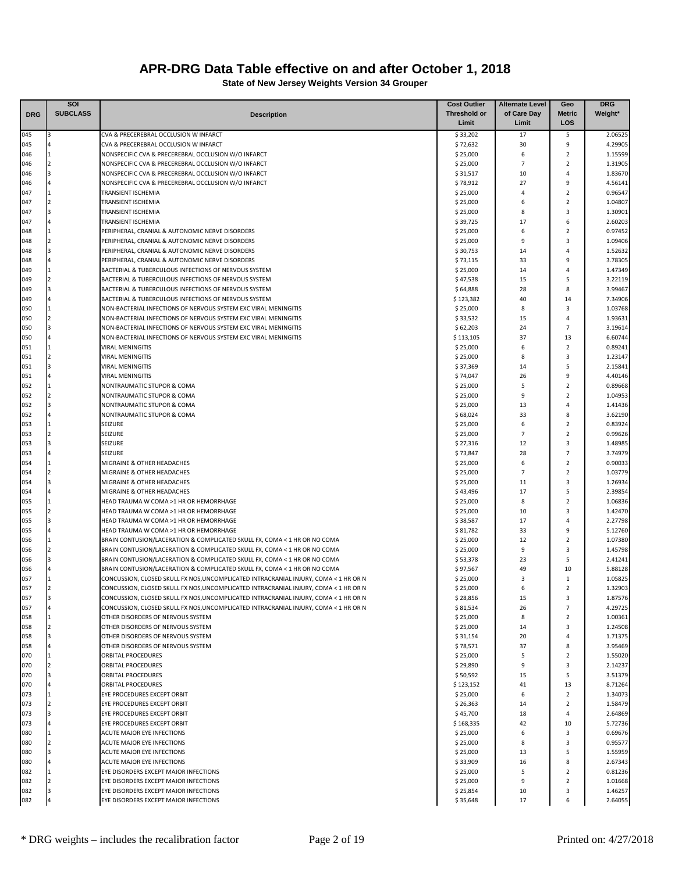|            | SOI                              |                                                                                                                                                        | <b>Cost Outlier</b>   | <b>Alternate Level</b> | Geo                              | <b>DRG</b>         |
|------------|----------------------------------|--------------------------------------------------------------------------------------------------------------------------------------------------------|-----------------------|------------------------|----------------------------------|--------------------|
| <b>DRG</b> | <b>SUBCLASS</b>                  | <b>Description</b>                                                                                                                                     | <b>Threshold or</b>   | of Care Day            | <b>Metric</b>                    | Weight*            |
|            |                                  |                                                                                                                                                        | Limit                 | Limit                  | LOS                              |                    |
| 045        |                                  | CVA & PRECEREBRAL OCCLUSION W INFARCT                                                                                                                  | \$33,202              | 17                     | 5                                | 2.06525            |
| 045        |                                  | CVA & PRECEREBRAL OCCLUSION W INFARCT                                                                                                                  | \$72,632              | 30                     | 9                                | 4.29905            |
| 046<br>046 | $\overline{1}$<br>$\overline{2}$ | NONSPECIFIC CVA & PRECEREBRAL OCCLUSION W/O INFARCT<br>NONSPECIFIC CVA & PRECEREBRAL OCCLUSION W/O INFARCT                                             | \$25,000<br>\$25,000  | 6<br>$\overline{7}$    | $\overline{2}$<br>$\overline{2}$ | 1.15599<br>1.31905 |
| 046        | $\overline{3}$                   | NONSPECIFIC CVA & PRECEREBRAL OCCLUSION W/O INFARCT                                                                                                    | \$31,517              | 10                     | 4                                | 1.83670            |
| 046        |                                  | NONSPECIFIC CVA & PRECEREBRAL OCCLUSION W/O INFARCT                                                                                                    | \$78,912              | 27                     | 9                                | 4.56141            |
| 047        | $\overline{1}$                   | <b>TRANSIENT ISCHEMIA</b>                                                                                                                              | \$25,000              | $\overline{4}$         | $\overline{2}$                   | 0.96547            |
| 047        | 12                               | <b>TRANSIENT ISCHEMIA</b>                                                                                                                              | \$25,000              | 6                      | $\overline{2}$                   | 1.04807            |
| 047        | $\overline{3}$                   | <b>TRANSIENT ISCHEMIA</b>                                                                                                                              | \$25,000              | 8                      | 3                                | 1.30901            |
| 047        |                                  | <b>TRANSIENT ISCHEMIA</b>                                                                                                                              | \$39,725              | 17                     | 6                                | 2.60203            |
| 048        | $\overline{1}$                   | PERIPHERAL, CRANIAL & AUTONOMIC NERVE DISORDERS                                                                                                        | \$25,000              | 6                      | $\overline{2}$                   | 0.97452            |
| 048        | $\overline{2}$                   | PERIPHERAL, CRANIAL & AUTONOMIC NERVE DISORDERS                                                                                                        | \$25,000              | 9                      | 3                                | 1.09406            |
| 048        | $\overline{3}$                   | PERIPHERAL, CRANIAL & AUTONOMIC NERVE DISORDERS                                                                                                        | \$30,753              | 14                     | 4                                | 1.52632            |
| 048        |                                  | PERIPHERAL, CRANIAL & AUTONOMIC NERVE DISORDERS                                                                                                        | \$73,115              | 33                     | 9                                | 3.78305            |
| 049        | $\overline{1}$<br>$\overline{2}$ | BACTERIAL & TUBERCULOUS INFECTIONS OF NERVOUS SYSTEM                                                                                                   | \$25,000              | 14                     | 4                                | 1.47349            |
| 049<br>049 |                                  | BACTERIAL & TUBERCULOUS INFECTIONS OF NERVOUS SYSTEM<br>BACTERIAL & TUBERCULOUS INFECTIONS OF NERVOUS SYSTEM                                           | \$47,538<br>\$64,888  | 15<br>28               | 5<br>8                           | 3.22119<br>3.99467 |
| 049        |                                  | BACTERIAL & TUBERCULOUS INFECTIONS OF NERVOUS SYSTEM                                                                                                   | \$123,382             | 40                     | 14                               | 7.34906            |
| 050        |                                  | NON-BACTERIAL INFECTIONS OF NERVOUS SYSTEM EXC VIRAL MENINGITIS                                                                                        | \$25,000              | 8                      | 3                                | 1.03768            |
| 050        | $\overline{2}$                   | NON-BACTERIAL INFECTIONS OF NERVOUS SYSTEM EXC VIRAL MENINGITIS                                                                                        | \$33,532              | 15                     | 4                                | 1.93631            |
| 050        |                                  | NON-BACTERIAL INFECTIONS OF NERVOUS SYSTEM EXC VIRAL MENINGITIS                                                                                        | \$62,203              | 24                     | $\overline{7}$                   | 3.19614            |
| 050        |                                  | NON-BACTERIAL INFECTIONS OF NERVOUS SYSTEM EXC VIRAL MENINGITIS                                                                                        | \$113,105             | 37                     | 13                               | 6.60744            |
| 051        | $\overline{1}$                   | <b>VIRAL MENINGITIS</b>                                                                                                                                | \$25,000              | 6                      | $\overline{2}$                   | 0.89241            |
| 051        | $\overline{2}$                   | <b>VIRAL MENINGITIS</b>                                                                                                                                | \$25,000              | 8                      | 3                                | 1.23147            |
| 051        | $\overline{3}$                   | <b>VIRAL MENINGITIS</b>                                                                                                                                | \$37,369              | 14                     | 5                                | 2.15841            |
| 051        |                                  | <b>VIRAL MENINGITIS</b>                                                                                                                                | \$74,047              | 26                     | 9                                | 4.40146            |
| 052        | 1                                | NONTRAUMATIC STUPOR & COMA                                                                                                                             | \$25,000              | 5                      | $\overline{2}$                   | 0.89668            |
| 052        | $\overline{2}$                   | NONTRAUMATIC STUPOR & COMA                                                                                                                             | \$25,000              | 9                      | $\overline{2}$                   | 1.04953            |
| 052        |                                  | NONTRAUMATIC STUPOR & COMA<br>NONTRAUMATIC STUPOR & COMA                                                                                               | \$25,000              | 13<br>33               | 4<br>8                           | 1.41436            |
| 052<br>053 |                                  | <b>SEIZURE</b>                                                                                                                                         | \$68,024<br>\$25,000  | 6                      | $\overline{2}$                   | 3.62190<br>0.83924 |
| 053        |                                  | SEIZURE                                                                                                                                                | \$25,000              | $\overline{7}$         | $\overline{2}$                   | 0.99626            |
| 053        | $\overline{a}$                   | <b>SEIZURE</b>                                                                                                                                         | \$27,316              | 12                     | 3                                | 1.48985            |
| 053        |                                  | <b>SEIZURE</b>                                                                                                                                         | \$73,847              | 28                     | $\overline{7}$                   | 3.74979            |
| 054        | $\overline{1}$                   | MIGRAINE & OTHER HEADACHES                                                                                                                             | \$25,000              | 6                      | $\overline{2}$                   | 0.90033            |
| 054        | $\overline{2}$                   | MIGRAINE & OTHER HEADACHES                                                                                                                             | \$25,000              | $\overline{7}$         | $\overline{2}$                   | 1.03779            |
| 054        | $\overline{3}$                   | MIGRAINE & OTHER HEADACHES                                                                                                                             | \$25,000              | 11                     | 3                                | 1.26934            |
| 054        | $\overline{4}$                   | MIGRAINE & OTHER HEADACHES                                                                                                                             | \$43,496              | 17                     | 5                                | 2.39854            |
| 055        | 1                                | HEAD TRAUMA W COMA >1 HR OR HEMORRHAGE                                                                                                                 | \$25,000              | 8                      | $\overline{2}$                   | 1.06836            |
| 055        | $\overline{2}$                   | HEAD TRAUMA W COMA >1 HR OR HEMORRHAGE                                                                                                                 | \$25,000              | 10                     | 3                                | 1.42470            |
| 055        | $\overline{3}$                   | HEAD TRAUMA W COMA >1 HR OR HEMORRHAGE                                                                                                                 | \$38,587              | 17                     | 4                                | 2.27798            |
| 055        |                                  | HEAD TRAUMA W COMA >1 HR OR HEMORRHAGE                                                                                                                 | \$81,782              | 33                     | 9                                | 5.12760            |
| 056        |                                  | BRAIN CONTUSION/LACERATION & COMPLICATED SKULL FX, COMA < 1 HR OR NO COMA                                                                              | \$25,000              | 12<br>9                | $\overline{2}$<br>3              | 1.07380            |
| 056<br>056 |                                  | BRAIN CONTUSION/LACERATION & COMPLICATED SKULL FX, COMA < 1 HR OR NO COMA<br>BRAIN CONTUSION/LACERATION & COMPLICATED SKULL FX, COMA < 1 HR OR NO COMA | \$25,000<br>\$53,378  | 23                     | 5                                | 1.45798<br>2.41241 |
| 056        |                                  | BRAIN CONTUSION/LACERATION & COMPLICATED SKULL FX, COMA < 1 HR OR NO COMA                                                                              | \$97,567              | 49                     | 10                               | 5.88128            |
| 057        |                                  | CONCUSSION, CLOSED SKULL FX NOS, UNCOMPLICATED INTRACRANIAL INJURY, COMA < 1 HR OR N                                                                   | \$25,000              | 3                      | $\mathbf{1}$                     | 1.05825            |
| 057        |                                  | CONCUSSION, CLOSED SKULL FX NOS, UNCOMPLICATED INTRACRANIAL INJURY, COMA < 1 HR OR N                                                                   | \$25,000              | 6                      | $\overline{2}$                   | 1.32903            |
| 057        | 3                                | CONCUSSION, CLOSED SKULL FX NOS, UNCOMPLICATED INTRACRANIAL INJURY, COMA < 1 HR OR N                                                                   | \$28,856              | 15                     | 3                                | 1.87576            |
| 057        | $\overline{a}$                   | CONCUSSION, CLOSED SKULL FX NOS, UNCOMPLICATED INTRACRANIAL INJURY, COMA < 1 HR OR N                                                                   | \$81,534              | 26                     | $\overline{7}$                   | 4.29725            |
| 058        | 1                                | OTHER DISORDERS OF NERVOUS SYSTEM                                                                                                                      | \$25,000              | 8                      | $\overline{2}$                   | 1.00361            |
| 058        | $\overline{2}$                   | OTHER DISORDERS OF NERVOUS SYSTEM                                                                                                                      | \$25,000              | 14                     | 3                                | 1.24508            |
| 058        | $\overline{3}$                   | OTHER DISORDERS OF NERVOUS SYSTEM                                                                                                                      | \$31,154              | 20                     | 4                                | 1.71375            |
| 058        |                                  | OTHER DISORDERS OF NERVOUS SYSTEM                                                                                                                      | \$78,571              | 37                     | 8                                | 3.95469            |
| 070        |                                  | <b>ORBITAL PROCEDURES</b>                                                                                                                              | \$25,000              | 5                      | $\overline{2}$                   | 1.55020            |
| 070        |                                  | <b>ORBITAL PROCEDURES</b>                                                                                                                              | \$29,890              | 9                      | 3                                | 2.14237            |
| 070        |                                  | <b>ORBITAL PROCEDURES</b>                                                                                                                              | \$50,592              | 15                     | 5                                | 3.51379            |
| 070<br>073 | $\mathbf{1}$                     | <b>ORBITAL PROCEDURES</b><br>EYE PROCEDURES EXCEPT ORBIT                                                                                               | \$123,152<br>\$25,000 | 41<br>6                | 13<br>$\overline{2}$             | 8.71264<br>1.34073 |
| 073        | $\overline{2}$                   | EYE PROCEDURES EXCEPT ORBIT                                                                                                                            | \$26,363              | 14                     | $\overline{2}$                   | 1.58479            |
| 073        | 3                                | EYE PROCEDURES EXCEPT ORBIT                                                                                                                            | \$45,700              | 18                     | 4                                | 2.64869            |
| 073        |                                  | EYE PROCEDURES EXCEPT ORBIT                                                                                                                            | \$168,335             | 42                     | 10                               | 5.72736            |
| 080        | 1                                | ACUTE MAJOR EYE INFECTIONS                                                                                                                             | \$25,000              | 6                      | 3                                | 0.69676            |
| 080        | $\overline{2}$                   | ACUTE MAJOR EYE INFECTIONS                                                                                                                             | \$25,000              | 8                      | 3                                | 0.95577            |
| 080        | 3                                | ACUTE MAJOR EYE INFECTIONS                                                                                                                             | \$25,000              | 13                     | 5                                | 1.55959            |
| 080        |                                  | ACUTE MAJOR EYE INFECTIONS                                                                                                                             | \$33,909              | 16                     | 8                                | 2.67343            |
| 082        |                                  | EYE DISORDERS EXCEPT MAJOR INFECTIONS                                                                                                                  | \$25,000              | 5                      | $\overline{2}$                   | 0.81236            |
| 082        |                                  | EYE DISORDERS EXCEPT MAJOR INFECTIONS                                                                                                                  | \$25,000              | 9                      | $\overline{2}$                   | 1.01668            |
| 082        |                                  | EYE DISORDERS EXCEPT MAJOR INFECTIONS                                                                                                                  | \$25,854              | 10                     | 3                                | 1.46257            |
| 082        |                                  | EYE DISORDERS EXCEPT MAJOR INFECTIONS                                                                                                                  | \$35,648              | 17                     | 6                                | 2.64055            |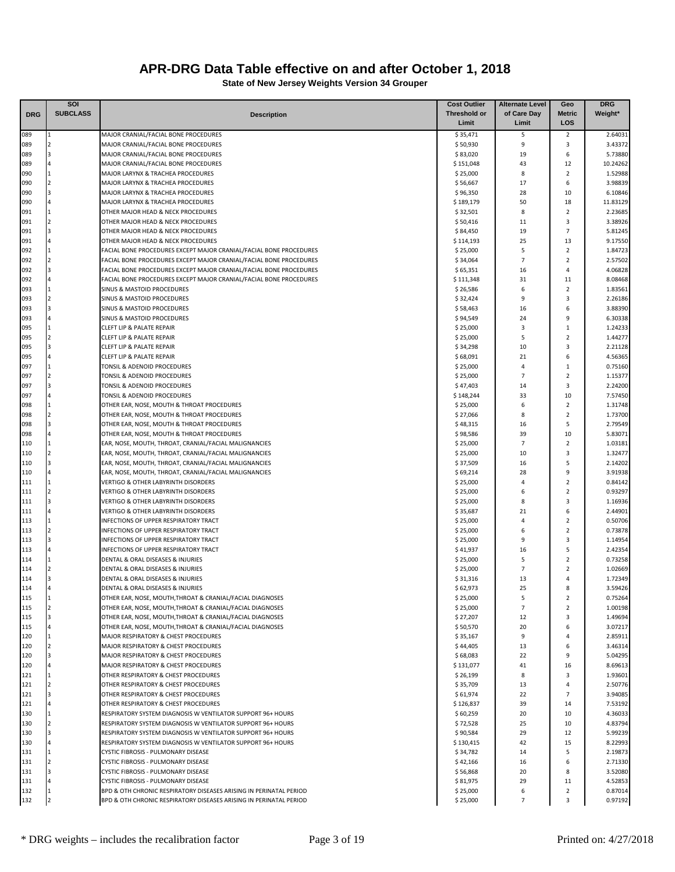|            | SOI             |                                                                                                                            | <b>Cost Outlier</b>   | <b>Alternate Level</b> | Geo                              | <b>DRG</b>          |
|------------|-----------------|----------------------------------------------------------------------------------------------------------------------------|-----------------------|------------------------|----------------------------------|---------------------|
| <b>DRG</b> | <b>SUBCLASS</b> | <b>Description</b>                                                                                                         | <b>Threshold or</b>   | of Care Day            | <b>Metric</b>                    | Weight*             |
|            |                 |                                                                                                                            | Limit                 | Limit                  | LOS                              |                     |
| 089        | l 1             | MAJOR CRANIAL/FACIAL BONE PROCEDURES                                                                                       | \$35,471              | 5                      | 2                                | 2.64031             |
| 089        | $\overline{2}$  | MAJOR CRANIAL/FACIAL BONE PROCEDURES                                                                                       | \$50,930              | 9                      | 3                                | 3.43372             |
| 089<br>089 | 3               | MAJOR CRANIAL/FACIAL BONE PROCEDURES<br>MAJOR CRANIAL/FACIAL BONE PROCEDURES                                               | \$83,020<br>\$151,048 | 19<br>43               | 6<br>12                          | 5.73880<br>10.24262 |
| 090        |                 | MAJOR LARYNX & TRACHEA PROCEDURES                                                                                          | \$25,000              | 8                      | $\overline{2}$                   | 1.52988             |
| 090        |                 | MAJOR LARYNX & TRACHEA PROCEDURES                                                                                          | \$56,667              | 17                     | 6                                | 3.98839             |
| 090        | 3               | MAJOR LARYNX & TRACHEA PROCEDURES                                                                                          | \$96,350              | 28                     | 10                               | 6.10846             |
| 090        |                 | MAJOR LARYNX & TRACHEA PROCEDURES                                                                                          | \$189,179             | 50                     | 18                               | 11.83129            |
| 091        | <b>11</b>       | OTHER MAJOR HEAD & NECK PROCEDURES                                                                                         | \$32,501              | 8                      | $\overline{2}$                   | 2.23685             |
| 091        |                 | OTHER MAJOR HEAD & NECK PROCEDURES                                                                                         | \$50,416              | 11                     | 3                                | 3.38926             |
| 091        |                 | OTHER MAJOR HEAD & NECK PROCEDURES                                                                                         | \$84,450              | 19                     | $\overline{7}$                   | 5.81245             |
| 091        |                 | OTHER MAJOR HEAD & NECK PROCEDURES                                                                                         | \$114,193             | 25                     | 13                               | 9.17550             |
| 092        | l 1             | FACIAL BONE PROCEDURES EXCEPT MAJOR CRANIAL/FACIAL BONE PROCEDURES                                                         | \$25,000              | 5                      | $\overline{2}$                   | 1.84723             |
| 092        | $\overline{2}$  | FACIAL BONE PROCEDURES EXCEPT MAJOR CRANIAL/FACIAL BONE PROCEDURES                                                         | \$34,064              | $\overline{7}$         | $\overline{2}$                   | 2.57502             |
| 092        |                 | FACIAL BONE PROCEDURES EXCEPT MAJOR CRANIAL/FACIAL BONE PROCEDURES                                                         | \$65,351              | 16                     | 4                                | 4.06828             |
| 092<br>093 |                 | FACIAL BONE PROCEDURES EXCEPT MAJOR CRANIAL/FACIAL BONE PROCEDURES<br>SINUS & MASTOID PROCEDURES                           | \$111,348<br>\$26,586 | 31<br>6                | 11<br>$\overline{2}$             | 8.08468<br>1.83561  |
| 093        |                 | SINUS & MASTOID PROCEDURES                                                                                                 | \$32,424              | 9                      | 3                                | 2.26186             |
| 093        |                 | SINUS & MASTOID PROCEDURES                                                                                                 | \$58,463              | 16                     | 6                                | 3.88390             |
| 093        |                 | SINUS & MASTOID PROCEDURES                                                                                                 | \$94,549              | 24                     | 9                                | 6.30338             |
| 095        | 11              | <b>CLEFT LIP &amp; PALATE REPAIR</b>                                                                                       | \$25,000              | 3                      | 1                                | 1.24233             |
| 095        | $\overline{2}$  | <b>CLEFT LIP &amp; PALATE REPAIR</b>                                                                                       | \$25,000              | 5                      | $\overline{2}$                   | 1.44277             |
| 095        |                 | <b>CLEFT LIP &amp; PALATE REPAIR</b>                                                                                       | \$34,298              | 10                     | 3                                | 2.21128             |
| 095        |                 | <b>CLEFT LIP &amp; PALATE REPAIR</b>                                                                                       | \$68,091              | 21                     | 6                                | 4.56365             |
| 097        |                 | TONSIL & ADENOID PROCEDURES                                                                                                | \$25,000              | 4                      | 1                                | 0.75160             |
| 097        | 12              | TONSIL & ADENOID PROCEDURES                                                                                                | \$25,000              | $\overline{7}$         | $\overline{2}$                   | 1.15377             |
| 097        |                 | TONSIL & ADENOID PROCEDURES                                                                                                | \$47,403              | 14                     | 3                                | 2.24200             |
| 097        |                 | TONSIL & ADENOID PROCEDURES                                                                                                | \$148,244             | 33                     | 10                               | 7.57450             |
| 098        |                 | OTHER EAR, NOSE, MOUTH & THROAT PROCEDURES                                                                                 | \$25,000              | 6                      | $\overline{2}$                   | 1.31748             |
| 098        |                 | OTHER EAR, NOSE, MOUTH & THROAT PROCEDURES                                                                                 | \$27,066              | 8                      | $\overline{2}$<br>5              | 1.73700             |
| 098<br>098 |                 | OTHER EAR, NOSE, MOUTH & THROAT PROCEDURES<br>OTHER EAR, NOSE, MOUTH & THROAT PROCEDURES                                   | \$48,315<br>\$98,586  | 16<br>39               | 10                               | 2.79549<br>5.83071  |
| 110        | <b>11</b>       | EAR, NOSE, MOUTH, THROAT, CRANIAL/FACIAL MALIGNANCIES                                                                      | \$25,000              | $\overline{7}$         | $\overline{2}$                   | 1.03181             |
| 110        |                 | EAR, NOSE, MOUTH, THROAT, CRANIAL/FACIAL MALIGNANCIES                                                                      | \$25,000              | 10                     | 3                                | 1.32477             |
| 110        | l 3             | EAR, NOSE, MOUTH, THROAT, CRANIAL/FACIAL MALIGNANCIES                                                                      | \$37,509              | 16                     | 5                                | 2.14202             |
| 110        |                 | EAR, NOSE, MOUTH, THROAT, CRANIAL/FACIAL MALIGNANCIES                                                                      | \$69,214              | 28                     | 9                                | 3.91938             |
| 111        | 1               | VERTIGO & OTHER LABYRINTH DISORDERS                                                                                        | \$25,000              | 4                      | $\overline{2}$                   | 0.84142             |
| 111        |                 | VERTIGO & OTHER LABYRINTH DISORDERS                                                                                        | \$25,000              | 6                      | $\overline{2}$                   | 0.93297             |
| 111        | 3               | VERTIGO & OTHER LABYRINTH DISORDERS                                                                                        | \$25,000              | 8                      | 3                                | 1.16936             |
| 111        |                 | VERTIGO & OTHER LABYRINTH DISORDERS                                                                                        | \$35,687              | 21                     | 6                                | 2.44901             |
| 113        |                 | INFECTIONS OF UPPER RESPIRATORY TRACT                                                                                      | \$25,000              | $\overline{4}$         | $\overline{2}$                   | 0.50706             |
| 113        |                 | INFECTIONS OF UPPER RESPIRATORY TRACT                                                                                      | \$25,000              | 6                      | $\overline{2}$                   | 0.73878             |
| 113        |                 | INFECTIONS OF UPPER RESPIRATORY TRACT                                                                                      | \$25,000              | 9                      | $\overline{\mathbf{3}}$          | 1.14954             |
| 113        | 11              | INFECTIONS OF UPPER RESPIRATORY TRACT                                                                                      | \$41,937              | 16                     | 5                                | 2.42354             |
| 114        |                 | DENTAL & ORAL DISEASES & INJURIES                                                                                          | \$25,000              | 5<br>$\overline{7}$    | $\overline{2}$<br>$\overline{2}$ | 0.73258             |
| 114<br>114 | I٩              | DENTAL & ORAL DISEASES & INJURIES<br>DENTAL & ORAL DISEASES & INJURIES                                                     | \$25,000<br>\$31,316  | 13                     | 4                                | 1.02669<br>1.72349  |
| 114        |                 | <b>DENTAL &amp; ORAL DISEASES &amp; INJURIES</b>                                                                           | \$62,973              | 25                     | 8                                | 3.59426             |
| 115        | $\mathbf{I}$    | OTHER EAR, NOSE, MOUTH, THROAT & CRANIAL/FACIAL DIAGNOSES                                                                  | \$25,000              | 5                      | 2                                | 0.75264             |
| 115        | <b>2</b>        | OTHER EAR, NOSE, MOUTH, THROAT & CRANIAL/FACIAL DIAGNOSES                                                                  | \$25,000              | $\overline{7}$         | $\overline{2}$                   | 1.00198             |
| 115        | 13              | OTHER EAR, NOSE, MOUTH, THROAT & CRANIAL/FACIAL DIAGNOSES                                                                  | \$27,207              | 12                     | 3                                | 1.49694             |
| 115        | $\overline{a}$  | OTHER EAR, NOSE, MOUTH, THROAT & CRANIAL/FACIAL DIAGNOSES                                                                  | \$50,570              | 20                     | 6                                | 3.07217             |
| 120        | l 1             | MAJOR RESPIRATORY & CHEST PROCEDURES                                                                                       | \$35,167              | 9                      | 4                                | 2.85911             |
| 120        |                 | MAJOR RESPIRATORY & CHEST PROCEDURES                                                                                       | \$44,405              | 13                     | 6                                | 3.46314             |
| 120        |                 | MAJOR RESPIRATORY & CHEST PROCEDURES                                                                                       | \$68,083              | 22                     | 9                                | 5.04295             |
| 120        |                 | MAJOR RESPIRATORY & CHEST PROCEDURES                                                                                       | \$131,077             | 41                     | 16                               | 8.69613             |
| 121        |                 | OTHER RESPIRATORY & CHEST PROCEDURES                                                                                       | \$26,199              | 8                      | 3                                | 1.93601             |
| 121        | <b>2</b>        | OTHER RESPIRATORY & CHEST PROCEDURES                                                                                       | \$35,709              | 13                     | 4                                | 2.50776             |
| 121        | 3               | OTHER RESPIRATORY & CHEST PROCEDURES                                                                                       | \$61,974              | 22                     | $\overline{7}$                   | 3.94085             |
| 121        | 1               | OTHER RESPIRATORY & CHEST PROCEDURES                                                                                       | \$126,837             | 39<br>20               | 14<br>10                         | 7.53192             |
| 130<br>130 | 2               | RESPIRATORY SYSTEM DIAGNOSIS W VENTILATOR SUPPORT 96+ HOURS<br>RESPIRATORY SYSTEM DIAGNOSIS W VENTILATOR SUPPORT 96+ HOURS | \$60,259<br>\$72,528  | 25                     | 10                               | 4.36033<br>4.83794  |
| 130        |                 | RESPIRATORY SYSTEM DIAGNOSIS W VENTILATOR SUPPORT 96+ HOURS                                                                | \$90,584              | 29                     | 12                               | 5.99239             |
| 130        | 4               | RESPIRATORY SYSTEM DIAGNOSIS W VENTILATOR SUPPORT 96+ HOURS                                                                | \$130,415             | 42                     | 15                               | 8.22993             |
| 131        |                 | CYSTIC FIBROSIS - PULMONARY DISEASE                                                                                        | \$34,782              | 14                     | 5                                | 2.19873             |
| 131        |                 | CYSTIC FIBROSIS - PULMONARY DISEASE                                                                                        | \$42,166              | 16                     | 6                                | 2.71330             |
| 131        |                 | CYSTIC FIBROSIS - PULMONARY DISEASE                                                                                        | \$56,868              | 20                     | 8                                | 3.52080             |
| 131        |                 | CYSTIC FIBROSIS - PULMONARY DISEASE                                                                                        | \$81,975              | 29                     | 11                               | 4.52853             |
| 132        |                 | BPD & OTH CHRONIC RESPIRATORY DISEASES ARISING IN PERINATAL PERIOD                                                         | \$25,000              | 6                      | $\overline{2}$                   | 0.87014             |
| 132        |                 | BPD & OTH CHRONIC RESPIRATORY DISEASES ARISING IN PERINATAL PERIOD                                                         | \$25,000              | $\overline{7}$         | 3                                | 0.97192             |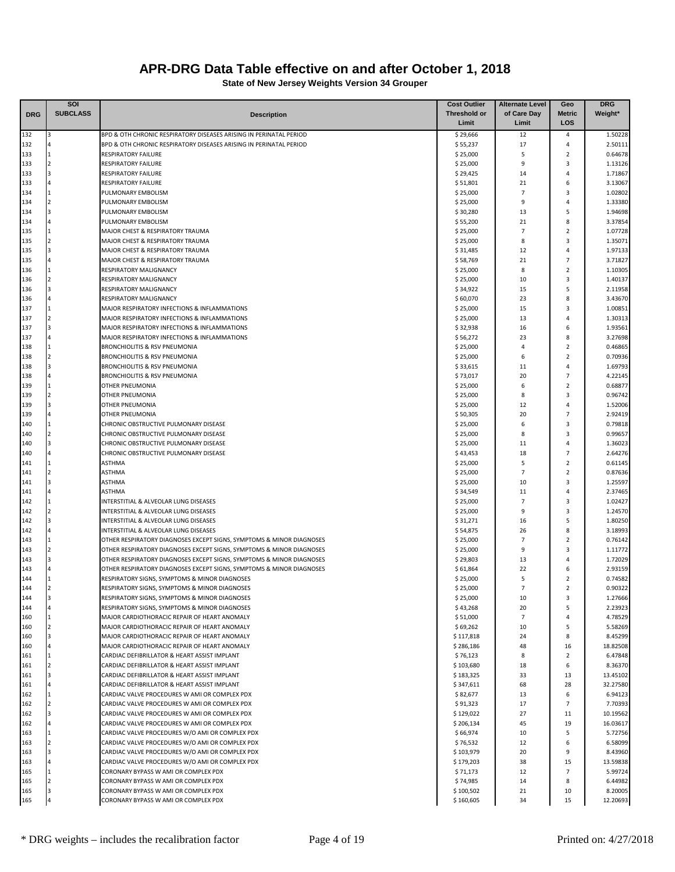|            | <b>SOI</b>                       |                                                                                                    | <b>Cost Outlier</b>   | <b>Alternate Level</b> | Geo                 | <b>DRG</b>         |
|------------|----------------------------------|----------------------------------------------------------------------------------------------------|-----------------------|------------------------|---------------------|--------------------|
| <b>DRG</b> | <b>SUBCLASS</b>                  | <b>Description</b>                                                                                 | <b>Threshold or</b>   | of Care Day            | <b>Metric</b>       | Weight*            |
|            |                                  |                                                                                                    | Limit                 | Limit                  | LOS                 |                    |
| 132        | R                                | BPD & OTH CHRONIC RESPIRATORY DISEASES ARISING IN PERINATAL PERIOD                                 | \$29,666              | 12                     | 4                   | 1.50228            |
| 132        | 1                                | BPD & OTH CHRONIC RESPIRATORY DISEASES ARISING IN PERINATAL PERIOD                                 | \$55,237              | 17<br>5                | $\overline{4}$      | 2.50111            |
| 133<br>133 | $\overline{2}$                   | <b>RESPIRATORY FAILURE</b><br><b>RESPIRATORY FAILURE</b>                                           | \$25,000<br>\$25,000  | 9                      | $\overline{2}$<br>3 | 0.64678<br>1.13126 |
| 133        | $\overline{\mathbf{3}}$          | <b>RESPIRATORY FAILURE</b>                                                                         | \$29,425              | 14                     | 4                   | 1.71867            |
| 133        | $\overline{4}$                   | <b>RESPIRATORY FAILURE</b>                                                                         | \$51,801              | 21                     | 6                   | 3.13067            |
| 134        | 1                                | PULMONARY EMBOLISM                                                                                 | \$25,000              | $\overline{7}$         | 3                   | 1.02802            |
| 134        | $\overline{2}$                   | PULMONARY EMBOLISM                                                                                 | \$25,000              | 9                      | $\overline{4}$      | 1.33380            |
| 134        | $\overline{3}$                   | PULMONARY EMBOLISM                                                                                 | \$30,280              | 13                     | 5                   | 1.94698            |
| 134        | $\Delta$                         | PULMONARY EMBOLISM                                                                                 | \$55,200              | 21                     | 8                   | 3.37854            |
| 135        |                                  | MAJOR CHEST & RESPIRATORY TRAUMA                                                                   | \$25,000              | $\overline{7}$         | $\overline{2}$      | 1.07728            |
| 135        | l J                              | MAJOR CHEST & RESPIRATORY TRAUMA                                                                   | \$25,000              | 8                      | 3                   | 1.35071            |
| 135        | $\overline{a}$                   | MAJOR CHEST & RESPIRATORY TRAUMA                                                                   | \$31,485              | 12                     | $\overline{4}$      | 1.97133            |
| 135        |                                  | MAJOR CHEST & RESPIRATORY TRAUMA                                                                   | \$58,769              | 21                     | $\overline{7}$      | 3.71827            |
| 136        | $\mathbf{1}$                     | RESPIRATORY MALIGNANCY                                                                             | \$25,000              | 8                      | $\overline{2}$      | 1.10305            |
| 136        | $\overline{2}$<br><sup>3</sup>   | RESPIRATORY MALIGNANCY                                                                             | \$25,000              | 10                     | 3<br>5              | 1.40137            |
| 136<br>136 | $\overline{4}$                   | <b>RESPIRATORY MALIGNANCY</b><br>RESPIRATORY MALIGNANCY                                            | \$34,922<br>\$60,070  | 15<br>23               | 8                   | 2.11958<br>3.43670 |
| 137        |                                  | MAJOR RESPIRATORY INFECTIONS & INFLAMMATIONS                                                       | \$25,000              | 15                     | 3                   | 1.00851            |
| 137        | $\overline{2}$                   | MAJOR RESPIRATORY INFECTIONS & INFLAMMATIONS                                                       | \$25,000              | 13                     | $\overline{4}$      | 1.30313            |
| 137        | $\overline{3}$                   | MAJOR RESPIRATORY INFECTIONS & INFLAMMATIONS                                                       | \$32,938              | 16                     | 6                   | 1.93561            |
| 137        |                                  | MAJOR RESPIRATORY INFECTIONS & INFLAMMATIONS                                                       | \$56,272              | 23                     | 8                   | 3.27698            |
| 138        |                                  | <b>BRONCHIOLITIS &amp; RSV PNEUMONIA</b>                                                           | \$25,000              | $\overline{4}$         | $\overline{2}$      | 0.46865            |
| 138        | $\overline{z}$                   | <b>BRONCHIOLITIS &amp; RSV PNEUMONIA</b>                                                           | \$25,000              | 6                      | $\overline{2}$      | 0.70936            |
| 138        | $\overline{a}$                   | <b>BRONCHIOLITIS &amp; RSV PNEUMONIA</b>                                                           | \$33,615              | 11                     | 4                   | 1.69793            |
| 138        |                                  | <b>BRONCHIOLITIS &amp; RSV PNEUMONIA</b>                                                           | \$73,017              | 20                     | $\overline{7}$      | 4.22145            |
| 139        | $\mathbf{1}$                     | <b>OTHER PNEUMONIA</b>                                                                             | \$25,000              | 6                      | $\overline{2}$      | 0.68877            |
| 139        | $\overline{2}$                   | <b>OTHER PNEUMONIA</b>                                                                             | \$25,000              | 8                      | 3                   | 0.96742            |
| 139        | $\overline{3}$                   | <b>OTHER PNEUMONIA</b>                                                                             | \$25,000              | 12                     | $\overline{4}$      | 1.52006            |
| 139        | $\overline{4}$                   | <b>OTHER PNEUMONIA</b>                                                                             | \$50,305              | 20                     | $\overline{7}$      | 2.92419            |
| 140        | $\overline{1}$<br>$\overline{2}$ | CHRONIC OBSTRUCTIVE PULMONARY DISEASE                                                              | \$25,000              | 6                      | 3                   | 0.79818            |
| 140        | $\overline{3}$                   | CHRONIC OBSTRUCTIVE PULMONARY DISEASE<br>CHRONIC OBSTRUCTIVE PULMONARY DISEASE                     | \$25,000              | 8<br>11                | 3<br>$\overline{4}$ | 0.99657            |
| 140<br>140 |                                  | CHRONIC OBSTRUCTIVE PULMONARY DISEASE                                                              | \$25,000<br>\$43,453  | 18                     | $\overline{7}$      | 1.36023<br>2.64276 |
| 141        |                                  | <b>ASTHMA</b>                                                                                      | \$25,000              | 5                      | $\overline{2}$      | 0.61145            |
| 141        |                                  | <b>ASTHMA</b>                                                                                      | \$25,000              | $\overline{7}$         | $\overline{2}$      | 0.87636            |
| 141        | $\overline{3}$                   | <b>ASTHMA</b>                                                                                      | \$25,000              | 10                     | 3                   | 1.25597            |
| 141        | $\Delta$                         | <b>ASTHMA</b>                                                                                      | \$34,549              | 11                     | 4                   | 2.37465            |
| 142        | 1                                | INTERSTITIAL & ALVEOLAR LUNG DISEASES                                                              | \$25,000              | $\overline{7}$         | 3                   | 1.02427            |
| 142        | $\overline{2}$                   | INTERSTITIAL & ALVEOLAR LUNG DISEASES                                                              | \$25,000              | 9                      | 3                   | 1.24570            |
| 142        | $\overline{3}$                   | INTERSTITIAL & ALVEOLAR LUNG DISEASES                                                              | \$31,271              | 16                     | 5                   | 1.80250            |
| 142        | $\overline{a}$                   | INTERSTITIAL & ALVEOLAR LUNG DISEASES                                                              | \$54,875              | 26                     | 8                   | 3.18993            |
| 143        |                                  | OTHER RESPIRATORY DIAGNOSES EXCEPT SIGNS, SYMPTOMS & MINOR DIAGNOSES                               | \$25,000              | $\overline{7}$         | $\overline{2}$      | 0.76142            |
| 143        | $\overline{2}$                   | OTHER RESPIRATORY DIAGNOSES EXCEPT SIGNS, SYMPTOMS & MINOR DIAGNOSES                               | \$25,000              | 9                      | 3                   | 1.11772            |
| 143        | $\overline{a}$                   | OTHER RESPIRATORY DIAGNOSES EXCEPT SIGNS, SYMPTOMS & MINOR DIAGNOSES                               | \$29,803              | 13                     | $\overline{4}$      | 1.72029            |
| 143        |                                  | OTHER RESPIRATORY DIAGNOSES EXCEPT SIGNS, SYMPTOMS & MINOR DIAGNOSES                               | \$61,864              | 22                     | 6                   | 2.93159            |
| 144<br>144 |                                  | RESPIRATORY SIGNS, SYMPTOMS & MINOR DIAGNOSES<br>RESPIRATORY SIGNS, SYMPTOMS & MINOR DIAGNOSES     | \$25,000<br>\$25,000  | 5<br>$\overline{7}$    | 2<br>$\overline{2}$ | 0.74582<br>0.90322 |
| 144        | 3                                | RESPIRATORY SIGNS, SYMPTOMS & MINOR DIAGNOSES                                                      | \$25,000              | 10                     | 3                   | 1.27666            |
| 144        | 4                                | RESPIRATORY SIGNS, SYMPTOMS & MINOR DIAGNOSES                                                      | \$43,268              | 20                     | 5                   | 2.23923            |
| 160        | $\mathbf{1}$                     | MAJOR CARDIOTHORACIC REPAIR OF HEART ANOMALY                                                       | \$51,000              | $\overline{7}$         | 4                   | 4.78529            |
| 160        | $\overline{2}$                   | MAJOR CARDIOTHORACIC REPAIR OF HEART ANOMALY                                                       | \$69,262              | 10                     | 5                   | 5.58269            |
| 160        | $\overline{3}$                   | MAJOR CARDIOTHORACIC REPAIR OF HEART ANOMALY                                                       | \$117,818             | 24                     | 8                   | 8.45299            |
| 160        | $\overline{4}$                   | MAJOR CARDIOTHORACIC REPAIR OF HEART ANOMALY                                                       | \$286,186             | 48                     | 16                  | 18.82508           |
| 161        | $\mathbf{1}$                     | CARDIAC DEFIBRILLATOR & HEART ASSIST IMPLANT                                                       | \$76,123              | 8                      | $\overline{2}$      | 6.47848            |
| 161        | $\overline{2}$                   | CARDIAC DEFIBRILLATOR & HEART ASSIST IMPLANT                                                       | \$103,680             | 18                     | 6                   | 8.36370            |
| 161        | 3                                | CARDIAC DEFIBRILLATOR & HEART ASSIST IMPLANT                                                       | \$183,325             | 33                     | 13                  | 13.45102           |
| 161        | $\overline{4}$                   | CARDIAC DEFIBRILLATOR & HEART ASSIST IMPLANT                                                       | \$347,611             | 68                     | 28                  | 32.27580           |
| 162        | 1                                | CARDIAC VALVE PROCEDURES W AMI OR COMPLEX PDX                                                      | \$82,677              | 13                     | 6                   | 6.94123            |
| 162        | $\overline{2}$                   | CARDIAC VALVE PROCEDURES W AMI OR COMPLEX PDX                                                      | \$91,323              | 17                     | $\overline{7}$      | 7.70393            |
| 162        | $\overline{3}$                   | CARDIAC VALVE PROCEDURES W AMI OR COMPLEX PDX                                                      | \$129,022             | 27                     | 11                  | 10.19562           |
| 162        | $\overline{4}$                   | CARDIAC VALVE PROCEDURES W AMI OR COMPLEX PDX                                                      | \$206,134             | 45                     | 19                  | 16.03617           |
| 163        | $\overline{2}$                   | CARDIAC VALVE PROCEDURES W/O AMI OR COMPLEX PDX                                                    | \$66,974              | 10                     | 5                   | 5.72756            |
| 163<br>163 | $\overline{3}$                   | CARDIAC VALVE PROCEDURES W/O AMI OR COMPLEX PDX<br>CARDIAC VALVE PROCEDURES W/O AMI OR COMPLEX PDX | \$76,532<br>\$103,979 | 12<br>20               | 6<br>9              | 6.58099<br>8.43960 |
| 163        | $\overline{4}$                   | CARDIAC VALVE PROCEDURES W/O AMI OR COMPLEX PDX                                                    | \$179,203             | 38                     | 15                  | 13.59838           |
| 165        | $\mathbf{1}$                     | CORONARY BYPASS W AMI OR COMPLEX PDX                                                               | \$71,173              | 12                     | $\overline{7}$      | 5.99724            |
| 165        | $\overline{2}$                   | CORONARY BYPASS W AMI OR COMPLEX PDX                                                               | \$74,985              | 14                     | 8                   | 6.44982            |
| 165        | 3                                | CORONARY BYPASS W AMI OR COMPLEX PDX                                                               | \$100,502             | 21                     | 10                  | 8.20005            |
| 165        |                                  | CORONARY BYPASS W AMI OR COMPLEX PDX                                                               | \$160,605             | 34                     | 15                  | 12.20693           |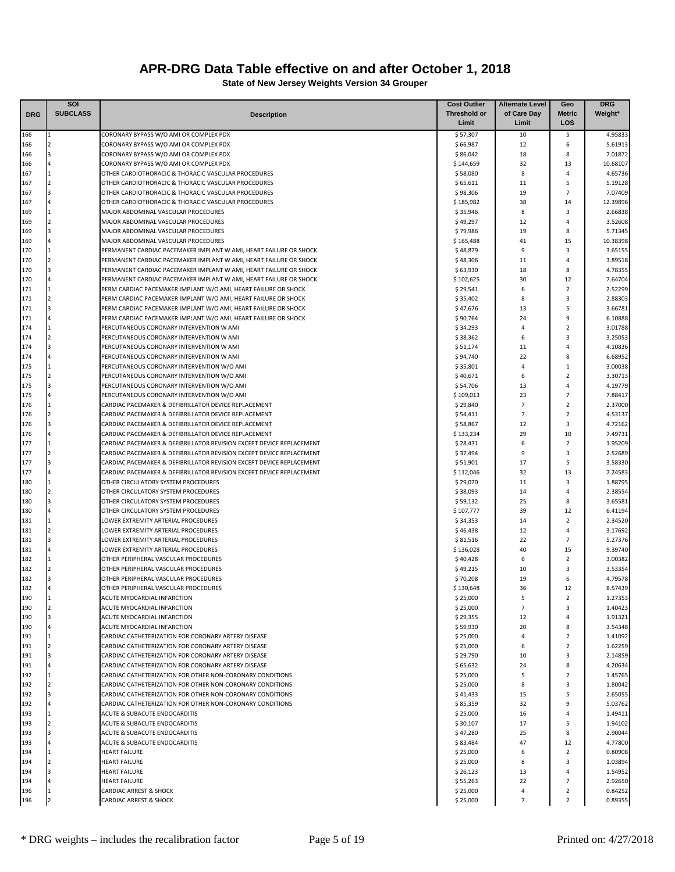|            | SOI                     |                                                                                                                                        | <b>Cost Outlier</b>   | Alternate Level    | Geo            | <b>DRG</b>         |
|------------|-------------------------|----------------------------------------------------------------------------------------------------------------------------------------|-----------------------|--------------------|----------------|--------------------|
| <b>DRG</b> | <b>SUBCLASS</b>         | <b>Description</b>                                                                                                                     | <b>Threshold or</b>   | of Care Day        | <b>Metric</b>  | Weight*            |
|            |                         |                                                                                                                                        | Limit                 | Limit              | LOS            |                    |
| 166        |                         | CORONARY BYPASS W/O AMI OR COMPLEX PDX                                                                                                 | \$57,307              | 10                 | 5              | 4.95833            |
| 166        | $\overline{\mathbf{c}}$ | CORONARY BYPASS W/O AMI OR COMPLEX PDX                                                                                                 | \$66,987              | 12                 | 6              | 5.61913            |
| 166        | 3                       | CORONARY BYPASS W/O AMI OR COMPLEX PDX                                                                                                 | \$86,042              | 18                 | 8              | 7.01872            |
| 166        |                         | CORONARY BYPASS W/O AMI OR COMPLEX PDX                                                                                                 | \$144,659             | 32                 | 13             | 10.68107           |
| 167        | $\mathbf{1}$            | OTHER CARDIOTHORACIC & THORACIC VASCULAR PROCEDURES                                                                                    | \$58,080              | 8                  | 4              | 4.65736            |
| 167        | $\overline{2}$          | OTHER CARDIOTHORACIC & THORACIC VASCULAR PROCEDURES                                                                                    | \$65,611              | 11                 | 5              | 5.19128            |
| 167        | 3                       | OTHER CARDIOTHORACIC & THORACIC VASCULAR PROCEDURES                                                                                    | \$98,306              | 19                 | $\overline{7}$ | 7.07409            |
| 167        |                         | OTHER CARDIOTHORACIC & THORACIC VASCULAR PROCEDURES                                                                                    | \$185,982             | 38                 | 14             | 12.39896           |
| 169        |                         | MAJOR ABDOMINAL VASCULAR PROCEDURES                                                                                                    | \$35,946              | 8                  | 3              | 2.66838            |
| 169        | $\overline{a}$          | MAJOR ABDOMINAL VASCULAR PROCEDURES                                                                                                    | \$49,297              | 12                 | 4              | 3.52608            |
| 169        | 3                       | MAJOR ABDOMINAL VASCULAR PROCEDURES                                                                                                    | \$79,986              | 19                 | 8              | 5.71345            |
| 169        |                         | MAJOR ABDOMINAL VASCULAR PROCEDURES                                                                                                    | \$165,488             | 41<br>$\mathbf{q}$ | 15<br>3        | 10.38398           |
| 170        | $\overline{a}$          | PERMANENT CARDIAC PACEMAKER IMPLANT W AMI, HEART FAILURE OR SHOCK                                                                      | \$48,879              |                    | $\overline{4}$ | 3.65155            |
| 170<br>170 | 3                       | PERMANENT CARDIAC PACEMAKER IMPLANT W AMI, HEART FAILURE OR SHOCK<br>PERMANENT CARDIAC PACEMAKER IMPLANT W AMI, HEART FAILURE OR SHOCK | \$48,306              | 11<br>18           | 8              | 3.89518<br>4.78355 |
| 170        |                         | PERMANENT CARDIAC PACEMAKER IMPLANT W AMI, HEART FAILURE OR SHOCK                                                                      | \$63,930<br>\$102,625 | 30                 | 12             | 7.64704            |
| 171        |                         | PERM CARDIAC PACEMAKER IMPLANT W/O AMI, HEART FAILURE OR SHOCK                                                                         | \$29,541              | 6                  | $\overline{2}$ | 2.52299            |
| 171        | $\overline{2}$          | PERM CARDIAC PACEMAKER IMPLANT W/O AMI, HEART FAILURE OR SHOCK                                                                         | \$35,402              | 8                  | 3              | 2.88303            |
| 171        | 3                       | PERM CARDIAC PACEMAKER IMPLANT W/O AMI, HEART FAILURE OR SHOCK                                                                         | \$47,676              | 13                 | 5              | 3.66781            |
| 171        | 4                       | PERM CARDIAC PACEMAKER IMPLANT W/O AMI, HEART FAILURE OR SHOCK                                                                         | \$90,764              | 24                 | 9              | 6.10888            |
| 174        |                         | PERCUTANEOUS CORONARY INTERVENTION W AMI                                                                                               | \$34,293              | $\overline{4}$     | $\overline{2}$ | 3.01788            |
| 174        | 2                       | PERCUTANEOUS CORONARY INTERVENTION W AMI                                                                                               | \$38,362              | 6                  | 3              | 3.25053            |
| 174        | 3                       | PERCUTANEOUS CORONARY INTERVENTION W AMI                                                                                               | \$51,174              | 11                 | $\overline{4}$ | 4.10836            |
| 174        | 4                       | PERCUTANEOUS CORONARY INTERVENTION W AMI                                                                                               | \$94,740              | 22                 | 8              | 6.68952            |
| 175        |                         | PERCUTANEOUS CORONARY INTERVENTION W/O AMI                                                                                             | \$35,801              | $\overline{a}$     | $\mathbf{1}$   | 3.00038            |
| 175        | $\overline{a}$          | PERCUTANEOUS CORONARY INTERVENTION W/O AMI                                                                                             | \$40,671              | 6                  | $\overline{2}$ | 3.30713            |
| 175        | 3                       | PERCUTANEOUS CORONARY INTERVENTION W/O AMI                                                                                             | \$54,706              | 13                 | 4              | 4.19779            |
| 175        |                         | PERCUTANEOUS CORONARY INTERVENTION W/O AMI                                                                                             | \$109,013             | 23                 | $\overline{7}$ | 7.88417            |
| 176        | 1                       | CARDIAC PACEMAKER & DEFIBRILLATOR DEVICE REPLACEMENT                                                                                   | \$29,840              | $\overline{7}$     | $\overline{2}$ | 2.37000            |
| 176        | $\overline{2}$          | CARDIAC PACEMAKER & DEFIBRILLATOR DEVICE REPLACEMENT                                                                                   | \$54,411              | $\overline{7}$     | $\overline{2}$ | 4.53137            |
| 176        | 3                       | CARDIAC PACEMAKER & DEFIBRILLATOR DEVICE REPLACEMENT                                                                                   | \$58,867              | 12                 | 3              | 4.72162            |
| 176        |                         | CARDIAC PACEMAKER & DEFIBRILLATOR DEVICE REPLACEMENT                                                                                   | \$133,234             | 29                 | 10             | 7.49731            |
| 177        |                         | CARDIAC PACEMAKER & DEFIBRILLATOR REVISION EXCEPT DEVICE REPLACEMENT                                                                   | \$28,431              | 6                  | $\overline{2}$ | 1.95209            |
| 177        | 2                       | CARDIAC PACEMAKER & DEFIBRILLATOR REVISION EXCEPT DEVICE REPLACEMENT                                                                   | \$37,494              | 9                  | 3              | 2.52689            |
| 177        | 3                       | CARDIAC PACEMAKER & DEFIBRILLATOR REVISION EXCEPT DEVICE REPLACEMENT                                                                   | \$51,901              | 17                 | 5              | 3.58330            |
| 177        |                         | CARDIAC PACEMAKER & DEFIBRILLATOR REVISION EXCEPT DEVICE REPLACEMENT                                                                   | \$112,046             | 32                 | 13             | 7.24583            |
| 180        |                         | OTHER CIRCULATORY SYSTEM PROCEDURES                                                                                                    | \$29,070              | 11                 | 3              | 1.88795            |
| 180        | $\overline{a}$          | OTHER CIRCULATORY SYSTEM PROCEDURES                                                                                                    | \$38,093              | 14                 | $\overline{4}$ | 2.38554            |
| 180        |                         | OTHER CIRCULATORY SYSTEM PROCEDURES                                                                                                    | \$59,132              | 25                 | 8              | 3.65581            |
| 180        | 4                       | OTHER CIRCULATORY SYSTEM PROCEDURES                                                                                                    | \$107,777             | 39                 | 12             | 6.41194            |
| 181        |                         | LOWER EXTREMITY ARTERIAL PROCEDURES                                                                                                    | \$34,353              | 14                 | $\overline{2}$ | 2.34520            |
| 181        | $\overline{2}$          | LOWER EXTREMITY ARTERIAL PROCEDURES                                                                                                    | \$46,438              | 12                 | $\overline{4}$ | 3.17692            |
| 181        | 3                       | LOWER EXTREMITY ARTERIAL PROCEDURES                                                                                                    | \$81,516              | 22                 | $\overline{7}$ | 5.27376            |
| 181        |                         | LOWER EXTREMITY ARTERIAL PROCEDURES                                                                                                    | \$136,028             | 40                 | 15             | 9.39740            |
| 182        |                         | OTHER PERIPHERAL VASCULAR PROCEDURES                                                                                                   | \$40,428              | 6                  | $\overline{2}$ | 3.00382            |
| 182        | $\overline{\mathbf{c}}$ | OTHER PERIPHERAL VASCULAR PROCEDURES                                                                                                   | \$49,215              | 10                 | 3              | 3.53354            |
| 182<br>182 |                         | OTHER PERIPHERAL VASCULAR PROCEDURES<br>OTHER PERIPHERAL VASCULAR PROCEDURES                                                           | \$70,208<br>\$130,648 | 19<br>36           | 6<br>12        | 4.79578<br>8.57439 |
| 190        |                         | ACUTE MYOCARDIAL INFARCTION                                                                                                            |                       | 5                  | 2              | 1.27353            |
| 190        | $\overline{2}$          | ACUTE MYOCARDIAL INFARCTION                                                                                                            | \$25,000<br>\$25,000  | $\overline{7}$     | 3              | 1.40423            |
| 190        | 3                       | ACUTE MYOCARDIAL INFARCTION                                                                                                            | \$29,355              | 12                 | $\overline{4}$ | 1.91321            |
| 190        | 4                       | ACUTE MYOCARDIAL INFARCTION                                                                                                            | \$59,930              | 20                 | 8              | 3.54348            |
| 191        | 1                       | CARDIAC CATHETERIZATION FOR CORONARY ARTERY DISEASE                                                                                    | \$25,000              | $\overline{4}$     | $\overline{2}$ | 1.41092            |
| 191        | $\overline{2}$          | CARDIAC CATHETERIZATION FOR CORONARY ARTERY DISEASE                                                                                    | \$25,000              | 6                  | $\overline{2}$ | 1.62259            |
| 191        | 3                       | CARDIAC CATHETERIZATION FOR CORONARY ARTERY DISEASE                                                                                    | \$29,790              | 10                 | 3              | 2.14859            |
| 191        | 4                       | CARDIAC CATHETERIZATION FOR CORONARY ARTERY DISEASE                                                                                    | \$65,632              | 24                 | 8              | 4.20634            |
| 192        | $\mathbf{1}$            | CARDIAC CATHETERIZATION FOR OTHER NON-CORONARY CONDITIONS                                                                              | \$25,000              | 5                  | $\overline{2}$ | 1.45765            |
| 192        | $\overline{2}$          | CARDIAC CATHETERIZATION FOR OTHER NON-CORONARY CONDITIONS                                                                              | \$25,000              | 8                  | 3              | 1.80042            |
| 192        | 3                       | CARDIAC CATHETERIZATION FOR OTHER NON-CORONARY CONDITIONS                                                                              | \$41,433              | 15                 | 5              | 2.65055            |
| 192        | 4                       | CARDIAC CATHETERIZATION FOR OTHER NON-CORONARY CONDITIONS                                                                              | \$85,359              | 32                 | 9              | 5.03762            |
| 193        | $\mathbf{1}$            | ACUTE & SUBACUTE ENDOCARDITIS                                                                                                          | \$25,000              | 16                 | 4              | 1.49411            |
| 193        | $\overline{a}$          | ACUTE & SUBACUTE ENDOCARDITIS                                                                                                          | \$30,107              | 17                 | 5              | 1.94102            |
| 193        | 3                       | ACUTE & SUBACUTE ENDOCARDITIS                                                                                                          | \$47,280              | 25                 | 8              | 2.90044            |
| 193        | 4                       | ACUTE & SUBACUTE ENDOCARDITIS                                                                                                          | \$83,484              | 47                 | 12             | 4.77800            |
| 194        | 1                       | <b>HEART FAILURE</b>                                                                                                                   | \$25,000              | 6                  | $\overline{2}$ | 0.80908            |
| 194        | $\overline{2}$          | <b>HEART FAILURE</b>                                                                                                                   | \$25,000              | 8                  | 3              | 1.03894            |
| 194        | 3                       | <b>HEART FAILURE</b>                                                                                                                   | \$26,123              | 13                 | 4              | 1.54952            |
| 194        | $\overline{a}$          | <b>HEART FAILURE</b>                                                                                                                   | \$55,263              | 22                 | $\overline{7}$ | 2.92650            |
| 196        | 1                       | <b>CARDIAC ARREST &amp; SHOCK</b>                                                                                                      | \$25,000              | $\overline{4}$     | $\overline{2}$ | 0.84252            |
| 196        |                         | <b>CARDIAC ARREST &amp; SHOCK</b>                                                                                                      | \$25,000              | $\overline{7}$     | $\overline{2}$ | 0.89355            |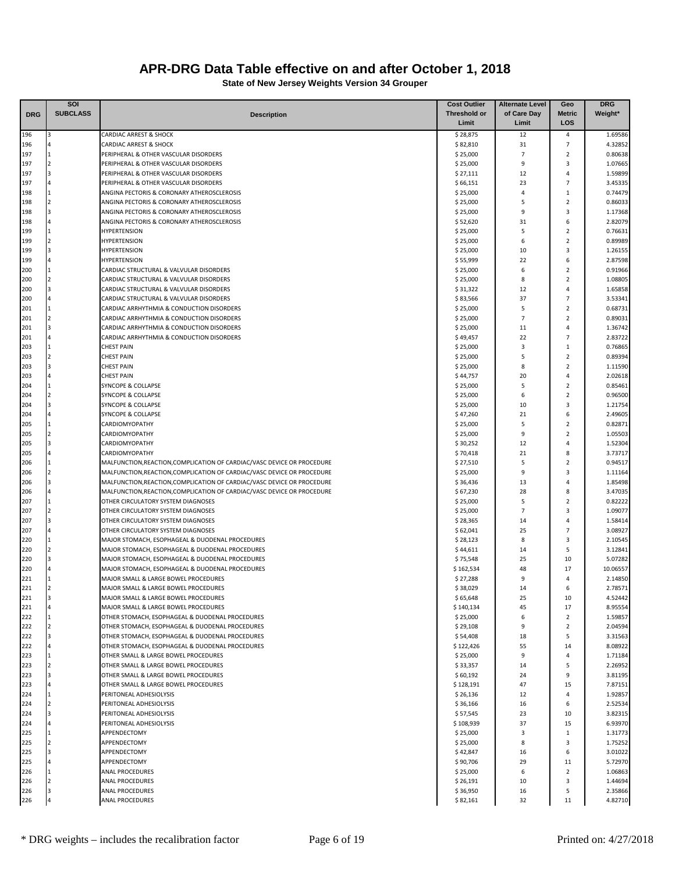|            | SOI                      |                                                                                        | <b>Cost Outlier</b>  | <b>Alternate Level</b> | Geo                           | <b>DRG</b>         |
|------------|--------------------------|----------------------------------------------------------------------------------------|----------------------|------------------------|-------------------------------|--------------------|
| <b>DRG</b> | <b>SUBCLASS</b>          | <b>Description</b>                                                                     | <b>Threshold or</b>  | of Care Day            | <b>Metric</b>                 | Weight*            |
|            |                          |                                                                                        | Limit                | Limit                  | LOS                           |                    |
| 196        | 3                        | <b>CARDIAC ARREST &amp; SHOCK</b>                                                      | \$28,875             | 12                     | 4                             | 1.69586            |
| 196        |                          | <b>CARDIAC ARREST &amp; SHOCK</b>                                                      | \$82,810             | 31                     | $\overline{7}$                | 4.32852            |
| 197        | $\overline{2}$           | PERIPHERAL & OTHER VASCULAR DISORDERS<br>PERIPHERAL & OTHER VASCULAR DISORDERS         | \$25,000             | $\overline{7}$<br>9    | $\overline{2}$<br>3           | 0.80638            |
| 197<br>197 | $\overline{\mathbf{3}}$  | PERIPHERAL & OTHER VASCULAR DISORDERS                                                  | \$25,000<br>\$27,111 | 12                     | $\overline{4}$                | 1.07665<br>1.59899 |
| 197        |                          | PERIPHERAL & OTHER VASCULAR DISORDERS                                                  | \$66,151             | 23                     | $\overline{7}$                | 3.45335            |
| 198        | 1                        | ANGINA PECTORIS & CORONARY ATHEROSCLEROSIS                                             | \$25,000             | $\overline{4}$         | $\mathbf{1}$                  | 0.74479            |
| 198        | $\overline{2}$           | ANGINA PECTORIS & CORONARY ATHEROSCLEROSIS                                             | \$25,000             | 5                      | $\overline{2}$                | 0.86033            |
| 198        |                          | ANGINA PECTORIS & CORONARY ATHEROSCLEROSIS                                             | \$25,000             | 9                      | 3                             | 1.17368            |
| 198        |                          | ANGINA PECTORIS & CORONARY ATHEROSCLEROSIS                                             | \$52,620             | 31                     | 6                             | 2.82079            |
| 199        |                          | <b>HYPERTENSION</b>                                                                    | \$25,000             | 5                      | $\overline{2}$                | 0.76631            |
| 199        | $\mathcal{P}$            | <b>HYPERTENSION</b>                                                                    | \$25,000             | 6                      | $\overline{2}$                | 0.89989            |
| 199        |                          | <b>HYPERTENSION</b>                                                                    | \$25,000             | 10                     | 3                             | 1.26155            |
| 199        |                          | <b>HYPERTENSION</b>                                                                    | \$55,999             | 22                     | 6                             | 2.87598            |
| 200        |                          | CARDIAC STRUCTURAL & VALVULAR DISORDERS                                                | \$25,000             | 6                      | $\overline{2}$                | 0.91966            |
| 200        | $\overline{2}$           | CARDIAC STRUCTURAL & VALVULAR DISORDERS                                                | \$25,000             | 8                      | $\overline{2}$                | 1.08805            |
| 200        |                          | CARDIAC STRUCTURAL & VALVULAR DISORDERS                                                | \$31,322             | 12                     | 4                             | 1.65858            |
| 200        |                          | CARDIAC STRUCTURAL & VALVULAR DISORDERS                                                | \$83,566             | 37<br>5                | 7                             | 3.53341            |
| 201<br>201 | $\overline{2}$           | CARDIAC ARRHYTHMIA & CONDUCTION DISORDERS<br>CARDIAC ARRHYTHMIA & CONDUCTION DISORDERS | \$25,000<br>\$25,000 | $\overline{7}$         | $\mathbf 2$<br>$\overline{2}$ | 0.68731<br>0.89031 |
| 201        |                          | CARDIAC ARRHYTHMIA & CONDUCTION DISORDERS                                              | \$25,000             | 11                     | 4                             | 1.36742            |
| 201        |                          | CARDIAC ARRHYTHMIA & CONDUCTION DISORDERS                                              | \$49,457             | 22                     | 7                             | 2.83722            |
| 203        |                          | <b>CHEST PAIN</b>                                                                      | \$25,000             | 3                      | $\mathbf{1}$                  | 0.76865            |
| 203        | $\overline{2}$           | <b>CHEST PAIN</b>                                                                      | \$25,000             | 5                      | $\overline{2}$                | 0.89394            |
| 203        | 3                        | <b>CHEST PAIN</b>                                                                      | \$25,000             | 8                      | $\mathbf 2$                   | 1.11590            |
| 203        |                          | <b>CHEST PAIN</b>                                                                      | \$44,757             | 20                     | 4                             | 2.02618            |
| 204        |                          | <b>SYNCOPE &amp; COLLAPSE</b>                                                          | \$25,000             | 5                      | $\overline{2}$                | 0.85461            |
| 204        | $\overline{2}$           | <b>SYNCOPE &amp; COLLAPSE</b>                                                          | \$25,000             | 6                      | $\overline{2}$                | 0.96500            |
| 204        | 3                        | <b>SYNCOPE &amp; COLLAPSE</b>                                                          | \$25,000             | 10                     | 3                             | 1.21754            |
| 204        |                          | <b>SYNCOPE &amp; COLLAPSE</b>                                                          | \$47,260             | 21                     | 6                             | 2.49605            |
| 205        |                          | <b>CARDIOMYOPATHY</b>                                                                  | \$25,000             | 5                      | $\overline{2}$                | 0.82871            |
| 205        | $\overline{2}$           | <b>CARDIOMYOPATHY</b>                                                                  | \$25,000             | 9                      | $\overline{2}$                | 1.05503            |
| 205<br>205 |                          | <b>CARDIOMYOPATHY</b><br>CARDIOMYOPATHY                                                | \$30,252<br>\$70,418 | 12<br>21               | $\overline{4}$<br>8           | 1.52304<br>3.73717 |
| 206        |                          | MALFUNCTION, REACTION, COMPLICATION OF CARDIAC/VASC DEVICE OR PROCEDURE                | \$27,510             | 5                      | $\overline{2}$                | 0.94517            |
| 206        |                          | MALFUNCTION, REACTION, COMPLICATION OF CARDIAC/VASC DEVICE OR PROCEDURE                | \$25,000             | 9                      | 3                             | 1.11164            |
| 206        | 3                        | MALFUNCTION, REACTION, COMPLICATION OF CARDIAC/VASC DEVICE OR PROCEDURE                | \$36,436             | 13                     | $\overline{4}$                | 1.85498            |
| 206        |                          | MALFUNCTION, REACTION, COMPLICATION OF CARDIAC/VASC DEVICE OR PROCEDURE                | \$67,230             | 28                     | 8                             | 3.47035            |
| 207        |                          | OTHER CIRCULATORY SYSTEM DIAGNOSES                                                     | \$25,000             | 5                      | $\overline{2}$                | 0.82222            |
| 207        | $\overline{2}$           | OTHER CIRCULATORY SYSTEM DIAGNOSES                                                     | \$25,000             | $\overline{7}$         | 3                             | 1.09077            |
| 207        |                          | OTHER CIRCULATORY SYSTEM DIAGNOSES                                                     | \$28,365             | 14                     | $\overline{4}$                | 1.58414            |
| 207        |                          | OTHER CIRCULATORY SYSTEM DIAGNOSES                                                     | \$62,041             | 25                     | $\overline{7}$                | 3.08927            |
| 220        |                          | MAJOR STOMACH, ESOPHAGEAL & DUODENAL PROCEDURES                                        | \$28,123             | 8                      | 3                             | 2.10545            |
| 220        | $\overline{\phantom{a}}$ | MAJOR STOMACH, ESOPHAGEAL & DUODENAL PROCEDURES                                        | \$44,611             | 14                     | 5                             | 3.12841            |
| 220        |                          | MAJOR STOMACH, ESOPHAGEAL & DUODENAL PROCEDURES                                        | \$75,548             | 25                     | 10                            | 5.07282            |
| 220        |                          | MAJOR STOMACH, ESOPHAGEAL & DUODENAL PROCEDURES                                        | \$162,534            | 48                     | 17                            | 10.06557           |
| 221<br>221 |                          | MAJOR SMALL & LARGE BOWEL PROCEDURES                                                   | \$27,288             | 9                      | $\overline{4}$<br>6           | 2.14850            |
| 221        | 3                        | MAJOR SMALL & LARGE BOWEL PROCEDURES<br>MAJOR SMALL & LARGE BOWEL PROCEDURES           | \$38,029<br>\$65,648 | 14<br>25               | 10                            | 2.78571<br>4.52442 |
| 221        | 4                        | MAJOR SMALL & LARGE BOWEL PROCEDURES                                                   | \$140,134            | 45                     | 17                            | 8.95554            |
| 222        | 1                        | OTHER STOMACH, ESOPHAGEAL & DUODENAL PROCEDURES                                        | \$25,000             | 6                      | $\overline{2}$                | 1.59857            |
| 222        | $\overline{2}$           | OTHER STOMACH, ESOPHAGEAL & DUODENAL PROCEDURES                                        | \$29,108             | 9                      | $\overline{2}$                | 2.04594            |
| 222        | 3                        | OTHER STOMACH, ESOPHAGEAL & DUODENAL PROCEDURES                                        | \$54,408             | 18                     | 5                             | 3.31563            |
| 222        |                          | OTHER STOMACH, ESOPHAGEAL & DUODENAL PROCEDURES                                        | \$122,426            | 55                     | 14                            | 8.08922            |
| 223        | $\mathbf{1}$             | OTHER SMALL & LARGE BOWEL PROCEDURES                                                   | \$25,000             | 9                      | 4                             | 1.71184            |
| 223        | $\overline{2}$           | OTHER SMALL & LARGE BOWEL PROCEDURES                                                   | \$33,357             | 14                     | 5                             | 2.26952            |
| 223        | 3                        | OTHER SMALL & LARGE BOWEL PROCEDURES                                                   | \$60,192             | 24                     | 9                             | 3.81195            |
| 223        | 4                        | OTHER SMALL & LARGE BOWEL PROCEDURES                                                   | \$128,191            | 47                     | 15                            | 7.87151            |
| 224        | $\mathbf{1}$             | PERITONEAL ADHESIOLYSIS                                                                | \$26,136             | 12                     | 4                             | 1.92857            |
| 224        | $\overline{2}$           | PERITONEAL ADHESIOLYSIS                                                                | \$36,166             | 16                     | 6                             | 2.52534            |
| 224        | 3                        | PERITONEAL ADHESIOLYSIS                                                                | \$57,545             | 23                     | 10                            | 3.82315            |
| 224        | 4                        | PERITONEAL ADHESIOLYSIS                                                                | \$108,939            | 37                     | 15                            | 6.93970            |
| 225        | $\overline{2}$           | APPENDECTOMY                                                                           | \$25,000             | 3                      | 1                             | 1.31773            |
| 225<br>225 | 3                        | APPENDECTOMY<br>APPENDECTOMY                                                           | \$25,000<br>\$42,847 | 8<br>16                | 3<br>6                        | 1.75252<br>3.01022 |
| 225        |                          | APPENDECTOMY                                                                           | \$90,706             | 29                     | 11                            | 5.72970            |
| 226        |                          | <b>ANAL PROCEDURES</b>                                                                 | \$25,000             | 6                      | $\overline{2}$                | 1.06863            |
| 226        | $\overline{2}$           | <b>ANAL PROCEDURES</b>                                                                 | \$26,191             | 10                     | 3                             | 1.44694            |
| 226        | 3                        | <b>ANAL PROCEDURES</b>                                                                 | \$36,950             | 16                     | 5                             | 2.35866            |
| 226        |                          | ANAL PROCEDURES                                                                        | \$82,161             | 32                     | 11                            | 4.82710            |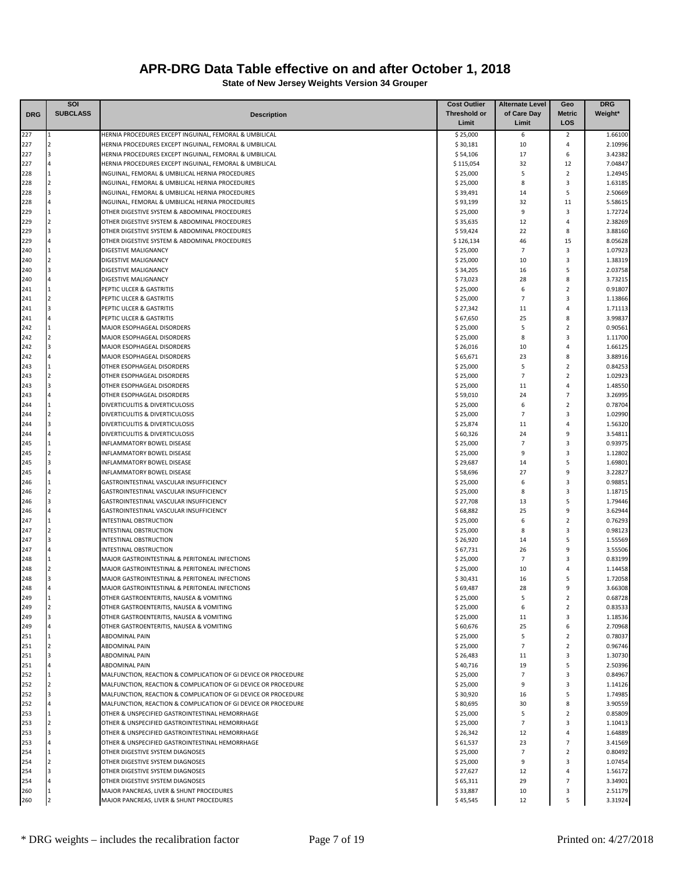|            | SOI                     |                                                                | <b>Cost Outlier</b> | <b>Alternate Level</b> | Geo                     | <b>DRG</b> |
|------------|-------------------------|----------------------------------------------------------------|---------------------|------------------------|-------------------------|------------|
| <b>DRG</b> | <b>SUBCLASS</b>         | <b>Description</b>                                             | <b>Threshold or</b> | of Care Day            | <b>Metric</b>           | Weight*    |
|            |                         |                                                                | Limit               | Limit                  | LOS                     |            |
| 227        |                         | HERNIA PROCEDURES EXCEPT INGUINAL, FEMORAL & UMBILICAL         | \$25,000            | 6                      | 2                       | 1.66100    |
| 227        | $\overline{2}$          | HERNIA PROCEDURES EXCEPT INGUINAL, FEMORAL & UMBILICAL         | \$30,181            | 10                     | $\overline{4}$          | 2.10996    |
| 227        | 3                       | HERNIA PROCEDURES EXCEPT INGUINAL, FEMORAL & UMBILICAL         | \$54,106            | 17                     | 6                       | 3.42382    |
| 227        | 4                       | HERNIA PROCEDURES EXCEPT INGUINAL, FEMORAL & UMBILICAL         | \$115,054           | 32                     | 12                      | 7.04847    |
| 228        | $\mathbf{1}$            | INGUINAL, FEMORAL & UMBILICAL HERNIA PROCEDURES                | \$25,000            | 5                      | $\overline{2}$          | 1.24945    |
| 228        | $\overline{2}$          | INGUINAL, FEMORAL & UMBILICAL HERNIA PROCEDURES                | \$25,000            | 8                      | $\overline{\mathbf{3}}$ | 1.63185    |
| 228        | $\overline{\mathbf{3}}$ | INGUINAL, FEMORAL & UMBILICAL HERNIA PROCEDURES                | \$39,491            | 14                     | 5                       | 2.50669    |
| 228        |                         | INGUINAL, FEMORAL & UMBILICAL HERNIA PROCEDURES                | \$93,199            | 32                     | 11                      | 5.58615    |
| 229        |                         | OTHER DIGESTIVE SYSTEM & ABDOMINAL PROCEDURES                  | \$25,000            | 9                      | 3                       | 1.72724    |
| 229        | $\overline{2}$          | OTHER DIGESTIVE SYSTEM & ABDOMINAL PROCEDURES                  | \$35,635            | 12                     | $\overline{4}$          | 2.38269    |
| 229        | 3                       | OTHER DIGESTIVE SYSTEM & ABDOMINAL PROCEDURES                  | \$59,424            | 22                     | 8                       | 3.88160    |
| 229        | 4                       | OTHER DIGESTIVE SYSTEM & ABDOMINAL PROCEDURES                  | \$126,134           | 46                     | 15                      | 8.05628    |
| 240        |                         | <b>DIGESTIVE MALIGNANCY</b>                                    | \$25,000            | $\overline{7}$         | $\overline{\mathbf{3}}$ | 1.07923    |
| 240        | $\overline{a}$          | <b>DIGESTIVE MALIGNANCY</b>                                    | \$25,000            | 10                     | $\overline{3}$          | 1.38319    |
| 240        | 3                       | DIGESTIVE MALIGNANCY                                           | \$34,205            | 16                     | 5                       | 2.03758    |
| 240        | 4                       | DIGESTIVE MALIGNANCY                                           | \$73,023            | 28                     | 8                       | 3.73215    |
| 241        |                         | PEPTIC ULCER & GASTRITIS                                       | \$25,000            | 6                      | $\overline{2}$          | 0.91807    |
| 241        | $\overline{2}$          | PEPTIC ULCER & GASTRITIS                                       | \$25,000            | $\overline{7}$         | 3                       | 1.13866    |
| 241        | $\overline{3}$          | PEPTIC ULCER & GASTRITIS                                       | \$27,342            | 11                     | $\overline{4}$          | 1.71113    |
| 241        |                         | PEPTIC ULCER & GASTRITIS                                       | \$67,650            | 25                     | 8                       | 3.99837    |
| 242        |                         | MAJOR ESOPHAGEAL DISORDERS                                     | \$25,000            | 5                      | $\overline{2}$          | 0.90561    |
| 242        | $\overline{2}$          | MAJOR ESOPHAGEAL DISORDERS                                     | \$25,000            | 8                      | 3                       | 1.11700    |
| 242        | 3                       | MAJOR ESOPHAGEAL DISORDERS                                     | \$26,016            | 10                     | $\overline{4}$          | 1.66125    |
| 242        | 4                       | <b>MAJOR ESOPHAGEAL DISORDERS</b>                              | \$65,671            | 23                     | 8                       | 3.88916    |
| 243        |                         | OTHER ESOPHAGEAL DISORDERS                                     | \$25,000            | 5                      | 2                       | 0.84253    |
| 243        | $\overline{2}$          | OTHER ESOPHAGEAL DISORDERS                                     | \$25,000            | $\overline{7}$         | $\overline{2}$          | 1.02923    |
| 243        | 3                       | OTHER ESOPHAGEAL DISORDERS                                     | \$25,000            | 11                     | $\overline{4}$          | 1.48550    |
| 243        |                         | OTHER ESOPHAGEAL DISORDERS                                     | \$59,010            | 24                     | $\overline{7}$          | 3.26995    |
| 244        | $\mathbf{1}$            | DIVERTICULITIS & DIVERTICULOSIS                                | \$25,000            | 6                      | $\overline{2}$          | 0.78704    |
| 244        | $\overline{2}$          | DIVERTICULITIS & DIVERTICULOSIS                                | \$25,000            | $\overline{7}$         | $\overline{\mathbf{3}}$ | 1.02990    |
| 244        | $\overline{3}$          | DIVERTICULITIS & DIVERTICULOSIS                                | \$25,874            | 11                     | $\overline{4}$          | 1.56320    |
| 244        |                         | DIVERTICULITIS & DIVERTICULOSIS                                | \$60,326            | 24                     | 9                       | 3.54811    |
| 245        |                         | INFLAMMATORY BOWEL DISEASE                                     | \$25,000            | $\overline{7}$         | 3                       | 0.93975    |
| 245        | $\overline{a}$          | <b>INFLAMMATORY BOWEL DISEASE</b>                              | \$25,000            | 9                      | 3                       | 1.12802    |
| 245        | 3                       | <b>INFLAMMATORY BOWEL DISEASE</b>                              | \$29,687            | 14                     | 5                       | 1.69801    |
| 245        | 4                       | <b>INFLAMMATORY BOWEL DISEASE</b>                              | \$58,696            | 27                     | 9                       | 3.22827    |
| 246        |                         | GASTROINTESTINAL VASCULAR INSUFFICIENCY                        | \$25,000            | 6                      | $\overline{3}$          | 0.98851    |
| 246        | $\overline{2}$          | GASTROINTESTINAL VASCULAR INSUFFICIENCY                        | \$25,000            | 8                      | $\overline{3}$          | 1.18715    |
| 246        | 3                       | GASTROINTESTINAL VASCULAR INSUFFICIENCY                        | \$27,708            | 13                     | 5                       | 1.79446    |
| 246        | 4                       | GASTROINTESTINAL VASCULAR INSUFFICIENCY                        | \$68,882            | 25                     | 9                       | 3.62944    |
| 247        |                         | INTESTINAL OBSTRUCTION                                         | \$25,000            | 6                      | $\overline{2}$          | 0.76293    |
| 247        | $\overline{2}$          | INTESTINAL OBSTRUCTION                                         | \$25,000            | 8                      | 3                       | 0.98123    |
| 247        | 3                       | INTESTINAL OBSTRUCTION                                         | \$26,920            | 14                     | 5                       | 1.55569    |
| 247        |                         | <b>INTESTINAL OBSTRUCTION</b>                                  | \$67,731            | 26                     | 9                       | 3.55506    |
| 248        |                         | MAJOR GASTROINTESTINAL & PERITONEAL INFECTIONS                 | \$25,000            | $\overline{7}$         | 3                       | 0.83199    |
| 248        |                         | MAJOR GASTROINTESTINAL & PERITONEAL INFECTIONS                 | \$25,000            | 10                     | $\overline{4}$          | 1.14458    |
| 248        |                         | MAJOR GASTROINTESTINAL & PERITONEAL INFECTIONS                 | \$30,431            | 16                     | 5                       | 1.72058    |
| 248        |                         | MAJOR GASTROINTESTINAL & PERITONEAL INFECTIONS                 | \$69,487            | 28                     | 9                       | 3.66308    |
| 249        |                         | OTHER GASTROENTERITIS, NAUSEA & VOMITING                       | \$25,000            | 5                      | 2                       | 0.68728    |
| 249        | $\overline{2}$          | OTHER GASTROENTERITIS, NAUSEA & VOMITING                       | \$25,000            | 6                      | $\overline{2}$          | 0.83533    |
| 249        |                         | OTHER GASTROENTERITIS, NAUSEA & VOMITING                       | \$25,000            | 11                     | 3                       | 1.18536    |
| 249        |                         | OTHER GASTROENTERITIS, NAUSEA & VOMITING                       | \$60,676            | 25                     | 6                       | 2.70968    |
| 251        |                         | <b>ABDOMINAL PAIN</b>                                          | \$25,000            | 5                      | $\overline{2}$          | 0.78037    |
| 251        | $\overline{2}$          | <b>ABDOMINAL PAIN</b>                                          | \$25,000            | $\overline{7}$         | $\overline{2}$          | 0.96746    |
| 251        | $\overline{3}$          | <b>ABDOMINAL PAIN</b>                                          | \$26,483            | 11                     | 3                       | 1.30730    |
| 251        |                         | <b>ABDOMINAL PAIN</b>                                          | \$40,716            | 19                     | 5                       | 2.50396    |
| 252        | 1                       | MALFUNCTION, REACTION & COMPLICATION OF GI DEVICE OR PROCEDURE | \$25,000            | $\overline{7}$         | $\overline{\mathbf{3}}$ | 0.84967    |
| 252        | $\overline{2}$          | MALFUNCTION, REACTION & COMPLICATION OF GI DEVICE OR PROCEDURE | \$25,000            | 9                      | $\overline{\mathbf{3}}$ | 1.14126    |
| 252        | 3                       | MALFUNCTION, REACTION & COMPLICATION OF GI DEVICE OR PROCEDURE | \$30,920            | 16                     | 5                       | 1.74985    |
| 252        |                         | MALFUNCTION, REACTION & COMPLICATION OF GI DEVICE OR PROCEDURE | \$80,695            | 30                     | 8                       | 3.90559    |
| 253        |                         | OTHER & UNSPECIFIED GASTROINTESTINAL HEMORRHAGE                | \$25,000            | 5                      | $\overline{2}$          | 0.85809    |
| 253        | $\overline{2}$          | OTHER & UNSPECIFIED GASTROINTESTINAL HEMORRHAGE                | \$25,000            | $\overline{7}$         | 3                       | 1.10413    |
| 253        |                         | OTHER & UNSPECIFIED GASTROINTESTINAL HEMORRHAGE                | \$26,342            | 12                     | $\overline{4}$          | 1.64889    |
| 253        |                         | OTHER & UNSPECIFIED GASTROINTESTINAL HEMORRHAGE                | \$61,537            | 23                     | $\overline{7}$          | 3.41569    |
| 254        |                         | OTHER DIGESTIVE SYSTEM DIAGNOSES                               | \$25,000            | $\overline{7}$         | $\overline{2}$          | 0.80492    |
| 254        | $\overline{2}$          | OTHER DIGESTIVE SYSTEM DIAGNOSES                               | \$25,000            | 9                      | 3                       | 1.07454    |
| 254        | $\overline{3}$          | OTHER DIGESTIVE SYSTEM DIAGNOSES                               | \$27,627            | 12                     | $\overline{4}$          | 1.56172    |
| 254        |                         | OTHER DIGESTIVE SYSTEM DIAGNOSES                               | \$65,311            | 29                     | $\overline{7}$          | 3.34901    |
| 260        |                         | MAJOR PANCREAS, LIVER & SHUNT PROCEDURES                       | \$33,887            | 10                     | 3                       | 2.51179    |
| 260        |                         | MAJOR PANCREAS, LIVER & SHUNT PROCEDURES                       | \$45,545            | 12                     | 5                       | 3.31924    |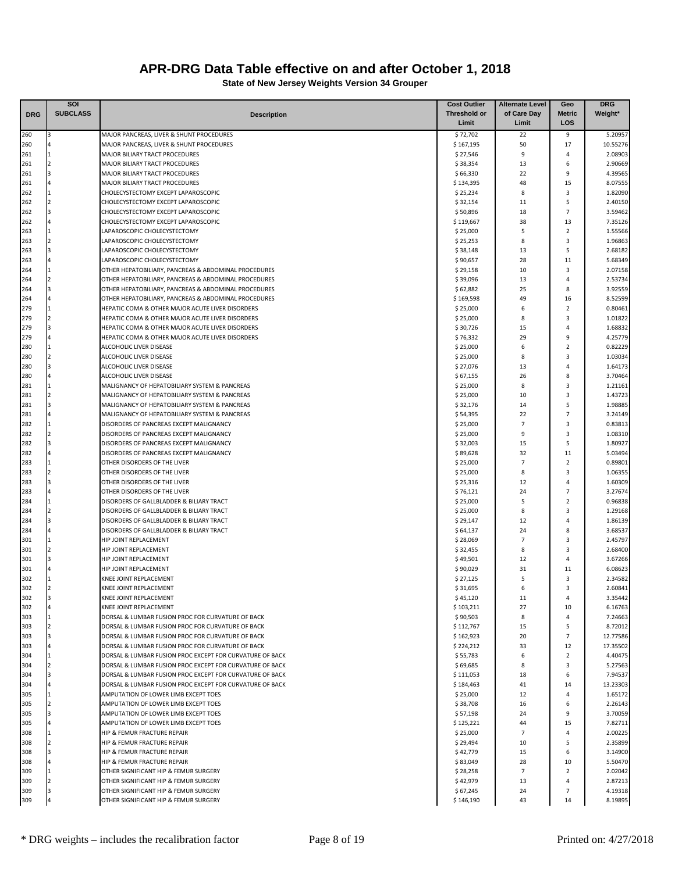|            | <b>SOI</b>          |                                                                                      | <b>Cost Outlier</b>  | <b>Alternate Level</b> | Geo                 | <b>DRG</b>         |
|------------|---------------------|--------------------------------------------------------------------------------------|----------------------|------------------------|---------------------|--------------------|
| <b>DRG</b> | <b>SUBCLASS</b>     | <b>Description</b>                                                                   | Threshold or         | of Care Day            | <b>Metric</b>       | Weight*            |
|            |                     |                                                                                      | Limit                | Limit                  | LOS                 |                    |
| 260        |                     | MAJOR PANCREAS, LIVER & SHUNT PROCEDURES                                             | \$72,702             | 22                     | 9                   | 5.20957            |
| 260        |                     | MAJOR PANCREAS, LIVER & SHUNT PROCEDURES                                             | \$167,195            | 50                     | 17                  | 10.55276           |
| 261        | 1                   | MAJOR BILIARY TRACT PROCEDURES                                                       | \$27,546             | 9                      | 4                   | 2.08903            |
| 261        | $\overline{2}$      | MAJOR BILIARY TRACT PROCEDURES                                                       | \$38,354             | 13                     | 6                   | 2.90669            |
| 261        |                     | MAJOR BILIARY TRACT PROCEDURES                                                       | \$66,330             | 22                     | 9                   | 4.39565            |
| 261        |                     | MAJOR BILIARY TRACT PROCEDURES                                                       | \$134,395            | 48                     | 15                  | 8.07555            |
| 262        |                     | CHOLECYSTECTOMY EXCEPT LAPAROSCOPIC                                                  | \$25,234             | 8                      | 3                   | 1.82090            |
| 262        |                     | CHOLECYSTECTOMY EXCEPT LAPAROSCOPIC                                                  | \$32,154             | 11                     | 5                   | 2.40150            |
| 262        | з                   | CHOLECYSTECTOMY EXCEPT LAPAROSCOPIC                                                  | \$50,896             | 18                     | $\overline{7}$      | 3.59462            |
| 262        |                     | CHOLECYSTECTOMY EXCEPT LAPAROSCOPIC                                                  | \$119,667            | 38                     | 13                  | 7.35126            |
| 263        |                     | LAPAROSCOPIC CHOLECYSTECTOMY                                                         | \$25,000             | 5<br>8                 | $\overline{2}$<br>3 | 1.55566            |
| 263        |                     | LAPAROSCOPIC CHOLECYSTECTOMY<br>LAPAROSCOPIC CHOLECYSTECTOMY                         | \$25,253             | 13                     | 5                   | 1.96863<br>2.68182 |
| 263<br>263 |                     | LAPAROSCOPIC CHOLECYSTECTOMY                                                         | \$38,148<br>\$90,657 | 28                     | 11                  | 5.68349            |
| 264        |                     | OTHER HEPATOBILIARY, PANCREAS & ABDOMINAL PROCEDURES                                 | \$29,158             | 10                     | 3                   | 2.07158            |
| 264        | $\overline{2}$      | OTHER HEPATOBILIARY, PANCREAS & ABDOMINAL PROCEDURES                                 | \$39,096             | 13                     | 4                   | 2.53734            |
| 264        |                     | OTHER HEPATOBILIARY, PANCREAS & ABDOMINAL PROCEDURES                                 | \$62,882             | 25                     | 8                   | 3.92559            |
| 264        |                     | OTHER HEPATOBILIARY, PANCREAS & ABDOMINAL PROCEDURES                                 | \$169,598            | 49                     | 16                  | 8.52599            |
| 279        |                     | HEPATIC COMA & OTHER MAJOR ACUTE LIVER DISORDERS                                     | \$25,000             | 6                      | $\overline{2}$      | 0.80461            |
| 279        | $\overline{2}$      | HEPATIC COMA & OTHER MAJOR ACUTE LIVER DISORDERS                                     | \$25,000             | 8                      | 3                   | 1.01822            |
| 279        | з                   | HEPATIC COMA & OTHER MAJOR ACUTE LIVER DISORDERS                                     | \$30,726             | 15                     | 4                   | 1.68832            |
| 279        |                     | HEPATIC COMA & OTHER MAJOR ACUTE LIVER DISORDERS                                     | \$76,332             | 29                     | 9                   | 4.25779            |
| 280        |                     | ALCOHOLIC LIVER DISEASE                                                              | \$25,000             | 6                      | $\overline{2}$      | 0.82229            |
| 280        | $\overline{2}$      | ALCOHOLIC LIVER DISEASE                                                              | \$25,000             | 8                      | 3                   | 1.03034            |
| 280        |                     | ALCOHOLIC LIVER DISEASE                                                              | \$27,076             | 13                     | 4                   | 1.64173            |
| 280        |                     | ALCOHOLIC LIVER DISEASE                                                              | \$67,155             | 26                     | 8                   | 3.70464            |
| 281        |                     | MALIGNANCY OF HEPATOBILIARY SYSTEM & PANCREAS                                        | \$25,000             | 8                      | 3                   | 1.21161            |
| 281        | $\mathcal{P}$       | MALIGNANCY OF HEPATOBILIARY SYSTEM & PANCREAS                                        | \$25,000             | 10                     | 3                   | 1.43723            |
| 281        |                     | MALIGNANCY OF HEPATOBILIARY SYSTEM & PANCREAS                                        | \$32,176             | 14                     | 5                   | 1.98885            |
| 281        |                     | MALIGNANCY OF HEPATOBILIARY SYSTEM & PANCREAS                                        | \$54,395             | 22                     | $\overline{7}$      | 3.24149            |
| 282        |                     | DISORDERS OF PANCREAS EXCEPT MALIGNANCY                                              | \$25,000             | $\overline{7}$         | 3                   | 0.83813            |
| 282        | $\overline{2}$      | DISORDERS OF PANCREAS EXCEPT MALIGNANCY                                              | \$25,000             | 9                      | 3                   | 1.08310            |
| 282        |                     | DISORDERS OF PANCREAS EXCEPT MALIGNANCY                                              | \$32,003             | 15                     | 5                   | 1.80927            |
| 282        |                     | DISORDERS OF PANCREAS EXCEPT MALIGNANCY                                              | \$89,628             | 32                     | 11                  | 5.03494            |
| 283        |                     | OTHER DISORDERS OF THE LIVER                                                         | \$25,000             | $\overline{7}$         | $\overline{2}$      | 0.89801            |
| 283        | $\overline{2}$      | OTHER DISORDERS OF THE LIVER                                                         | \$25,000             | 8                      | 3                   | 1.06355            |
| 283        |                     | OTHER DISORDERS OF THE LIVER                                                         | \$25,316             | 12                     | 4                   | 1.60309            |
| 283        |                     | OTHER DISORDERS OF THE LIVER                                                         | \$76,121             | 24                     | $\overline{7}$      | 3.27674            |
| 284        | $\mathcal{P}$       | DISORDERS OF GALLBLADDER & BILIARY TRACT                                             | \$25,000             | 5                      | $\overline{2}$      | 0.96838            |
| 284        |                     | DISORDERS OF GALLBLADDER & BILIARY TRACT                                             | \$25,000             | 8<br>12                | 3<br>4              | 1.29168            |
| 284        |                     | DISORDERS OF GALLBLADDER & BILIARY TRACT<br>DISORDERS OF GALLBLADDER & BILIARY TRACT | \$29,147             | 24                     | 8                   | 1.86139            |
| 284<br>301 |                     | HIP JOINT REPLACEMENT                                                                | \$64,137<br>\$28,069 | $\overline{7}$         | 3                   | 3.68537<br>2.45797 |
| 301        | $\overline{2}$      | HIP JOINT REPLACEMENT                                                                | \$32,455             | 8                      | 3                   | 2.68400            |
| 301        |                     | HIP JOINT REPLACEMENT                                                                | \$49,501             | 12                     | 4                   | 3.67266            |
| 301        |                     | HIP JOINT REPLACEMENT                                                                | \$90,029             | 31                     | 11                  | 6.08623            |
| 302        |                     | KNEE JOINT REPLACEMENT                                                               | \$27,125             | 5                      | 3                   | 2.34582            |
| 302        |                     | KNEE JOINT REPLACEMENT                                                               | \$31,695             | 6                      | 3                   | 2.60841            |
| 302        |                     | KNEE JOINT REPLACEMENT                                                               | \$45,120             | 11                     | 4                   | 3.35442            |
| 302        |                     | KNEE JOINT REPLACEMENT                                                               | \$103,211            | 27                     | 10                  | 6.16763            |
| 303        |                     | DORSAL & LUMBAR FUSION PROC FOR CURVATURE OF BACK                                    | \$90,503             | 8                      | 4                   | 7.24663            |
| 303        | $\overline{2}$      | DORSAL & LUMBAR FUSION PROC FOR CURVATURE OF BACK                                    | \$112,767            | 15                     | 5                   | 8.72012            |
| 303        | 3                   | DORSAL & LUMBAR FUSION PROC FOR CURVATURE OF BACK                                    | \$162,923            | 20                     | $\overline{7}$      | 12.77586           |
| 303        | 4                   | DORSAL & LUMBAR FUSION PROC FOR CURVATURE OF BACK                                    | \$224,212            | 33                     | 12                  | 17.35502           |
| 304        | 1                   | DORSAL & LUMBAR FUSION PROC EXCEPT FOR CURVATURE OF BACK                             | \$55,783             | 6                      | $\overline{2}$      | 4.40475            |
| 304        | $\overline{2}$      | DORSAL & LUMBAR FUSION PROC EXCEPT FOR CURVATURE OF BACK                             | \$69,685             | 8                      | 3                   | 5.27563            |
| 304        | 3                   | DORSAL & LUMBAR FUSION PROC EXCEPT FOR CURVATURE OF BACK                             | \$111,053            | 18                     | 6                   | 7.94537            |
| 304        | 4                   | DORSAL & LUMBAR FUSION PROC EXCEPT FOR CURVATURE OF BACK                             | \$184,463            | 41                     | 14                  | 13.23303           |
| 305        | 1                   | AMPUTATION OF LOWER LIMB EXCEPT TOES                                                 | \$25,000             | 12                     | 4                   | 1.65172            |
| 305        | $\overline{2}$      | AMPUTATION OF LOWER LIMB EXCEPT TOES                                                 | \$38,708             | 16                     | 6                   | 2.26143            |
| 305        | 3                   | AMPUTATION OF LOWER LIMB EXCEPT TOES                                                 | \$57,198             | 24                     | 9                   | 3.70059            |
| 305        |                     | AMPUTATION OF LOWER LIMB EXCEPT TOES                                                 | \$125,221            | 44                     | 15                  | 7.82711            |
| 308        |                     | HIP & FEMUR FRACTURE REPAIR                                                          | \$25,000             | $\overline{7}$         | 4                   | 2.00225            |
| 308        | $\overline{2}$      | HIP & FEMUR FRACTURE REPAIR                                                          | \$29,494             | 10                     | 5                   | 2.35899            |
| 308        | 3                   | HIP & FEMUR FRACTURE REPAIR                                                          | \$42,779             | 15                     | 6                   | 3.14900            |
| 308        | 4                   | HIP & FEMUR FRACTURE REPAIR                                                          | \$83,049             | 28                     | 10                  | 5.50470            |
| 309        | 1<br>$\overline{2}$ | OTHER SIGNIFICANT HIP & FEMUR SURGERY                                                | \$28,258             | $\overline{7}$<br>13   | $\overline{2}$<br>4 | 2.02042            |
| 309<br>309 |                     | OTHER SIGNIFICANT HIP & FEMUR SURGERY<br>OTHER SIGNIFICANT HIP & FEMUR SURGERY       | \$42,979<br>\$67,245 | 24                     | $\overline{7}$      | 2.87213<br>4.19318 |
| 309        |                     | OTHER SIGNIFICANT HIP & FEMUR SURGERY                                                | \$146,190            | 43                     | 14                  | 8.19895            |
|            |                     |                                                                                      |                      |                        |                     |                    |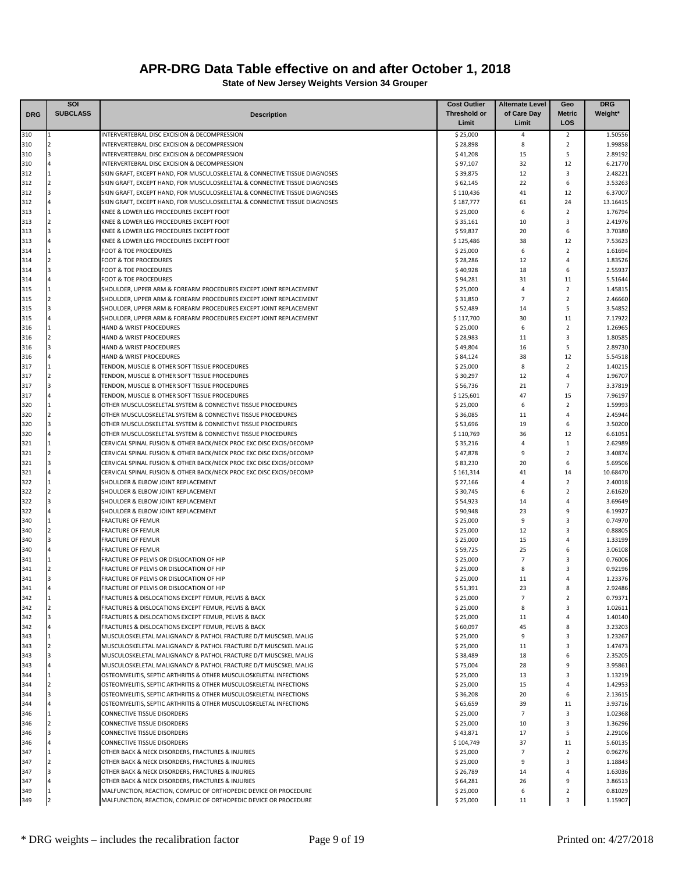|            | SOI             |                                                                                                                                                          | <b>Cost Outlier</b>   | <b>Alternate Level</b> | Geo               | <b>DRG</b>         |
|------------|-----------------|----------------------------------------------------------------------------------------------------------------------------------------------------------|-----------------------|------------------------|-------------------|--------------------|
| <b>DRG</b> | <b>SUBCLASS</b> | <b>Description</b>                                                                                                                                       | <b>Threshold or</b>   | of Care Day            | <b>Metric</b>     | Weight*            |
|            |                 |                                                                                                                                                          | Limit                 | Limit                  | LOS               |                    |
| 310        |                 | INTERVERTEBRAL DISC EXCISION & DECOMPRESSION                                                                                                             | \$25,000              | 4                      | $\overline{2}$    | 1.50556            |
| 310        |                 | INTERVERTEBRAL DISC EXCISION & DECOMPRESSION                                                                                                             | \$28,898              | 8                      | $\overline{2}$    | 1.99858            |
| 310        |                 | INTERVERTEBRAL DISC EXCISION & DECOMPRESSION                                                                                                             | \$41,208              | 15                     | 5                 | 2.89192            |
| 310        | 1               | INTERVERTEBRAL DISC EXCISION & DECOMPRESSION                                                                                                             | \$97,107              | 32                     | 12                | 6.21770            |
| 312        | $\mathcal{P}$   | SKIN GRAFT, EXCEPT HAND, FOR MUSCULOSKELETAL & CONNECTIVE TISSUE DIAGNOSES                                                                               | \$39,875              | 12                     | 3                 | 2.48221            |
| 312<br>312 |                 | SKIN GRAFT, EXCEPT HAND, FOR MUSCULOSKELETAL & CONNECTIVE TISSUE DIAGNOSES<br>SKIN GRAFT, EXCEPT HAND, FOR MUSCULOSKELETAL & CONNECTIVE TISSUE DIAGNOSES | \$62,145<br>\$110,436 | 22<br>41               | 6<br>12           | 3.53263<br>6.37007 |
| 312        |                 | SKIN GRAFT, EXCEPT HAND, FOR MUSCULOSKELETAL & CONNECTIVE TISSUE DIAGNOSES                                                                               | \$187,777             | 61                     | 24                | 13.16415           |
| 313        |                 | KNEE & LOWER LEG PROCEDURES EXCEPT FOOT                                                                                                                  | \$25,000              | 6                      | $\overline{2}$    | 1.76794            |
| 313        | $\overline{2}$  | KNEE & LOWER LEG PROCEDURES EXCEPT FOOT                                                                                                                  | \$35,161              | 10                     | 3                 | 2.41976            |
| 313        |                 | KNEE & LOWER LEG PROCEDURES EXCEPT FOOT                                                                                                                  | \$59,837              | 20                     | 6                 | 3.70380            |
| 313        |                 | KNEE & LOWER LEG PROCEDURES EXCEPT FOOT                                                                                                                  | \$125,486             | 38                     | 12                | 7.53623            |
| 314        |                 | <b>FOOT &amp; TOE PROCEDURES</b>                                                                                                                         | \$25,000              | 6                      | $\mathbf 2$       | 1.61694            |
| 314        | $\overline{2}$  | <b>FOOT &amp; TOE PROCEDURES</b>                                                                                                                         | \$28,286              | 12                     | $\overline{4}$    | 1.83526            |
| 314        |                 | <b>FOOT &amp; TOE PROCEDURES</b>                                                                                                                         | \$40,928              | 18                     | 6                 | 2.55937            |
| 314        |                 | <b>FOOT &amp; TOE PROCEDURES</b>                                                                                                                         | \$94,281              | 31                     | 11                | 5.51644            |
| 315        |                 | SHOULDER, UPPER ARM & FOREARM PROCEDURES EXCEPT JOINT REPLACEMENT                                                                                        | \$25,000              | 4                      | $\overline{2}$    | 1.45815            |
| 315        | $\mathcal{P}$   | SHOULDER, UPPER ARM & FOREARM PROCEDURES EXCEPT JOINT REPLACEMENT                                                                                        | \$31,850              | 7                      | $\overline{2}$    | 2.46660            |
| 315        |                 | SHOULDER, UPPER ARM & FOREARM PROCEDURES EXCEPT JOINT REPLACEMENT                                                                                        | \$52,489              | 14                     | 5                 | 3.54852            |
| 315        |                 | SHOULDER, UPPER ARM & FOREARM PROCEDURES EXCEPT JOINT REPLACEMENT                                                                                        | \$117,700             | 30                     | 11                | 7.17922            |
| 316        |                 | <b>HAND &amp; WRIST PROCEDURES</b>                                                                                                                       | \$25,000              | 6                      | $\overline{2}$    | 1.26965            |
| 316        | $\overline{a}$  | <b>HAND &amp; WRIST PROCEDURES</b>                                                                                                                       | \$28,983              | 11                     | 3                 | 1.80585            |
| 316        |                 | HAND & WRIST PROCEDURES                                                                                                                                  | \$49,804              | 16                     | 5                 | 2.89730            |
| 316        |                 | HAND & WRIST PROCEDURES<br>TENDON, MUSCLE & OTHER SOFT TISSUE PROCEDURES                                                                                 | \$84,124              | 38<br>8                | 12<br>$\mathbf 2$ | 5.54518<br>1.40215 |
| 317<br>317 | $\overline{2}$  | TENDON, MUSCLE & OTHER SOFT TISSUE PROCEDURES                                                                                                            | \$25,000<br>\$30,297  | 12                     | 4                 | 1.96707            |
| 317        |                 | TENDON, MUSCLE & OTHER SOFT TISSUE PROCEDURES                                                                                                            | \$56,736              | 21                     | $\overline{7}$    | 3.37819            |
| 317        |                 | TENDON, MUSCLE & OTHER SOFT TISSUE PROCEDURES                                                                                                            | \$125,601             | 47                     | 15                | 7.96197            |
| 320        |                 | OTHER MUSCULOSKELETAL SYSTEM & CONNECTIVE TISSUE PROCEDURES                                                                                              | \$25,000              | 6                      | $\overline{2}$    | 1.59993            |
| 320        |                 | OTHER MUSCULOSKELETAL SYSTEM & CONNECTIVE TISSUE PROCEDURES                                                                                              | \$36,085              | 11                     | 4                 | 2.45944            |
| 320        | з               | OTHER MUSCULOSKELETAL SYSTEM & CONNECTIVE TISSUE PROCEDURES                                                                                              | \$53,696              | 19                     | 6                 | 3.50200            |
| 320        |                 | OTHER MUSCULOSKELETAL SYSTEM & CONNECTIVE TISSUE PROCEDURES                                                                                              | \$110,769             | 36                     | 12                | 6.61051            |
| 321        |                 | CERVICAL SPINAL FUSION & OTHER BACK/NECK PROC EXC DISC EXCIS/DECOMP                                                                                      | \$35,216              | $\overline{4}$         | $\mathbf{1}$      | 2.62989            |
| 321        | $\overline{2}$  | CERVICAL SPINAL FUSION & OTHER BACK/NECK PROC EXC DISC EXCIS/DECOMP                                                                                      | \$47,878              | 9                      | $\overline{2}$    | 3.40874            |
| 321        |                 | CERVICAL SPINAL FUSION & OTHER BACK/NECK PROC EXC DISC EXCIS/DECOMP                                                                                      | \$83,230              | 20                     | 6                 | 5.69506            |
| 321        |                 | CERVICAL SPINAL FUSION & OTHER BACK/NECK PROC EXC DISC EXCIS/DECOMP                                                                                      | \$161,314             | 41                     | 14                | 10.68470           |
| 322        |                 | SHOULDER & ELBOW JOINT REPLACEMENT                                                                                                                       | \$27,166              | $\overline{4}$         | $\overline{2}$    | 2.40018            |
| 322        |                 | SHOULDER & ELBOW JOINT REPLACEMENT                                                                                                                       | \$30,745              | 6                      | $\mathbf 2$       | 2.61620            |
| 322        |                 | SHOULDER & ELBOW JOINT REPLACEMENT                                                                                                                       | \$54,923              | 14                     | $\overline{4}$    | 3.69649            |
| 322        |                 | SHOULDER & ELBOW JOINT REPLACEMENT                                                                                                                       | \$90,948              | 23                     | 9                 | 6.19927            |
| 340        |                 | <b>FRACTURE OF FEMUR</b>                                                                                                                                 | \$25,000              | 9                      | 3                 | 0.74970            |
| 340        |                 | <b>FRACTURE OF FEMUR</b>                                                                                                                                 | \$25,000              | 12                     | 3                 | 0.88805            |
| 340        | з               | <b>FRACTURE OF FEMUR</b>                                                                                                                                 | \$25,000              | 15                     | $\overline{4}$    | 1.33199            |
| 340        |                 | <b>FRACTURE OF FEMUR</b>                                                                                                                                 | \$59,725              | 25                     | 6                 | 3.06108            |
| 341        |                 | FRACTURE OF PELVIS OR DISLOCATION OF HIP                                                                                                                 | \$25,000              | $\overline{7}$         | 3                 | 0.76006            |
| 341        |                 | FRACTURE OF PELVIS OR DISLOCATION OF HIP                                                                                                                 | \$25,000              | 8                      | 3                 | 0.92196            |
| 341        |                 | FRACTURE OF PELVIS OR DISLOCATION OF HIP                                                                                                                 | \$25,000              | 11                     | $\overline{4}$    | 1.23376            |
| 341        |                 | FRACTURE OF PELVIS OR DISLOCATION OF HIP                                                                                                                 | \$51,391              | 23                     | 8                 | 2.92486            |
| 342<br>342 | $\overline{2}$  | FRACTURES & DISLOCATIONS EXCEPT FEMUR, PELVIS & BACK                                                                                                     | \$25,000<br>\$25,000  | 7<br>8                 | 2<br>3            | 0.79371<br>1.02611 |
| 342        | 3               | FRACTURES & DISLOCATIONS EXCEPT FEMUR, PELVIS & BACK<br>FRACTURES & DISLOCATIONS EXCEPT FEMUR, PELVIS & BACK                                             | \$25,000              | 11                     | 4                 | 1.40140            |
| 342        | 4               | FRACTURES & DISLOCATIONS EXCEPT FEMUR, PELVIS & BACK                                                                                                     | \$60,097              | 45                     | 8                 | 3.23203            |
| 343        | 1               | MUSCULOSKELETAL MALIGNANCY & PATHOL FRACTURE D/T MUSCSKEL MALIG                                                                                          | \$25,000              | 9                      | 3                 | 1.23267            |
| 343        | $\overline{2}$  | MUSCULOSKELETAL MALIGNANCY & PATHOL FRACTURE D/T MUSCSKEL MALIG                                                                                          | \$25,000              | 11                     | 3                 | 1.47473            |
| 343        | 3               | MUSCULOSKELETAL MALIGNANCY & PATHOL FRACTURE D/T MUSCSKEL MALIG                                                                                          | \$38,489              | 18                     | 6                 | 2.35205            |
| 343        |                 | MUSCULOSKELETAL MALIGNANCY & PATHOL FRACTURE D/T MUSCSKEL MALIG                                                                                          | \$75,004              | 28                     | 9                 | 3.95861            |
| 344        | $\mathbf{1}$    | OSTEOMYELITIS, SEPTIC ARTHRITIS & OTHER MUSCULOSKELETAL INFECTIONS                                                                                       | \$25,000              | 13                     | 3                 | 1.13219            |
| 344        | $\overline{2}$  | OSTEOMYELITIS, SEPTIC ARTHRITIS & OTHER MUSCULOSKELETAL INFECTIONS                                                                                       | \$25,000              | 15                     | 4                 | 1.42953            |
| 344        | 3               | OSTEOMYELITIS, SEPTIC ARTHRITIS & OTHER MUSCULOSKELETAL INFECTIONS                                                                                       | \$36,208              | 20                     | 6                 | 2.13615            |
| 344        |                 | OSTEOMYELITIS, SEPTIC ARTHRITIS & OTHER MUSCULOSKELETAL INFECTIONS                                                                                       | \$65,659              | 39                     | 11                | 3.93716            |
| 346        |                 | <b>CONNECTIVE TISSUE DISORDERS</b>                                                                                                                       | \$25,000              | 7                      | 3                 | 1.02368            |
| 346        | $\overline{2}$  | <b>CONNECTIVE TISSUE DISORDERS</b>                                                                                                                       | \$25,000              | 10                     | 3                 | 1.36296            |
| 346        | 3               | <b>CONNECTIVE TISSUE DISORDERS</b>                                                                                                                       | \$43,871              | 17                     | 5                 | 2.29106            |
| 346        | 4               | <b>CONNECTIVE TISSUE DISORDERS</b>                                                                                                                       | \$104,749             | 37                     | 11                | 5.60135            |
| 347        |                 | OTHER BACK & NECK DISORDERS, FRACTURES & INJURIES                                                                                                        | \$25,000              | $\overline{7}$         | $\overline{2}$    | 0.96276            |
| 347        | $\overline{a}$  | OTHER BACK & NECK DISORDERS, FRACTURES & INJURIES                                                                                                        | \$25,000              | 9                      | 3                 | 1.18843            |
| 347        |                 | OTHER BACK & NECK DISORDERS, FRACTURES & INJURIES                                                                                                        | \$26,789              | 14                     | 4                 | 1.63036            |
| 347        |                 | OTHER BACK & NECK DISORDERS, FRACTURES & INJURIES                                                                                                        | \$64,281              | 26                     | 9                 | 3.86513            |
| 349        |                 | MALFUNCTION, REACTION, COMPLIC OF ORTHOPEDIC DEVICE OR PROCEDURE                                                                                         | \$25,000              | 6                      | $\mathbf 2$       | 0.81029            |
| 349        |                 | MALFUNCTION, REACTION, COMPLIC OF ORTHOPEDIC DEVICE OR PROCEDURE                                                                                         | \$25,000              | 11                     | 3                 | 1.15907            |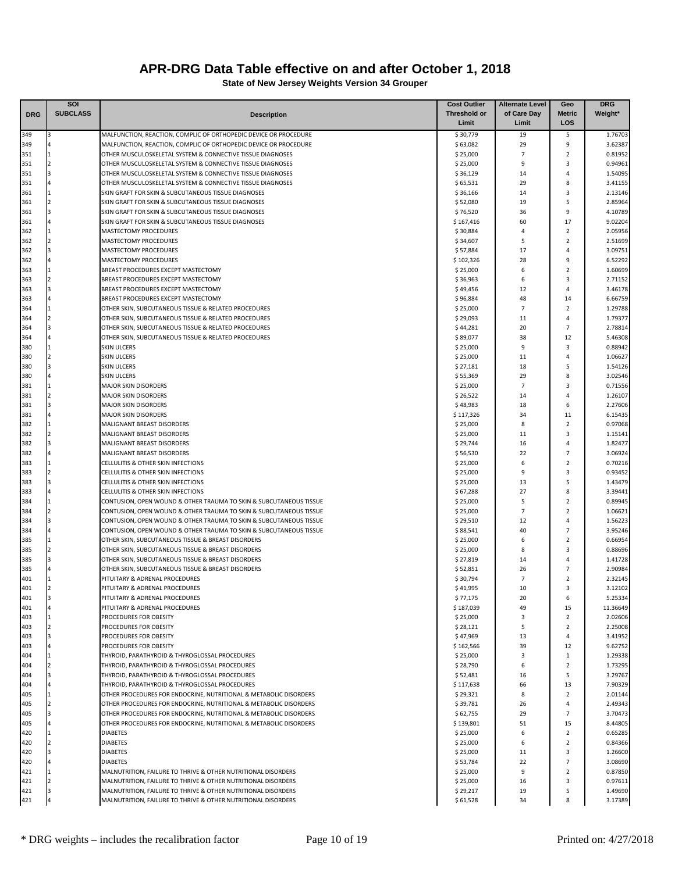|            | SOI             |                                                                                                                          | <b>Cost Outlier</b>   | <b>Alternate Level</b> | Geo                              | <b>DRG</b>         |
|------------|-----------------|--------------------------------------------------------------------------------------------------------------------------|-----------------------|------------------------|----------------------------------|--------------------|
| <b>DRG</b> | <b>SUBCLASS</b> | <b>Description</b>                                                                                                       | <b>Threshold or</b>   | of Care Day            | <b>Metric</b>                    | Weight*            |
|            |                 |                                                                                                                          | Limit                 | Limit                  | LOS                              |                    |
| 349        |                 | MALFUNCTION, REACTION, COMPLIC OF ORTHOPEDIC DEVICE OR PROCEDURE                                                         | \$30,779              | 19                     | 5                                | 1.76703            |
| 349        |                 | MALFUNCTION, REACTION, COMPLIC OF ORTHOPEDIC DEVICE OR PROCEDURE                                                         | \$63,082              | 29                     | 9                                | 3.62387            |
| 351        |                 | OTHER MUSCULOSKELETAL SYSTEM & CONNECTIVE TISSUE DIAGNOSES                                                               | \$25,000              | $\overline{7}$         | $\overline{2}$                   | 0.81952            |
| 351        | $\overline{2}$  | OTHER MUSCULOSKELETAL SYSTEM & CONNECTIVE TISSUE DIAGNOSES                                                               | \$25,000              | 9                      | 3                                | 0.94961            |
| 351        | 3               | OTHER MUSCULOSKELETAL SYSTEM & CONNECTIVE TISSUE DIAGNOSES                                                               | \$36,129              | 14                     | $\overline{4}$                   | 1.54095            |
| 351        |                 | OTHER MUSCULOSKELETAL SYSTEM & CONNECTIVE TISSUE DIAGNOSES                                                               | \$65,531              | 29                     | 8                                | 3.41155            |
| 361        |                 | SKIN GRAFT FOR SKIN & SUBCUTANEOUS TISSUE DIAGNOSES                                                                      | \$36,166              | 14                     | 3                                | 2.13146            |
| 361        |                 | SKIN GRAFT FOR SKIN & SUBCUTANEOUS TISSUE DIAGNOSES                                                                      | \$52,080              | 19                     | 5                                | 2.85964            |
| 361        |                 | SKIN GRAFT FOR SKIN & SUBCUTANEOUS TISSUE DIAGNOSES                                                                      | \$76,520              | 36                     | 9                                | 4.10789            |
| 361        |                 | SKIN GRAFT FOR SKIN & SUBCUTANEOUS TISSUE DIAGNOSES                                                                      | \$167,416             | 60                     | 17                               | 9.02204            |
| 362        | <b>11</b>       | MASTECTOMY PROCEDURES                                                                                                    | \$30,884              | 4                      | $\overline{2}$                   | 2.05956            |
| 362        |                 | <b>MASTECTOMY PROCEDURES</b>                                                                                             | \$34,607              | 5                      | $\overline{2}$<br>$\overline{4}$ | 2.51699            |
| 362        |                 | MASTECTOMY PROCEDURES                                                                                                    | \$57,884              | 17<br>28               | 9                                | 3.09751            |
| 362<br>363 |                 | MASTECTOMY PROCEDURES<br>BREAST PROCEDURES EXCEPT MASTECTOMY                                                             | \$102,326<br>\$25,000 | 6                      | $\overline{2}$                   | 6.52292<br>1.60699 |
| 363        | $\overline{2}$  | BREAST PROCEDURES EXCEPT MASTECTOMY                                                                                      | \$36,963              | 6                      | 3                                | 2.71152            |
| 363        | I٩              | BREAST PROCEDURES EXCEPT MASTECTOMY                                                                                      | \$49,456              | 12                     | $\overline{4}$                   | 3.46178            |
| 363        |                 | BREAST PROCEDURES EXCEPT MASTECTOMY                                                                                      | \$96,884              | 48                     | 14                               | 6.66759            |
| 364        | 11              | OTHER SKIN, SUBCUTANEOUS TISSUE & RELATED PROCEDURES                                                                     | \$25,000              | $\overline{7}$         | $\overline{2}$                   | 1.29788            |
| 364        |                 | OTHER SKIN, SUBCUTANEOUS TISSUE & RELATED PROCEDURES                                                                     | \$29,093              | 11                     | 4                                | 1.79377            |
| 364        |                 | OTHER SKIN, SUBCUTANEOUS TISSUE & RELATED PROCEDURES                                                                     | \$44,281              | 20                     | $\overline{7}$                   | 2.78814            |
| 364        |                 | OTHER SKIN, SUBCUTANEOUS TISSUE & RELATED PROCEDURES                                                                     | \$89,077              | 38                     | 12                               | 5.46308            |
| 380        | 11              | <b>SKIN ULCERS</b>                                                                                                       | \$25,000              | 9                      | 3                                | 0.88942            |
| 380        | 2               | <b>SKIN ULCERS</b>                                                                                                       | \$25,000              | 11                     | $\overline{4}$                   | 1.06627            |
| 380        | $\overline{3}$  | <b>SKIN ULCERS</b>                                                                                                       | \$27,181              | 18                     | 5                                | 1.54126            |
| 380        |                 | <b>SKIN ULCERS</b>                                                                                                       | \$55,369              | 29                     | 8                                | 3.02546            |
| 381        |                 | <b>MAJOR SKIN DISORDERS</b>                                                                                              | \$25,000              | $\overline{7}$         | 3                                | 0.71556            |
| 381        |                 | <b>MAJOR SKIN DISORDERS</b>                                                                                              | \$26,522              | 14                     | $\overline{4}$                   | 1.26107            |
| 381        | I٩              | <b>MAJOR SKIN DISORDERS</b>                                                                                              | \$48,983              | 18                     | 6                                | 2.27606            |
| 381        |                 | <b>MAJOR SKIN DISORDERS</b>                                                                                              | \$117,326             | 34                     | 11                               | 6.15435            |
| 382        | 1               | MALIGNANT BREAST DISORDERS                                                                                               | \$25,000              | 8                      | $\overline{2}$                   | 0.97068            |
| 382        |                 | MALIGNANT BREAST DISORDERS                                                                                               | \$25,000              | 11                     | 3                                | 1.15141            |
| 382        |                 | MALIGNANT BREAST DISORDERS                                                                                               | \$29,744              | 16                     | $\overline{4}$                   | 1.82477            |
| 382        |                 | MALIGNANT BREAST DISORDERS                                                                                               | \$56,530              | 22                     | $\overline{7}$                   | 3.06924            |
| 383        |                 | CELLULITIS & OTHER SKIN INFECTIONS                                                                                       | \$25,000              | 6                      | $\overline{2}$                   | 0.70216            |
| 383        | 2               | CELLULITIS & OTHER SKIN INFECTIONS                                                                                       | \$25,000              | 9                      | 3                                | 0.93452            |
| 383        | 3               | CELLULITIS & OTHER SKIN INFECTIONS                                                                                       | \$25,000              | 13                     | 5                                | 1.43479            |
| 383        |                 | CELLULITIS & OTHER SKIN INFECTIONS                                                                                       | \$67,288              | 27                     | 8                                | 3.39441            |
| 384        |                 | CONTUSION, OPEN WOUND & OTHER TRAUMA TO SKIN & SUBCUTANEOUS TISSUE                                                       | \$25,000              | 5                      | $\overline{2}$                   | 0.89945            |
| 384        |                 | CONTUSION, OPEN WOUND & OTHER TRAUMA TO SKIN & SUBCUTANEOUS TISSUE                                                       | \$25,000              | $\overline{7}$         | $\overline{2}$                   | 1.06621            |
| 384        |                 | CONTUSION, OPEN WOUND & OTHER TRAUMA TO SKIN & SUBCUTANEOUS TISSUE                                                       | \$29,510              | 12                     | $\overline{4}$<br>$\overline{7}$ | 1.56223            |
| 384<br>385 |                 | CONTUSION, OPEN WOUND & OTHER TRAUMA TO SKIN & SUBCUTANEOUS TISSUE<br>OTHER SKIN, SUBCUTANEOUS TISSUE & BREAST DISORDERS | \$88,541<br>\$25,000  | 40<br>6                | $\overline{2}$                   | 3.95246<br>0.66954 |
| 385        |                 | OTHER SKIN, SUBCUTANEOUS TISSUE & BREAST DISORDERS                                                                       | \$25,000              | 8                      | 3                                | 0.88696            |
| 385        |                 | OTHER SKIN, SUBCUTANEOUS TISSUE & BREAST DISORDERS                                                                       | \$27,819              | 14                     | $\overline{4}$                   | 1.41728            |
| 385        |                 | OTHER SKIN, SUBCUTANEOUS TISSUE & BREAST DISORDERS                                                                       | \$52,851              | 26                     | $\overline{7}$                   | 2.90984            |
| 401        |                 | PITUITARY & ADRENAL PROCEDURES                                                                                           | \$30,794              | $\overline{7}$         | $\overline{2}$                   | 2.32145            |
| 401        |                 | PITUITARY & ADRENAL PROCEDURES                                                                                           | \$41,995              | 10                     | 3                                | 3.12102            |
| 401        | 13              | PITUITARY & ADRENAL PROCEDURES                                                                                           | \$77,175              | 20                     | 6                                | 5.25334            |
| 401        | 4               | PITUITARY & ADRENAL PROCEDURES                                                                                           | \$187,039             | 49                     | 15                               | 11.36649           |
| 403        |                 | PROCEDURES FOR OBESITY                                                                                                   | \$25,000              | $\overline{3}$         | $\overline{2}$                   | 2.02606            |
| 403        |                 | PROCEDURES FOR OBESITY                                                                                                   | \$28,121              | 5                      | $\overline{2}$                   | 2.25008            |
| 403        |                 | PROCEDURES FOR OBESITY                                                                                                   | \$47,969              | 13                     | 4                                | 3.41952            |
| 403        |                 | PROCEDURES FOR OBESITY                                                                                                   | \$162,566             | 39                     | 12                               | 9.62752            |
| 404        | $\mathbf{1}$    | THYROID, PARATHYROID & THYROGLOSSAL PROCEDURES                                                                           | \$25,000              | 3                      | $\mathbf{1}$                     | 1.29338            |
| 404        | $\overline{2}$  | THYROID, PARATHYROID & THYROGLOSSAL PROCEDURES                                                                           | \$28,790              | 6                      | $\overline{2}$                   | 1.73295            |
| 404        | 3               | THYROID, PARATHYROID & THYROGLOSSAL PROCEDURES                                                                           | \$52,481              | 16                     | 5                                | 3.29767            |
| 404        |                 | THYROID, PARATHYROID & THYROGLOSSAL PROCEDURES                                                                           | \$117,638             | 66                     | 13                               | 7.90329            |
| 405        | 1               | OTHER PROCEDURES FOR ENDOCRINE, NUTRITIONAL & METABOLIC DISORDERS                                                        | \$29,321              | 8                      | $\overline{2}$                   | 2.01144            |
| 405        |                 | OTHER PROCEDURES FOR ENDOCRINE, NUTRITIONAL & METABOLIC DISORDERS                                                        | \$39,781              | 26                     | 4                                | 2.49343            |
| 405        | 3               | OTHER PROCEDURES FOR ENDOCRINE, NUTRITIONAL & METABOLIC DISORDERS                                                        | \$62,755              | 29                     | 7                                | 3.70473            |
| 405        |                 | OTHER PROCEDURES FOR ENDOCRINE, NUTRITIONAL & METABOLIC DISORDERS                                                        | \$139,801             | 51                     | 15                               | 8.44805            |
| 420        |                 | <b>DIABETES</b>                                                                                                          | \$25,000              | 6                      | $\overline{2}$                   | 0.65285            |
| 420        |                 | <b>DIABETES</b>                                                                                                          | \$25,000              | 6                      | $\overline{2}$<br>3              | 0.84366            |
| 420        |                 | <b>DIABETES</b>                                                                                                          | \$25,000              | 11                     | $\overline{7}$                   | 1.26600            |
| 420<br>421 | 1               | <b>DIABETES</b><br>MALNUTRITION, FAILURE TO THRIVE & OTHER NUTRITIONAL DISORDERS                                         | \$53,784<br>\$25,000  | 22<br>9                | $\overline{2}$                   | 3.08690<br>0.87850 |
| 421        | <b>2</b>        | MALNUTRITION, FAILURE TO THRIVE & OTHER NUTRITIONAL DISORDERS                                                            | \$25,000              | 16                     | 3                                | 0.97611            |
| 421        | 3               | MALNUTRITION, FAILURE TO THRIVE & OTHER NUTRITIONAL DISORDERS                                                            | \$29,217              | 19                     | 5                                | 1.49690            |
| 421        |                 | MALNUTRITION, FAILURE TO THRIVE & OTHER NUTRITIONAL DISORDERS                                                            | \$61,528              | 34                     | 8                                | 3.17389            |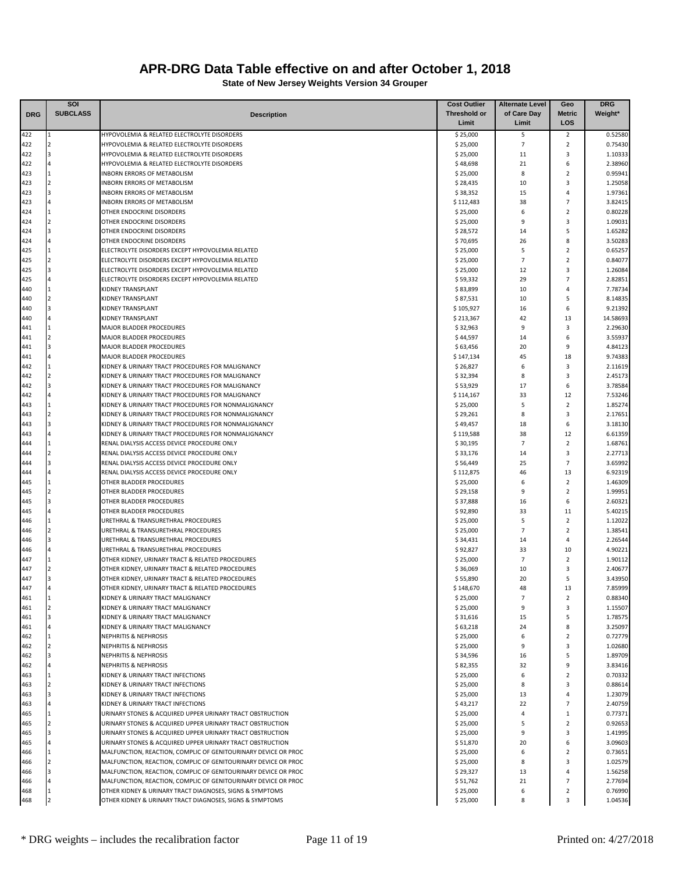|            | SOI             |                                                                                                      | <b>Cost Outlier</b>  | <b>Alternate Level</b> | Geo                     | <b>DRG</b>         |
|------------|-----------------|------------------------------------------------------------------------------------------------------|----------------------|------------------------|-------------------------|--------------------|
| <b>DRG</b> | <b>SUBCLASS</b> | <b>Description</b>                                                                                   | <b>Threshold or</b>  | of Care Day            | <b>Metric</b>           | Weight*            |
|            |                 |                                                                                                      | Limit                | Limit                  | LOS                     |                    |
| 422        |                 | HYPOVOLEMIA & RELATED ELECTROLYTE DISORDERS                                                          | \$25,000             | 5                      | 2                       | 0.52580            |
| 422        |                 | HYPOVOLEMIA & RELATED ELECTROLYTE DISORDERS                                                          | \$25,000             | $\overline{7}$         | $\overline{2}$          | 0.75430            |
| 422        | 3               | HYPOVOLEMIA & RELATED ELECTROLYTE DISORDERS                                                          | \$25,000             | 11                     | 3                       | 1.10333            |
| 422        |                 | HYPOVOLEMIA & RELATED ELECTROLYTE DISORDERS                                                          | \$48,698             | 21                     | 6                       | 2.38960            |
| 423        |                 | <b>INBORN ERRORS OF METABOLISM</b>                                                                   | \$25,000             | 8                      | $\overline{2}$          | 0.95941            |
| 423        |                 | <b>INBORN ERRORS OF METABOLISM</b>                                                                   | \$28,435             | 10                     | 3                       | 1.25058            |
| 423        |                 | <b>INBORN ERRORS OF METABOLISM</b>                                                                   | \$38,352             | 15                     | 4                       | 1.97361            |
| 423        |                 | INBORN ERRORS OF METABOLISM                                                                          | \$112,483            | 38                     | $\overline{7}$          | 3.82415            |
| 424        |                 | OTHER ENDOCRINE DISORDERS                                                                            | \$25,000             | 6                      | $\overline{2}$          | 0.80228            |
| 424        |                 | OTHER ENDOCRINE DISORDERS                                                                            | \$25,000             | 9                      | 3                       | 1.09031            |
| 424        | R               | OTHER ENDOCRINE DISORDERS                                                                            | \$28,572             | 14                     | 5                       | 1.65282            |
| 424        |                 | OTHER ENDOCRINE DISORDERS                                                                            | \$70,695             | 26                     | 8                       | 3.50283            |
| 425        | 1               | ELECTROLYTE DISORDERS EXCEPT HYPOVOLEMIA RELATED                                                     | \$25,000             | 5<br>$\overline{7}$    | $\overline{2}$          | 0.65257            |
| 425        |                 | ELECTROLYTE DISORDERS EXCEPT HYPOVOLEMIA RELATED                                                     | \$25,000             | 12                     | $\overline{2}$<br>3     | 0.84077            |
| 425<br>425 |                 | ELECTROLYTE DISORDERS EXCEPT HYPOVOLEMIA RELATED<br>ELECTROLYTE DISORDERS EXCEPT HYPOVOLEMIA RELATED | \$25,000             | 29                     | $\overline{7}$          | 1.26084<br>2.82851 |
| 440        | l 1             | <b>KIDNEY TRANSPLANT</b>                                                                             | \$59,332<br>\$83,899 | 10                     | 4                       | 7.78734            |
| 440        |                 | <b>KIDNEY TRANSPLANT</b>                                                                             | \$87,531             | 10                     | 5                       | 8.14835            |
| 440        |                 | KIDNEY TRANSPLANT                                                                                    | \$105,927            | 16                     | 6                       | 9.21392            |
| 440        |                 | KIDNEY TRANSPLANT                                                                                    | \$213,367            | 42                     | 13                      | 14.58693           |
| 441        |                 | MAJOR BLADDER PROCEDURES                                                                             | \$32,963             | 9                      | $\overline{\mathbf{3}}$ | 2.29630            |
| 441        |                 | MAJOR BLADDER PROCEDURES                                                                             | \$44,597             | 14                     | 6                       | 3.55937            |
| 441        | I٩              | MAJOR BLADDER PROCEDURES                                                                             | \$63,456             | 20                     | 9                       | 4.84123            |
| 441        |                 | <b>MAJOR BLADDER PROCEDURES</b>                                                                      | \$147,134            | 45                     | 18                      | 9.74383            |
| 442        | <b>11</b>       | KIDNEY & URINARY TRACT PROCEDURES FOR MALIGNANCY                                                     | \$26,827             | 6                      | 3                       | 2.11619            |
| 442        |                 | KIDNEY & URINARY TRACT PROCEDURES FOR MALIGNANCY                                                     | \$32,394             | 8                      | 3                       | 2.45173            |
| 442        |                 | KIDNEY & URINARY TRACT PROCEDURES FOR MALIGNANCY                                                     | \$53,929             | 17                     | 6                       | 3.78584            |
| 442        |                 | KIDNEY & URINARY TRACT PROCEDURES FOR MALIGNANCY                                                     | \$114,167            | 33                     | 12                      | 7.53246            |
| 443        | l 1             | KIDNEY & URINARY TRACT PROCEDURES FOR NONMALIGNANCY                                                  | \$25,000             | 5                      | $\overline{2}$          | 1.85274            |
| 443        |                 | KIDNEY & URINARY TRACT PROCEDURES FOR NONMALIGNANCY                                                  | \$29,261             | 8                      | 3                       | 2.17651            |
| 443        |                 | KIDNEY & URINARY TRACT PROCEDURES FOR NONMALIGNANCY                                                  | \$49,457             | 18                     | 6                       | 3.18130            |
| 443        |                 | KIDNEY & URINARY TRACT PROCEDURES FOR NONMALIGNANCY                                                  | \$119,588            | 38                     | 12                      | 6.61359            |
| 444        |                 | RENAL DIALYSIS ACCESS DEVICE PROCEDURE ONLY                                                          | \$30,195             | $\overline{7}$         | $\overline{2}$          | 1.68761            |
| 444        |                 | RENAL DIALYSIS ACCESS DEVICE PROCEDURE ONLY                                                          | \$33,176             | 14                     | $\overline{\mathbf{3}}$ | 2.27713            |
| 444        |                 | RENAL DIALYSIS ACCESS DEVICE PROCEDURE ONLY                                                          | \$56,449             | 25                     | 7                       | 3.65992            |
| 444        |                 | RENAL DIALYSIS ACCESS DEVICE PROCEDURE ONLY                                                          | \$112,875            | 46                     | 13                      | 6.92319            |
| 445        | <b>11</b>       | OTHER BLADDER PROCEDURES                                                                             | \$25,000             | 6                      | $\overline{2}$          | 1.46309            |
| 445        |                 | OTHER BLADDER PROCEDURES                                                                             | \$29,158             | 9                      | $\overline{2}$          | 1.99951            |
| 445        |                 | OTHER BLADDER PROCEDURES                                                                             | \$37,888             | 16                     | 6                       | 2.60321            |
| 445        |                 | OTHER BLADDER PROCEDURES                                                                             | \$92,890             | 33                     | 11                      | 5.40215            |
| 446        |                 | URETHRAL & TRANSURETHRAL PROCEDURES                                                                  | \$25,000             | 5                      | $\overline{2}$          | 1.12022            |
| 446        | 12              | URETHRAL & TRANSURETHRAL PROCEDURES                                                                  | \$25,000             | $\overline{7}$         | $\overline{2}$          | 1.38541            |
| 446        |                 | URETHRAL & TRANSURETHRAL PROCEDURES                                                                  | \$34,431             | 14                     | 4                       | 2.26544            |
| 446        |                 | URETHRAL & TRANSURETHRAL PROCEDURES                                                                  | \$92,827             | 33                     | 10                      | 4.90221            |
| 447        |                 | OTHER KIDNEY, URINARY TRACT & RELATED PROCEDURES                                                     | \$25,000             | $\overline{7}$         | $\overline{2}$          | 1.90112            |
| 447        |                 | OTHER KIDNEY, URINARY TRACT & RELATED PROCEDURES                                                     | \$36,069             | 10                     | 3                       | 2.40677            |
| 447        |                 | OTHER KIDNEY, URINARY TRACT & RELATED PROCEDURES                                                     | \$55,890             | 20                     | 5                       | 3.43950            |
| 447        |                 | OTHER KIDNEY, URINARY TRACT & RELATED PROCEDURES                                                     | \$148,670            | 48                     | 13                      | 7.85999            |
| 461        | $\mathbf{11}$   | KIDNEY & URINARY TRACT MALIGNANCY                                                                    | \$25,000             | $\overline{7}$         | $\overline{2}$          | 0.88340            |
| 461<br>461 | 2<br>3          | KIDNEY & URINARY TRACT MALIGNANCY<br>KIDNEY & URINARY TRACT MALIGNANCY                               | \$25,000<br>\$31,616 | 9<br>15                | 3<br>5                  | 1.15507<br>1.78575 |
| 461        |                 | KIDNEY & URINARY TRACT MALIGNANCY                                                                    | \$63,218             | 24                     | 8                       | 3.25097            |
| 462        | 1               | <b>NEPHRITIS &amp; NEPHROSIS</b>                                                                     | \$25,000             | 6                      | $\overline{2}$          | 0.72779            |
| 462        | <b>2</b>        | <b>NEPHRITIS &amp; NEPHROSIS</b>                                                                     | \$25,000             | 9                      | 3                       | 1.02680            |
| 462        | 3               | NEPHRITIS & NEPHROSIS                                                                                | \$34,596             | 16                     | 5                       | 1.89709            |
| 462        |                 | NEPHRITIS & NEPHROSIS                                                                                | \$82,355             | 32                     | 9                       | 3.83416            |
| 463        |                 | KIDNEY & URINARY TRACT INFECTIONS                                                                    | \$25,000             | 6                      | $\overline{2}$          | 0.70332            |
| 463        |                 | KIDNEY & URINARY TRACT INFECTIONS                                                                    | \$25,000             | 8                      | 3                       | 0.88614            |
| 463        |                 | KIDNEY & URINARY TRACT INFECTIONS                                                                    | \$25,000             | 13                     | 4                       | 1.23079            |
| 463        |                 | KIDNEY & URINARY TRACT INFECTIONS                                                                    | \$43,217             | 22                     | $\overline{7}$          | 2.40759            |
| 465        | $\mathbf{1}$    | URINARY STONES & ACQUIRED UPPER URINARY TRACT OBSTRUCTION                                            | \$25,000             | 4                      | 1                       | 0.77371            |
| 465        | <b>2</b>        | URINARY STONES & ACQUIRED UPPER URINARY TRACT OBSTRUCTION                                            | \$25,000             | 5                      | $\overline{2}$          | 0.92653            |
| 465        | 3               | URINARY STONES & ACQUIRED UPPER URINARY TRACT OBSTRUCTION                                            | \$25,000             | 9                      | 3                       | 1.41995            |
| 465        |                 | URINARY STONES & ACQUIRED UPPER URINARY TRACT OBSTRUCTION                                            | \$51,870             | 20                     | 6                       | 3.09603            |
| 466        | 1               | MALFUNCTION, REACTION, COMPLIC OF GENITOURINARY DEVICE OR PROC                                       | \$25,000             | 6                      | $\overline{2}$          | 0.73651            |
| 466        |                 | MALFUNCTION, REACTION, COMPLIC OF GENITOURINARY DEVICE OR PROC                                       | \$25,000             | 8                      | 3                       | 1.02579            |
| 466        | <b>3</b>        | MALFUNCTION, REACTION, COMPLIC OF GENITOURINARY DEVICE OR PROC                                       | \$29,327             | 13                     | 4                       | 1.56258            |
| 466        |                 | MALFUNCTION, REACTION, COMPLIC OF GENITOURINARY DEVICE OR PROC                                       | \$51,762             | 21                     | 7                       | 2.77694            |
| 468        |                 | OTHER KIDNEY & URINARY TRACT DIAGNOSES, SIGNS & SYMPTOMS                                             | \$25,000             | 6                      | $\overline{2}$          | 0.76990            |
| 468        |                 | OTHER KIDNEY & URINARY TRACT DIAGNOSES, SIGNS & SYMPTOMS                                             | \$25,000             | 8                      | 3                       | 1.04536            |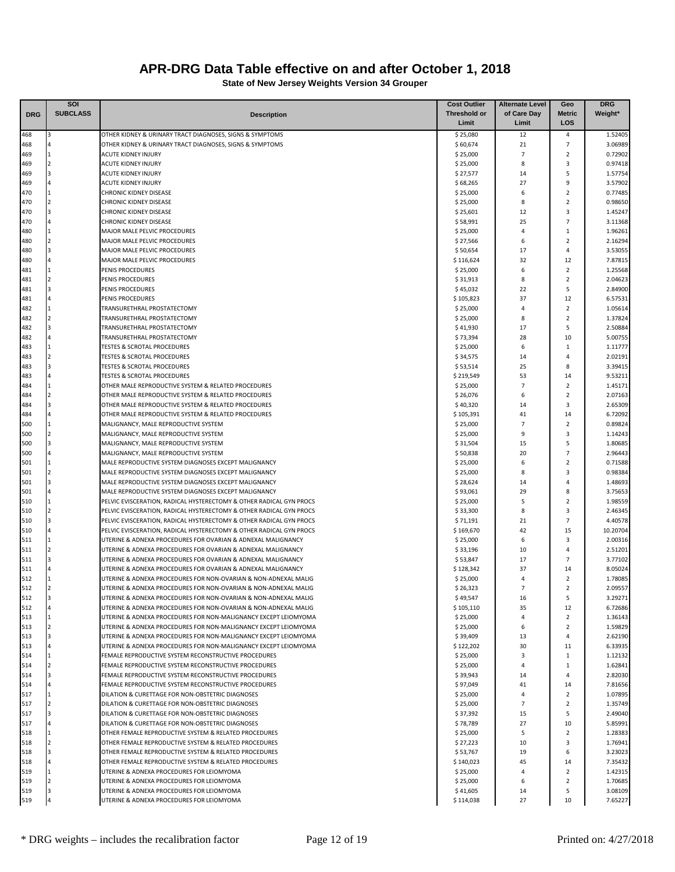|            | <b>SOI</b>      |                                                                                                                             | <b>Cost Outlier</b>   | <b>Alternate Level</b> | Geo                          | <b>DRG</b>         |
|------------|-----------------|-----------------------------------------------------------------------------------------------------------------------------|-----------------------|------------------------|------------------------------|--------------------|
| <b>DRG</b> | <b>SUBCLASS</b> | <b>Description</b>                                                                                                          | Threshold or          | of Care Day            | Metric                       | Weight*            |
|            |                 |                                                                                                                             | Limit                 | Limit                  | LOS                          |                    |
| 468        |                 | OTHER KIDNEY & URINARY TRACT DIAGNOSES, SIGNS & SYMPTOMS                                                                    | \$25,080              | 12                     | 4                            | 1.52405            |
| 468        | 11              | OTHER KIDNEY & URINARY TRACT DIAGNOSES, SIGNS & SYMPTOMS<br><b>ACUTE KIDNEY INJURY</b>                                      | \$60,674              | 21<br>$\overline{7}$   | 7<br>$\overline{2}$          | 3.06989<br>0.72902 |
| 469<br>469 | $\overline{2}$  | <b>ACUTE KIDNEY INJURY</b>                                                                                                  | \$25,000<br>\$25,000  | 8                      | 3                            | 0.97418            |
| 469        |                 | <b>ACUTE KIDNEY INJURY</b>                                                                                                  | \$27,577              | 14                     | 5                            | 1.57754            |
| 469        |                 | <b>ACUTE KIDNEY INJURY</b>                                                                                                  | \$68,265              | 27                     | 9                            | 3.57902            |
| 470        | 1               | <b>CHRONIC KIDNEY DISEASE</b>                                                                                               | \$25,000              | 6                      | $\overline{2}$               | 0.77485            |
| 470        |                 | <b>CHRONIC KIDNEY DISEASE</b>                                                                                               | \$25,000              | 8                      | $\overline{2}$               | 0.98650            |
| 470        | 3               | <b>CHRONIC KIDNEY DISEASE</b>                                                                                               | \$25,601              | 12                     | 3                            | 1.45247            |
| 470        |                 | <b>CHRONIC KIDNEY DISEASE</b>                                                                                               | \$58,991              | 25                     | $\overline{7}$               | 3.11368            |
| 480        |                 | MAJOR MALE PELVIC PROCEDURES                                                                                                | \$25,000              | 4                      | 1                            | 1.96261            |
| 480        |                 | <b>MAJOR MALE PELVIC PROCEDURES</b>                                                                                         | \$27,566              | 6                      | $\overline{2}$               | 2.16294            |
| 480        |                 | MAJOR MALE PELVIC PROCEDURES                                                                                                | \$50,654              | 17                     | 4                            | 3.53055            |
| 480        |                 | MAJOR MALE PELVIC PROCEDURES                                                                                                | \$116,624             | 32                     | 12                           | 7.87815            |
| 481        | 11              | PENIS PROCEDURES                                                                                                            | \$25,000              | 6                      | $\overline{2}$               | 1.25568            |
| 481        |                 | PENIS PROCEDURES                                                                                                            | \$31,913              | 8                      | $\overline{2}$               | 2.04623            |
| 481<br>481 | 3               | PENIS PROCEDURES<br>PENIS PROCEDURES                                                                                        | \$45,032<br>\$105,823 | 22<br>37               | 5<br>12                      | 2.84900<br>6.57531 |
| 482        | 1               | TRANSURETHRAL PROSTATECTOMY                                                                                                 | \$25,000              | 4                      | $\overline{2}$               | 1.05614            |
| 482        |                 | TRANSURETHRAL PROSTATECTOMY                                                                                                 | \$25,000              | 8                      | $\overline{2}$               | 1.37824            |
| 482        | R               | TRANSURETHRAL PROSTATECTOMY                                                                                                 | \$41,930              | 17                     | 5                            | 2.50884            |
| 482        |                 | TRANSURETHRAL PROSTATECTOMY                                                                                                 | \$73,394              | 28                     | 10                           | 5.00755            |
| 483        |                 | <b>TESTES &amp; SCROTAL PROCEDURES</b>                                                                                      | \$25,000              | 6                      | $\mathbf{1}$                 | 1.11777            |
| 483        |                 | <b>TESTES &amp; SCROTAL PROCEDURES</b>                                                                                      | \$34,575              | 14                     | 4                            | 2.02191            |
| 483        |                 | <b>TESTES &amp; SCROTAL PROCEDURES</b>                                                                                      | \$53,514              | 25                     | 8                            | 3.39415            |
| 483        |                 | <b>TESTES &amp; SCROTAL PROCEDURES</b>                                                                                      | \$219,549             | 53                     | 14                           | 9.53211            |
| 484        | $\mathbf{1}$    | OTHER MALE REPRODUCTIVE SYSTEM & RELATED PROCEDURES                                                                         | \$25,000              | 7                      | $\overline{2}$               | 1.45171            |
| 484        |                 | OTHER MALE REPRODUCTIVE SYSTEM & RELATED PROCEDURES                                                                         | \$26,076              | 6                      | $\overline{2}$               | 2.07163            |
| 484        | $\overline{a}$  | OTHER MALE REPRODUCTIVE SYSTEM & RELATED PROCEDURES                                                                         | \$40,320              | 14                     | 3                            | 2.65309            |
| 484        |                 | OTHER MALE REPRODUCTIVE SYSTEM & RELATED PROCEDURES                                                                         | \$105,391             | 41                     | 14                           | 6.72092            |
| 500        | 1               | MALIGNANCY, MALE REPRODUCTIVE SYSTEM                                                                                        | \$25,000              | $\overline{7}$         | $\overline{2}$               | 0.89824            |
| 500        |                 | MALIGNANCY, MALE REPRODUCTIVE SYSTEM                                                                                        | \$25,000              | 9                      | 3                            | 1.14243            |
| 500        |                 | MALIGNANCY, MALE REPRODUCTIVE SYSTEM                                                                                        | \$31,504              | 15                     | 5                            | 1.80685            |
| 500        |                 | MALIGNANCY, MALE REPRODUCTIVE SYSTEM                                                                                        | \$50,838              | 20                     | 7                            | 2.96443            |
| 501        | 1               | MALE REPRODUCTIVE SYSTEM DIAGNOSES EXCEPT MALIGNANCY                                                                        | \$25,000              | 6                      | $\overline{2}$               | 0.71588            |
| 501        |                 | MALE REPRODUCTIVE SYSTEM DIAGNOSES EXCEPT MALIGNANCY                                                                        | \$25,000              | 8                      | 3                            | 0.98384            |
| 501        |                 | MALE REPRODUCTIVE SYSTEM DIAGNOSES EXCEPT MALIGNANCY                                                                        | \$28,624              | 14                     | 4                            | 1.48693            |
| 501<br>510 |                 | MALE REPRODUCTIVE SYSTEM DIAGNOSES EXCEPT MALIGNANCY<br>PELVIC EVISCERATION, RADICAL HYSTERECTOMY & OTHER RADICAL GYN PROCS | \$93,061              | 29<br>5                | 8<br>$\overline{2}$          | 3.75653<br>1.98559 |
| 510        | $\overline{2}$  | PELVIC EVISCERATION, RADICAL HYSTERECTOMY & OTHER RADICAL GYN PROCS                                                         | \$25,000<br>\$33,300  | 8                      | 3                            | 2.46345            |
| 510        | 3               | PELVIC EVISCERATION, RADICAL HYSTERECTOMY & OTHER RADICAL GYN PROCS                                                         | \$71,191              | 21                     | $\overline{7}$               | 4.40578            |
| 510        |                 | PELVIC EVISCERATION, RADICAL HYSTERECTOMY & OTHER RADICAL GYN PROCS                                                         | \$169,670             | 42                     | 15                           | 10.20704           |
| 511        |                 | UTERINE & ADNEXA PROCEDURES FOR OVARIAN & ADNEXAL MALIGNANCY                                                                | \$25,000              | 6                      | 3                            | 2.00316            |
| 511        |                 | UTERINE & ADNEXA PROCEDURES FOR OVARIAN & ADNEXAL MALIGNANCY                                                                | \$33,196              | 10                     | 4                            | 2.51201            |
| 511        |                 | UTERINE & ADNEXA PROCEDURES FOR OVARIAN & ADNEXAL MALIGNANCY                                                                | \$53,847              | 17                     | 7                            | 3.77102            |
| 511        |                 | UTERINE & ADNEXA PROCEDURES FOR OVARIAN & ADNEXAL MALIGNANCY                                                                | \$128,342             | 37                     | 14                           | 8.05024            |
| 512        |                 | UTERINE & ADNEXA PROCEDURES FOR NON-OVARIAN & NON-ADNEXAL MALIG                                                             | \$25,000              | 4                      | $\overline{2}$               | 1.78085            |
| 512        |                 | UTERINE & ADNEXA PROCEDURES FOR NON-OVARIAN & NON-ADNEXAL MALIG                                                             | \$26,323              | $\overline{7}$         | $\overline{2}$               | 2.09557            |
| 512        | 3               | UTERINE & ADNEXA PROCEDURES FOR NON-OVARIAN & NON-ADNEXAL MALIG                                                             | \$49,547              | 16                     | 5                            | 3.29271            |
| 512        |                 | UTERINE & ADNEXA PROCEDURES FOR NON-OVARIAN & NON-ADNEXAL MALIG                                                             | \$105,110             | 35                     | 12                           | 6.72686            |
| 513        | 1               | UTERINE & ADNEXA PROCEDURES FOR NON-MALIGNANCY EXCEPT LEIOMYOMA                                                             | \$25,000              | 4                      | $\overline{2}$               | 1.36143            |
| 513        |                 | UTERINE & ADNEXA PROCEDURES FOR NON-MALIGNANCY EXCEPT LEIOMYOMA                                                             | \$25,000              | 6                      | $\overline{2}$               | 1.59829            |
| 513        | 3               | UTERINE & ADNEXA PROCEDURES FOR NON-MALIGNANCY EXCEPT LEIOMYOMA                                                             | \$39,409              | 13                     | 4                            | 2.62190            |
| 513        | 1               | UTERINE & ADNEXA PROCEDURES FOR NON-MALIGNANCY EXCEPT LEIOMYOMA                                                             | \$122,202             | 30                     | 11                           | 6.33935            |
| 514<br>514 | <b>2</b>        | FEMALE REPRODUCTIVE SYSTEM RECONSTRUCTIVE PROCEDURES<br>FEMALE REPRODUCTIVE SYSTEM RECONSTRUCTIVE PROCEDURES                | \$25,000<br>\$25,000  | 3<br>4                 | $\mathbf{1}$<br>$\mathbf{1}$ | 1.12132<br>1.62841 |
| 514        | 3               | FEMALE REPRODUCTIVE SYSTEM RECONSTRUCTIVE PROCEDURES                                                                        | \$39,943              | 14                     | 4                            | 2.82030            |
| 514        | $\overline{4}$  | FEMALE REPRODUCTIVE SYSTEM RECONSTRUCTIVE PROCEDURES                                                                        | \$97,049              | 41                     | 14                           | 7.81656            |
| 517        | 1               | DILATION & CURETTAGE FOR NON-OBSTETRIC DIAGNOSES                                                                            | \$25,000              | 4                      | $\overline{2}$               | 1.07895            |
| 517        | 2               | DILATION & CURETTAGE FOR NON-OBSTETRIC DIAGNOSES                                                                            | \$25,000              | $\overline{7}$         | $\overline{2}$               | 1.35749            |
| 517        | 3               | DILATION & CURETTAGE FOR NON-OBSTETRIC DIAGNOSES                                                                            | \$37,392              | 15                     | 5                            | 2.49040            |
| 517        |                 | DILATION & CURETTAGE FOR NON-OBSTETRIC DIAGNOSES                                                                            | \$78,789              | 27                     | 10                           | 5.85991            |
| 518        |                 | OTHER FEMALE REPRODUCTIVE SYSTEM & RELATED PROCEDURES                                                                       | \$25,000              | 5                      | $\overline{2}$               | 1.28383            |
| 518        |                 | OTHER FEMALE REPRODUCTIVE SYSTEM & RELATED PROCEDURES                                                                       | \$27,223              | 10                     | 3                            | 1.76941            |
| 518        | 3               | OTHER FEMALE REPRODUCTIVE SYSTEM & RELATED PROCEDURES                                                                       | \$53,767              | 19                     | 6                            | 3.23023            |
| 518        |                 | OTHER FEMALE REPRODUCTIVE SYSTEM & RELATED PROCEDURES                                                                       | \$140,023             | 45                     | 14                           | 7.35432            |
| 519        | 11              | UTERINE & ADNEXA PROCEDURES FOR LEIOMYOMA                                                                                   | \$25,000              | 4                      | $\overline{2}$               | 1.42315            |
| 519        |                 | UTERINE & ADNEXA PROCEDURES FOR LEIOMYOMA                                                                                   | \$25,000              | 6                      | $\overline{2}$               | 1.70685            |
| 519        | 3               | UTERINE & ADNEXA PROCEDURES FOR LEIOMYOMA                                                                                   | \$41,605              | 14                     | 5                            | 3.08109            |
| 519        |                 | UTERINE & ADNEXA PROCEDURES FOR LEIOMYOMA                                                                                   | \$114,038             | 27                     | 10                           | 7.65227            |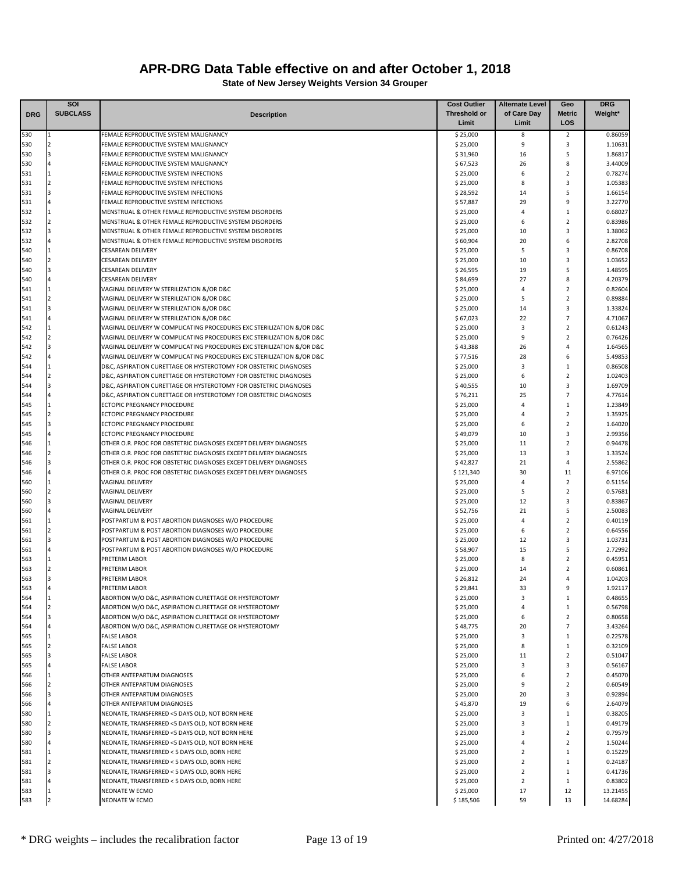|            | SOI               |                                                                                                                    | <b>Cost Outlier</b>   | <b>Alternate Level</b>           | Geo                            | <b>DRG</b>           |
|------------|-------------------|--------------------------------------------------------------------------------------------------------------------|-----------------------|----------------------------------|--------------------------------|----------------------|
| <b>DRG</b> | <b>SUBCLASS</b>   | <b>Description</b>                                                                                                 | <b>Threshold or</b>   | of Care Day                      | <b>Metric</b>                  | Weight*              |
|            |                   |                                                                                                                    | Limit                 | Limit                            | LOS                            |                      |
| 530<br>530 | 1                 | FEMALE REPRODUCTIVE SYSTEM MALIGNANCY<br>FEMALE REPRODUCTIVE SYSTEM MALIGNANCY                                     | \$25,000<br>\$25,000  | 8<br>9                           | $\overline{2}$<br>3            | 0.86059<br>1.10631   |
| 530        |                   | FEMALE REPRODUCTIVE SYSTEM MALIGNANCY                                                                              | \$31,960              | 16                               | 5                              | 1.86817              |
| 530        |                   | FEMALE REPRODUCTIVE SYSTEM MALIGNANCY                                                                              | \$67,523              | 26                               | 8                              | 3.44009              |
| 531        | 11                | FEMALE REPRODUCTIVE SYSTEM INFECTIONS                                                                              | \$25,000              | 6                                | $\overline{2}$                 | 0.78274              |
| 531        | $\overline{2}$    | FEMALE REPRODUCTIVE SYSTEM INFECTIONS                                                                              | \$25,000              | 8                                | 3                              | 1.05383              |
| 531        | 3                 | FEMALE REPRODUCTIVE SYSTEM INFECTIONS                                                                              | \$28,592              | 14                               | 5                              | 1.66154              |
| 531        |                   | FEMALE REPRODUCTIVE SYSTEM INFECTIONS                                                                              | \$57,887              | 29                               | 9                              | 3.22770              |
| 532        | 1                 | MENSTRUAL & OTHER FEMALE REPRODUCTIVE SYSTEM DISORDERS                                                             | \$25,000              | $\overline{4}$                   | 1<br>$\overline{2}$            | 0.68027              |
| 532<br>532 | 3                 | MENSTRUAL & OTHER FEMALE REPRODUCTIVE SYSTEM DISORDERS<br>MENSTRUAL & OTHER FEMALE REPRODUCTIVE SYSTEM DISORDERS   | \$25,000<br>\$25,000  | 6<br>10                          | 3                              | 0.83986<br>1.38062   |
| 532        | $\Delta$          | MENSTRUAL & OTHER FEMALE REPRODUCTIVE SYSTEM DISORDERS                                                             | \$60,904              | 20                               | 6                              | 2.82708              |
| 540        | 1                 | <b>CFSARFAN DFLIVERY</b>                                                                                           | \$25,000              | 5                                | 3                              | 0.86708              |
| 540        | $\overline{2}$    | <b>CESAREAN DELIVERY</b>                                                                                           | \$25,000              | 10                               | 3                              | 1.03652              |
| 540        |                   | <b>CESAREAN DELIVERY</b>                                                                                           | \$26,595              | 19                               | 5                              | 1.48595              |
| 540        |                   | <b>CESAREAN DELIVERY</b>                                                                                           | \$84,699              | 27                               | 8                              | 4.20379              |
| 541        |                   | VAGINAL DELIVERY W STERILIZATION &/OR D&C                                                                          | \$25,000              | $\overline{4}$                   | $\overline{2}$                 | 0.82604              |
| 541        | $\overline{2}$    | VAGINAL DELIVERY W STERILIZATION &/OR D&C                                                                          | \$25,000              | 5                                | $\overline{2}$                 | 0.89884              |
| 541        | 3                 | VAGINAL DELIVERY W STERILIZATION &/OR D&C                                                                          | \$25,000              | 14<br>22                         | 3<br>$\overline{7}$            | 1.33824              |
| 541<br>542 |                   | VAGINAL DELIVERY W STERILIZATION &/OR D&C<br>VAGINAL DELIVERY W COMPLICATING PROCEDURES EXC STERILIZATION &/OR D&C | \$67,023<br>\$25,000  | $\overline{\mathbf{3}}$          | $\overline{2}$                 | 4.71067<br>0.61243   |
| 542        |                   | VAGINAL DELIVERY W COMPLICATING PROCEDURES EXC STERILIZATION &/OR D&C                                              | \$25,000              | 9                                | $\overline{2}$                 | 0.76426              |
| 542        |                   | VAGINAL DELIVERY W COMPLICATING PROCEDURES EXC STERILIZATION &/OR D&C                                              | \$43,388              | 26                               | 4                              | 1.64565              |
| 542        |                   | VAGINAL DELIVERY W COMPLICATING PROCEDURES EXC STERILIZATION &/OR D&C                                              | \$77,516              | 28                               | 6                              | 5.49853              |
| 544        | l 1               | D&C, ASPIRATION CURETTAGE OR HYSTEROTOMY FOR OBSTETRIC DIAGNOSES                                                   | \$25,000              | 3                                | 1                              | 0.86508              |
| 544        | $\overline{2}$    | D&C, ASPIRATION CURETTAGE OR HYSTEROTOMY FOR OBSTETRIC DIAGNOSES                                                   | \$25,000              | 6                                | $\overline{2}$                 | 1.02403              |
| 544        |                   | D&C, ASPIRATION CURETTAGE OR HYSTEROTOMY FOR OBSTETRIC DIAGNOSES                                                   | \$40,555              | 10                               | 3                              | 1.69709              |
| 544        |                   | D&C, ASPIRATION CURETTAGE OR HYSTEROTOMY FOR OBSTETRIC DIAGNOSES                                                   | \$76,211              | 25                               | $\overline{7}$                 | 4.77614              |
| 545        | $\overline{2}$    | ECTOPIC PREGNANCY PROCEDURE<br>ECTOPIC PREGNANCY PROCEDURE                                                         | \$25,000              | $\overline{4}$<br>$\overline{4}$ | $\mathbf{1}$<br>$\overline{2}$ | 1.23849              |
| 545<br>545 | 3                 | ECTOPIC PREGNANCY PROCEDURE                                                                                        | \$25,000<br>\$25,000  | 6                                | $\overline{2}$                 | 1.35925<br>1.64020   |
| 545        |                   | ECTOPIC PREGNANCY PROCEDURE                                                                                        | \$49,079              | 10                               | 3                              | 2.99356              |
| 546        | <b>11</b>         | OTHER O.R. PROC FOR OBSTETRIC DIAGNOSES EXCEPT DELIVERY DIAGNOSES                                                  | \$25,000              | 11                               | $\overline{2}$                 | 0.94478              |
| 546        |                   | OTHER O.R. PROC FOR OBSTETRIC DIAGNOSES EXCEPT DELIVERY DIAGNOSES                                                  | \$25,000              | 13                               | 3                              | 1.33524              |
| 546        |                   | OTHER O.R. PROC FOR OBSTETRIC DIAGNOSES EXCEPT DELIVERY DIAGNOSES                                                  | \$42,827              | 21                               | 4                              | 2.55862              |
| 546        |                   | OTHER O.R. PROC FOR OBSTETRIC DIAGNOSES EXCEPT DELIVERY DIAGNOSES                                                  | \$121,340             | 30                               | 11                             | 6.97106              |
| 560        | <b>11</b>         | <b>VAGINAL DELIVERY</b>                                                                                            | \$25,000              | $\overline{4}$                   | $\overline{2}$                 | 0.51154              |
| 560        | $\overline{2}$    | <b>VAGINAL DELIVERY</b>                                                                                            | \$25,000              | 5                                | $\overline{2}$                 | 0.57681              |
| 560        | 3                 | <b>VAGINAL DELIVERY</b>                                                                                            | \$25,000              | 12<br>21                         | 3<br>5                         | 0.83867<br>2.50083   |
| 560<br>561 |                   | VAGINAL DELIVERY<br>POSTPARTUM & POST ABORTION DIAGNOSES W/O PROCEDURE                                             | \$52,756<br>\$25,000  | $\overline{4}$                   | $\overline{2}$                 | 0.40119              |
| 561        |                   | POSTPARTUM & POST ABORTION DIAGNOSES W/O PROCEDURE                                                                 | \$25,000              | 6                                | $\overline{2}$                 | 0.64556              |
| 561        | l 3               | POSTPARTUM & POST ABORTION DIAGNOSES W/O PROCEDURE                                                                 | \$25,000              | 12                               | 3                              | 1.03731              |
| 561        |                   | POSTPARTUM & POST ABORTION DIAGNOSES W/O PROCEDURE                                                                 | \$58,907              | 15                               | 5                              | 2.72992              |
| 563        | 1                 | PRETERM LABOR                                                                                                      | \$25,000              | 8                                | $\overline{2}$                 | 0.45951              |
| 563        |                   | PRETERM LABOR                                                                                                      | \$25,000              | 14                               | $\overline{2}$                 | 0.60861              |
| 563        |                   | PRETERM LABOR                                                                                                      | \$26,812              | 24                               | 4                              | 1.04203              |
| 563        |                   | PRETERM LABOR                                                                                                      | \$29,841              | 33                               | 9                              | 1.92117              |
| 564        | $\mathbf{1}$<br>2 | ABORTION W/O D&C, ASPIRATION CURETTAGE OR HYSTEROTOMY                                                              | \$25,000<br>\$25,000  | 3<br>$\overline{4}$              | $\mathbf{1}$<br>$\mathbf{1}$   | 0.48655<br>0.56798   |
| 564<br>564 | 3                 | ABORTION W/O D&C, ASPIRATION CURETTAGE OR HYSTEROTOMY<br>ABORTION W/O D&C, ASPIRATION CURETTAGE OR HYSTEROTOMY     | \$25,000              | 6                                | $\overline{2}$                 | 0.80658              |
| 564        |                   | ABORTION W/O D&C, ASPIRATION CURETTAGE OR HYSTEROTOMY                                                              | \$48,775              | 20                               | 7                              | 3.43264              |
| 565        |                   | <b>FALSE LABOR</b>                                                                                                 | \$25,000              | 3                                | 1                              | 0.22578              |
| 565        |                   | <b>FALSE LABOR</b>                                                                                                 | \$25,000              | 8                                | $1\,$                          | 0.32109              |
| 565        |                   | <b>FALSE LABOR</b>                                                                                                 | \$25,000              | 11                               | $\overline{2}$                 | 0.51047              |
| 565        |                   | <b>FALSE LABOR</b>                                                                                                 | \$25,000              | 3                                | 3                              | 0.56167              |
| 566        | $\mathbf{1}$      | OTHER ANTEPARTUM DIAGNOSES                                                                                         | \$25,000              | 6                                | $\overline{2}$                 | 0.45070              |
| 566        | <b>2</b><br>3     | OTHER ANTEPARTUM DIAGNOSES                                                                                         | \$25,000              | 9                                | $\overline{2}$                 | 0.60549              |
| 566<br>566 |                   | OTHER ANTEPARTUM DIAGNOSES<br>OTHER ANTEPARTUM DIAGNOSES                                                           | \$25,000<br>\$45,870  | 20<br>19                         | 3<br>6                         | 0.92894<br>2.64079   |
| 580        | 1                 | NEONATE, TRANSFERRED <5 DAYS OLD, NOT BORN HERE                                                                    | \$25,000              | 3                                | 1                              | 0.38205              |
| 580        | $\overline{2}$    | NEONATE, TRANSFERRED <5 DAYS OLD, NOT BORN HERE                                                                    | \$25,000              | 3                                | 1                              | 0.49179              |
| 580        | 3                 | NEONATE, TRANSFERRED <5 DAYS OLD, NOT BORN HERE                                                                    | \$25,000              | 3                                | $\overline{2}$                 | 0.79579              |
| 580        |                   | NEONATE, TRANSFERRED <5 DAYS OLD, NOT BORN HERE                                                                    | \$25,000              | $\overline{4}$                   | $\overline{2}$                 | 1.50244              |
| 581        | 1                 | NEONATE, TRANSFERRED < 5 DAYS OLD, BORN HERE                                                                       | \$25,000              | $\overline{2}$                   | 1                              | 0.15229              |
| 581        |                   | NEONATE, TRANSFERRED < 5 DAYS OLD, BORN HERE                                                                       | \$25,000              | $\overline{2}$                   | 1                              | 0.24187              |
| 581        |                   | NEONATE, TRANSFERRED < 5 DAYS OLD, BORN HERE                                                                       | \$25,000              | $\overline{2}$                   | $1\,$                          | 0.41736              |
| 581        |                   | NEONATE, TRANSFERRED < 5 DAYS OLD, BORN HERE                                                                       | \$25,000              | $\overline{2}$                   | $\mathbf{1}$                   | 0.83802              |
| 583<br>583 | <b>11</b>         | NEONATE W ECMO<br>NEONATE W ECMO                                                                                   | \$25,000<br>\$185,506 | 17<br>59                         | 12<br>13                       | 13.21455<br>14.68284 |
|            |                   |                                                                                                                    |                       |                                  |                                |                      |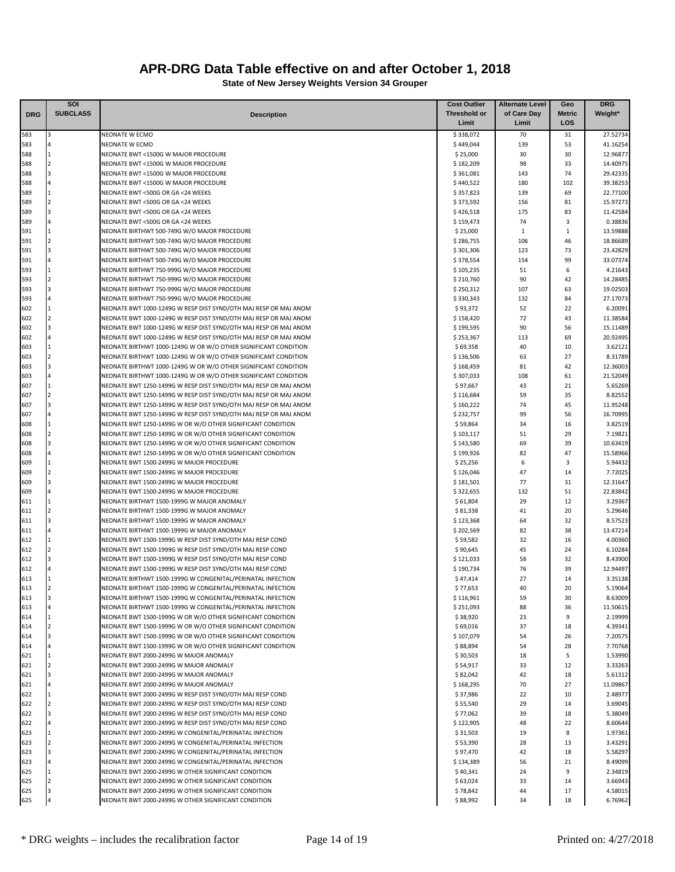|            | SOI                              |                                                                                                                            | <b>Cost Outlier</b>    | <b>Alternate Level</b> | Geo           | <b>DRG</b>           |
|------------|----------------------------------|----------------------------------------------------------------------------------------------------------------------------|------------------------|------------------------|---------------|----------------------|
| <b>DRG</b> | <b>SUBCLASS</b>                  | <b>Description</b>                                                                                                         | Threshold or           | of Care Day            | <b>Metric</b> | Weight*              |
|            |                                  |                                                                                                                            | Limit                  | Limit                  | LOS           |                      |
| 583        | $\overline{3}$                   | NEONATE W ECMO                                                                                                             | \$338,072              | 70                     | 31            | 27.52734             |
| 583        |                                  | NEONATE W ECMO                                                                                                             | \$449,044              | 139                    | 53            | 41.16254             |
| 588<br>588 | $\mathbf{1}$<br>$\overline{2}$   | NEONATE BWT <1500G W MAJOR PROCEDURE<br>NEONATE BWT <1500G W MAJOR PROCEDURE                                               | \$25,000<br>\$182,209  | 30<br>98               | 30<br>33      | 12.96877<br>14.40975 |
| 588        | $\overline{3}$                   | NEONATE BWT <1500G W MAJOR PROCEDURE                                                                                       | \$361,081              | 143                    | 74            | 29.42335             |
| 588        | $\Delta$                         | NEONATE BWT <1500G W MAJOR PROCEDURE                                                                                       | \$440,522              | 180                    | 102           | 39.38253             |
| 589        | 1                                | NEONATE BWT <500G OR GA <24 WEEKS                                                                                          | \$357,823              | 139                    | 69            | 22.77100             |
| 589        | $\overline{2}$                   | NEONATE BWT <500G OR GA <24 WEEKS                                                                                          | \$373,592              | 156                    | 81            | 15.97273             |
| 589        | $\overline{3}$                   | NEONATE BWT <500G OR GA <24 WEEKS                                                                                          | \$426,518              | 175                    | 83            | 11.42584             |
| 589        |                                  | NEONATE BWT <500G OR GA <24 WEEKS                                                                                          | \$159,473              | 74                     | 3             | 0.38836              |
| 591        | $\overline{1}$                   | NEONATE BIRTHWT 500-749G W/O MAJOR PROCEDURE                                                                               | \$25,000               | 1                      | $\mathbf{1}$  | 13.59888             |
| 591        | $\overline{2}$                   | NEONATE BIRTHWT 500-749G W/O MAJOR PROCEDURE                                                                               | \$286,755              | 106                    | 46            | 18.86689             |
| 591        | $\overline{3}$                   | NEONATE BIRTHWT 500-749G W/O MAJOR PROCEDURE                                                                               | \$301,306              | 123                    | 73            | 23.42829             |
| 591        | $\Delta$                         | NEONATE BIRTHWT 500-749G W/O MAJOR PROCEDURE                                                                               | \$378,554              | 154                    | 99            | 33.07374             |
| 593<br>593 | $\overline{1}$<br>$\overline{2}$ | NEONATE BIRTHWT 750-999G W/O MAJOR PROCEDURE<br>NEONATE BIRTHWT 750-999G W/O MAJOR PROCEDURE                               | \$105,235<br>\$210,760 | 51<br>90               | 6<br>42       | 4.21643<br>14.28485  |
| 593        | $\overline{3}$                   | NEONATE BIRTHWT 750-999G W/O MAJOR PROCEDURE                                                                               | \$250,312              | 107                    | 63            | 19.02503             |
| 593        |                                  | NEONATE BIRTHWT 750-999G W/O MAJOR PROCEDURE                                                                               | \$330,343              | 132                    | 84            | 27.17073             |
| 602        |                                  | NEONATE BWT 1000-1249G W RESP DIST SYND/OTH MAJ RESP OR MAJ ANOM                                                           | \$93,372               | 52                     | 22            | 6.20091              |
| 602        | $\overline{2}$                   | NEONATE BWT 1000-1249G W RESP DIST SYND/OTH MAJ RESP OR MAJ ANOM                                                           | \$158,420              | 72                     | 43            | 11.38584             |
| 602        | $\overline{3}$                   | NEONATE BWT 1000-1249G W RESP DIST SYND/OTH MAJ RESP OR MAJ ANOM                                                           | \$199,595              | 90                     | 56            | 15.11489             |
| 602        |                                  | NEONATE BWT 1000-1249G W RESP DIST SYND/OTH MAJ RESP OR MAJ ANOM                                                           | \$253,367              | 113                    | 69            | 20.92495             |
| 603        | $\mathbf{1}$                     | NEONATE BIRTHWT 1000-1249G W OR W/O OTHER SIGNIFICANT CONDITION                                                            | \$69,358               | 40                     | 10            | 3.62121              |
| 603        | $\overline{2}$                   | NEONATE BIRTHWT 1000-1249G W OR W/O OTHER SIGNIFICANT CONDITION                                                            | \$136,506              | 63                     | 27            | 8.31789              |
| 603        | 3                                | NEONATE BIRTHWT 1000-1249G W OR W/O OTHER SIGNIFICANT CONDITION                                                            | \$168,459              | 81                     | 42            | 12.36003             |
| 603        |                                  | NEONATE BIRTHWT 1000-1249G W OR W/O OTHER SIGNIFICANT CONDITION                                                            | \$307,033              | 108                    | 61            | 21.52049             |
| 607        | $\overline{1}$                   | NEONATE BWT 1250-1499G W RESP DIST SYND/OTH MAJ RESP OR MAJ ANOM                                                           | \$97,667               | 43                     | 21            | 5.65269              |
| 607        | $\overline{2}$                   | NEONATE BWT 1250-1499G W RESP DIST SYND/OTH MAJ RESP OR MAJ ANOM                                                           | \$116,684              | 59                     | 35            | 8.82552              |
| 607        |                                  | NEONATE BWT 1250-1499G W RESP DIST SYND/OTH MAJ RESP OR MAJ ANOM                                                           | \$160,222              | 74                     | 45            | 11.95248             |
| 607<br>608 |                                  | NEONATE BWT 1250-1499G W RESP DIST SYND/OTH MAJ RESP OR MAJ ANOM                                                           | \$232,757              | 99<br>34               | 56<br>16      | 16.70995             |
| 608        | $\overline{2}$                   | NEONATE BWT 1250-1499G W OR W/O OTHER SIGNIFICANT CONDITION<br>NEONATE BWT 1250-1499G W OR W/O OTHER SIGNIFICANT CONDITION | \$59,864<br>\$103,117  | 51                     | 29            | 3.82519<br>7.19821   |
| 608        | $\overline{a}$                   | NEONATE BWT 1250-1499G W OR W/O OTHER SIGNIFICANT CONDITION                                                                | \$143,580              | 69                     | 39            | 10.63419             |
| 608        |                                  | NEONATE BWT 1250-1499G W OR W/O OTHER SIGNIFICANT CONDITION                                                                | \$199,926              | 82                     | 47            | 15.58966             |
| 609        | $\mathbf{1}$                     | NEONATE BWT 1500-2499G W MAJOR PROCEDURE                                                                                   | \$25,256               | 6                      | 3             | 5.94432              |
| 609        | $\overline{2}$                   | NEONATE BWT 1500-2499G W MAJOR PROCEDURE                                                                                   | \$126,046              | 47                     | 14            | 7.72025              |
| 609        | $\overline{3}$                   | NEONATE BWT 1500-2499G W MAJOR PROCEDURE                                                                                   | \$181,501              | 77                     | 31            | 12.31647             |
| 609        |                                  | NEONATE BWT 1500-2499G W MAJOR PROCEDURE                                                                                   | \$322,655              | 132                    | 51            | 22.83842             |
| 611        | $\overline{1}$                   | NEONATE BIRTHWT 1500-1999G W MAJOR ANOMALY                                                                                 | \$61,804               | 29                     | 12            | 3.29367              |
| 611        | $\overline{2}$                   | NEONATE BIRTHWT 1500-1999G W MAJOR ANOMALY                                                                                 | \$81,338               | 41                     | 20            | 5.29646              |
| 611        | $\overline{3}$                   | NEONATE BIRTHWT 1500-1999G W MAJOR ANOMALY                                                                                 | \$123,368              | 64                     | 32            | 8.57523              |
| 611        |                                  | NEONATE BIRTHWT 1500-1999G W MAJOR ANOMALY                                                                                 | \$202,569              | 82                     | 38            | 13.47214             |
| 612        |                                  | NEONATE BWT 1500-1999G W RESP DIST SYND/OTH MAJ RESP COND                                                                  | \$59,582               | 32                     | 16            | 4.00360              |
| 612<br>612 | $\overline{2}$<br>$\overline{3}$ | NEONATE BWT 1500-1999G W RESP DIST SYND/OTH MAJ RESP COND<br>NEONATE BWT 1500-1999G W RESP DIST SYND/OTH MAJ RESP COND     | \$90,645<br>\$121,033  | 45<br>58               | 24<br>32      | 6.10284<br>8.43900   |
| 612        |                                  | NEONATE BWT 1500-1999G W RESP DIST SYND/OTH MAJ RESP COND                                                                  | \$190,734              | 76                     | 39            | 12.94497             |
| 613        |                                  | NEONATE BIRTHWT 1500-1999G W CONGENITAL/PERINATAL INFECTION                                                                | \$47,414               | 27                     | 14            | 3.35138              |
| 613        |                                  | NEONATE BIRTHWT 1500-1999G W CONGENITAL/PERINATAL INFECTION                                                                | \$77.653               | 40                     | 20            | 5.19064              |
| 613        | 3                                | NEONATE BIRTHWT 1500-1999G W CONGENITAL/PERINATAL INFECTION                                                                | \$116,961              | 59                     | 30            | 8.63009              |
| 613        | $\overline{a}$                   | NEONATE BIRTHWT 1500-1999G W CONGENITAL/PERINATAL INFECTION                                                                | \$251,093              | 88                     | 36            | 11.50615             |
| 614        | $\mathbf{1}$                     | NEONATE BWT 1500-1999G W OR W/O OTHER SIGNIFICANT CONDITION                                                                | \$38,920               | 23                     | 9             | 2.19999              |
| 614        | $\overline{2}$                   | NEONATE BWT 1500-1999G W OR W/O OTHER SIGNIFICANT CONDITION                                                                | \$69,016               | 37                     | 18            | 4.39341              |
| 614        | $\overline{3}$                   | NEONATE BWT 1500-1999G W OR W/O OTHER SIGNIFICANT CONDITION                                                                | \$107,079              | 54                     | 26            | 7.20575              |
| 614        |                                  | NEONATE BWT 1500-1999G W OR W/O OTHER SIGNIFICANT CONDITION                                                                | \$88,894               | 54                     | 28            | 7.70768              |
| 621        |                                  | NEONATE BWT 2000-2499G W MAJOR ANOMALY                                                                                     | \$30,503               | 18                     | 5             | 1.53990              |
| 621        |                                  | NEONATE BWT 2000-2499G W MAJOR ANOMALY                                                                                     | \$54,917               | 33                     | 12            | 3.33263              |
| 621        | 3                                | NEONATE BWT 2000-2499G W MAJOR ANOMALY                                                                                     | \$82,042               | 42                     | 18            | 5.61312              |
| 621        | $\mathbf{1}$                     | NEONATE BWT 2000-2499G W MAJOR ANOMALY<br>NEONATE BWT 2000-2499G W RESP DIST SYND/OTH MAJ RESP COND                        | \$168,295              | 70<br>22               | 27<br>10      | 11.09867<br>2.48977  |
| 622<br>622 | $\overline{2}$                   | NEONATE BWT 2000-2499G W RESP DIST SYND/OTH MAJ RESP COND                                                                  | \$37,986<br>\$55,540   | 29                     | 14            | 3.69045              |
| 622        |                                  | NEONATE BWT 2000-2499G W RESP DIST SYND/OTH MAJ RESP COND                                                                  | \$77,062               | 39                     | 18            | 5.38049              |
| 622        | 4                                | NEONATE BWT 2000-2499G W RESP DIST SYND/OTH MAJ RESP COND                                                                  | \$122,905              | 48                     | 22            | 8.60644              |
| 623        | 1                                | NEONATE BWT 2000-2499G W CONGENITAL/PERINATAL INFECTION                                                                    | \$31,503               | 19                     | 8             | 1.97361              |
| 623        | $\overline{2}$                   | NEONATE BWT 2000-2499G W CONGENITAL/PERINATAL INFECTION                                                                    | \$53,390               | 28                     | 13            | 3.43291              |
| 623        | 3                                | NEONATE BWT 2000-2499G W CONGENITAL/PERINATAL INFECTION                                                                    | \$97,470               | 42                     | 18            | 5.58297              |
| 623        |                                  | NEONATE BWT 2000-2499G W CONGENITAL/PERINATAL INFECTION                                                                    | \$134,389              | 56                     | 21            | 8.49099              |
| 625        |                                  | NEONATE BWT 2000-2499G W OTHER SIGNIFICANT CONDITION                                                                       | \$40,341               | 24                     | 9             | 2.34819              |
| 625        | $\overline{2}$                   | NEONATE BWT 2000-2499G W OTHER SIGNIFICANT CONDITION                                                                       | \$63,024               | 33                     | 14            | 3.66943              |
| 625        |                                  | NEONATE BWT 2000-2499G W OTHER SIGNIFICANT CONDITION                                                                       | \$78,842               | 44                     | 17            | 4.58015              |
| 625        |                                  | NEONATE BWT 2000-2499G W OTHER SIGNIFICANT CONDITION                                                                       | \$88,992               | 34                     | 18            | 6.76962              |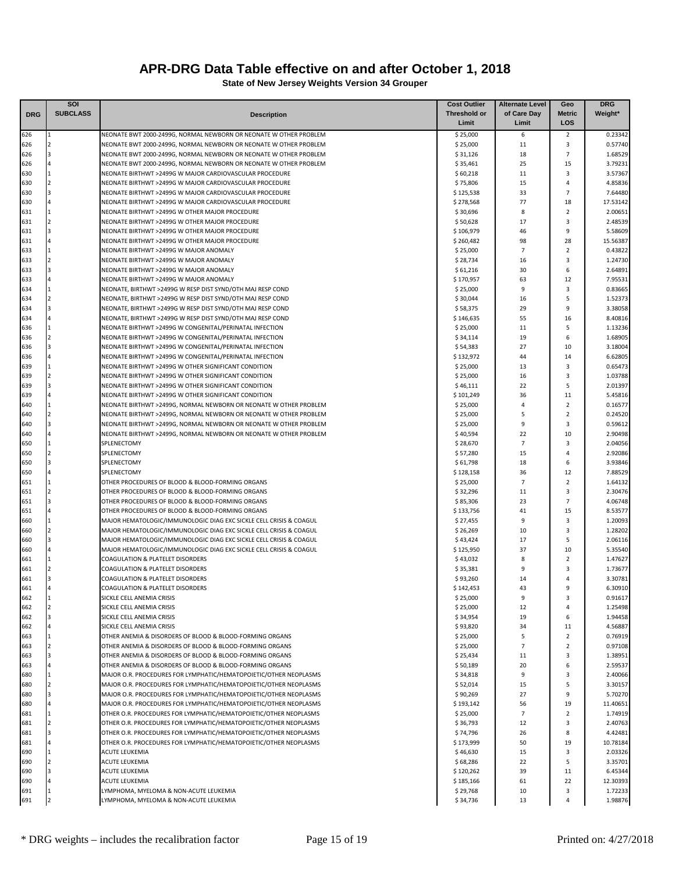|            | SOI                                       |                                                                                                                                        | <b>Cost Outlier</b>   | <b>Alternate Level</b> | Geo                  | <b>DRG</b>          |
|------------|-------------------------------------------|----------------------------------------------------------------------------------------------------------------------------------------|-----------------------|------------------------|----------------------|---------------------|
| <b>DRG</b> | <b>SUBCLASS</b>                           | <b>Description</b>                                                                                                                     | Threshold or          | of Care Day            | <b>Metric</b>        | Weight*             |
|            |                                           |                                                                                                                                        | Limit                 | Limit                  | <b>LOS</b>           |                     |
| 626        | $\overline{2}$                            | NEONATE BWT 2000-2499G, NORMAL NEWBORN OR NEONATE W OTHER PROBLEM                                                                      | \$25,000              | 6<br>11                | $\overline{2}$       | 0.23342             |
| 626<br>626 |                                           | NEONATE BWT 2000-2499G, NORMAL NEWBORN OR NEONATE W OTHER PROBLEM<br>NEONATE BWT 2000-2499G, NORMAL NEWBORN OR NEONATE W OTHER PROBLEM | \$25,000<br>\$31,126  | 18                     | 3<br>$\overline{7}$  | 0.57740<br>1.68529  |
| 626        |                                           | NEONATE BWT 2000-2499G, NORMAL NEWBORN OR NEONATE W OTHER PROBLEM                                                                      | \$35,461              | 25                     | 15                   | 3.79231             |
| 630        |                                           | NEONATE BIRTHWT >2499G W MAJOR CARDIOVASCULAR PROCEDURE                                                                                | \$60,218              | 11                     | 3                    | 3.57367             |
| 630        |                                           | NEONATE BIRTHWT >2499G W MAJOR CARDIOVASCULAR PROCEDURE                                                                                | \$75,806              | 15                     | 4                    | 4.85836             |
| 630        |                                           | NEONATE BIRTHWT >2499G W MAJOR CARDIOVASCULAR PROCEDURE                                                                                | \$125,538             | 33                     | $\overline{7}$       | 7.64480             |
| 630        |                                           | NEONATE BIRTHWT >2499G W MAJOR CARDIOVASCULAR PROCEDURE                                                                                | \$278,568             | 77                     | 18                   | 17.53142            |
| 631        |                                           | NEONATE BIRTHWT >2499G W OTHER MAJOR PROCEDURE                                                                                         | \$30,696              | 8                      | $\overline{2}$       | 2.00651             |
| 631        |                                           | NEONATE BIRTHWT >2499G W OTHER MAJOR PROCEDURE                                                                                         | \$50,628              | 17                     | 3                    | 2.48539             |
| 631        |                                           | NEONATE BIRTHWT >2499G W OTHER MAJOR PROCEDURE                                                                                         | \$106,979             | 46                     | 9                    | 5.58609             |
| 631<br>633 |                                           | NEONATE BIRTHWT >2499G W OTHER MAJOR PROCEDURE<br>NEONATE BIRTHWT >2499G W MAJOR ANOMALY                                               | \$260,482<br>\$25,000 | 98<br>$\overline{7}$   | 28<br>$\overline{2}$ | 15.56387<br>0.43822 |
| 633        |                                           | NEONATE BIRTHWT >2499G W MAJOR ANOMALY                                                                                                 | \$28,734              | 16                     | 3                    | 1.24730             |
| 633        |                                           | NEONATE BIRTHWT >2499G W MAJOR ANOMALY                                                                                                 | \$61,216              | 30                     | 6                    | 2.64891             |
| 633        |                                           | NEONATE BIRTHWT >2499G W MAJOR ANOMALY                                                                                                 | \$170,957             | 63                     | 12                   | 7.95531             |
| 634        |                                           | NEONATE, BIRTHWT >2499G W RESP DIST SYND/OTH MAJ RESP COND                                                                             | \$25,000              | 9                      | 3                    | 0.83665             |
| 634        | $\mathcal{P}$                             | NEONATE, BIRTHWT >2499G W RESP DIST SYND/OTH MAJ RESP COND                                                                             | \$30,044              | 16                     | 5                    | 1.52373             |
| 634        |                                           | NEONATE, BIRTHWT >2499G W RESP DIST SYND/OTH MAJ RESP COND                                                                             | \$58,375              | 29                     | 9                    | 3.38058             |
| 634        |                                           | NEONATE, BIRTHWT >2499G W RESP DIST SYND/OTH MAJ RESP COND                                                                             | \$146,635             | 55                     | 16                   | 8.40816             |
| 636        |                                           | NEONATE BIRTHWT >2499G W CONGENITAL/PERINATAL INFECTION                                                                                | \$25,000              | 11                     | 5                    | 1.13236             |
| 636        | $\overline{2}$                            | NEONATE BIRTHWT >2499G W CONGENITAL/PERINATAL INFECTION                                                                                | \$34,114              | 19                     | 6                    | 1.68905             |
| 636<br>636 |                                           | NEONATE BIRTHWT >2499G W CONGENITAL/PERINATAL INFECTION<br>NEONATE BIRTHWT >2499G W CONGENITAL/PERINATAL INFECTION                     | \$54,383<br>\$132,972 | 27<br>44               | 10<br>14             | 3.18004<br>6.62805  |
| 639        |                                           | NEONATE BIRTHWT >2499G W OTHER SIGNIFICANT CONDITION                                                                                   | \$25,000              | 13                     | 3                    | 0.65473             |
| 639        |                                           | NEONATE BIRTHWT >2499G W OTHER SIGNIFICANT CONDITION                                                                                   | \$25,000              | 16                     | 3                    | 1.03788             |
| 639        |                                           | NEONATE BIRTHWT >2499G W OTHER SIGNIFICANT CONDITION                                                                                   | \$46,111              | 22                     | 5                    | 2.01397             |
| 639        |                                           | NEONATE BIRTHWT >2499G W OTHER SIGNIFICANT CONDITION                                                                                   | \$101,249             | 36                     | 11                   | 5.45816             |
| 640        |                                           | NEONATE BIRTHWT >2499G, NORMAL NEWBORN OR NEONATE W OTHER PROBLEM                                                                      | \$25,000              | 4                      | $\overline{2}$       | 0.16577             |
| 640        |                                           | NEONATE BIRTHWT >2499G, NORMAL NEWBORN OR NEONATE W OTHER PROBLEM                                                                      | \$25,000              | 5                      | $\overline{2}$       | 0.24520             |
| 640        |                                           | NEONATE BIRTHWT >2499G, NORMAL NEWBORN OR NEONATE W OTHER PROBLEM                                                                      | \$25,000              | 9                      | 3                    | 0.59612             |
| 640        |                                           | NEONATE BIRTHWT >2499G, NORMAL NEWBORN OR NEONATE W OTHER PROBLEM                                                                      | \$40,594              | 22                     | 10                   | 2.90498             |
| 650        | $\overline{2}$                            | SPLENECTOMY                                                                                                                            | \$28,670              | $\overline{7}$         | 3<br>4               | 2.04056             |
| 650<br>650 |                                           | SPLENECTOMY<br>SPLENECTOMY                                                                                                             | \$ 57,280<br>\$61,798 | 15<br>18               | 6                    | 2.92086<br>3.93846  |
| 650        |                                           | SPLENECTOMY                                                                                                                            | \$128,158             | 36                     | 12                   | 7.88529             |
| 651        |                                           | OTHER PROCEDURES OF BLOOD & BLOOD-FORMING ORGANS                                                                                       | \$25,000              | $\overline{7}$         | $\overline{2}$       | 1.64132             |
| 651        |                                           | OTHER PROCEDURES OF BLOOD & BLOOD-FORMING ORGANS                                                                                       | \$32,296              | 11                     | 3                    | 2.30476             |
| 651        |                                           | OTHER PROCEDURES OF BLOOD & BLOOD-FORMING ORGANS                                                                                       | \$85,306              | 23                     | $\overline{7}$       | 4.06748             |
| 651        |                                           | OTHER PROCEDURES OF BLOOD & BLOOD-FORMING ORGANS                                                                                       | \$133,756             | 41                     | 15                   | 8.53577             |
| 660        |                                           | MAJOR HEMATOLOGIC/IMMUNOLOGIC DIAG EXC SICKLE CELL CRISIS & COAGUL                                                                     | \$27,455              | 9                      | 3                    | 1.20093             |
| 660        |                                           | MAJOR HEMATOLOGIC/IMMUNOLOGIC DIAG EXC SICKLE CELL CRISIS & COAGUL                                                                     | \$26,269              | 10                     | 3                    | 1.28202             |
| 660        |                                           | MAJOR HEMATOLOGIC/IMMUNOLOGIC DIAG EXC SICKLE CELL CRISIS & COAGUL                                                                     | \$43,424              | 17                     | 5                    | 2.06116             |
| 660<br>661 |                                           | MAJOR HEMATOLOGIC/IMMUNOLOGIC DIAG EXC SICKLE CELL CRISIS & COAGUL<br><b>COAGULATION &amp; PLATELET DISORDERS</b>                      | \$125,950<br>\$43,032 | 37<br>8                | 10<br>$\overline{2}$ | 5.35540<br>1.47627  |
| 661        |                                           | COAGULATION & PLATELET DISORDERS                                                                                                       | \$35,381              | 9                      | 3                    | 1.73677             |
| 661        |                                           | <b>COAGULATION &amp; PLATELET DISORDERS</b>                                                                                            | \$93,260              | 14                     | 4                    | 3.30781             |
| 661        |                                           | <b>COAGULATION &amp; PLATELET DISORDERS</b>                                                                                            | \$142.453             | 43                     | 9                    | 6.30910             |
| 662        |                                           | SICKLE CELL ANEMIA CRISIS                                                                                                              | \$25,000              | 9                      | 3                    | 0.91617             |
| 662        | 2                                         | SICKLE CELL ANEMIA CRISIS                                                                                                              | \$25,000              | 12                     | 4                    | 1.25498             |
| 662        | 3                                         | SICKLE CELL ANEMIA CRISIS                                                                                                              | \$34,954              | 19                     | 6                    | 1.94458             |
| 662        | 4                                         | SICKLE CELL ANEMIA CRISIS                                                                                                              | \$93,820              | 34                     | 11                   | 4.56887             |
| 663        |                                           | OTHER ANEMIA & DISORDERS OF BLOOD & BLOOD-FORMING ORGANS                                                                               | \$25,000              | 5                      | $\overline{2}$       | 0.76919             |
| 663<br>663 | $\overline{2}$<br>$\overline{\mathbf{3}}$ | OTHER ANEMIA & DISORDERS OF BLOOD & BLOOD-FORMING ORGANS<br>OTHER ANEMIA & DISORDERS OF BLOOD & BLOOD-FORMING ORGANS                   | \$25,000<br>\$25,434  | $\overline{7}$<br>11   | $\overline{2}$<br>3  | 0.97108<br>1.38951  |
| 663        |                                           | OTHER ANEMIA & DISORDERS OF BLOOD & BLOOD-FORMING ORGANS                                                                               | \$50,189              | 20                     | 6                    | 2.59537             |
| 680        | 1                                         | MAJOR O.R. PROCEDURES FOR LYMPHATIC/HEMATOPOIETIC/OTHER NEOPLASMS                                                                      | \$34,818              | 9                      | 3                    | 2.40066             |
| 680        | $\overline{2}$                            | MAJOR O.R. PROCEDURES FOR LYMPHATIC/HEMATOPOIETIC/OTHER NEOPLASMS                                                                      | \$52,014              | 15                     | 5                    | 3.30157             |
| 680        | 3                                         | MAJOR O.R. PROCEDURES FOR LYMPHATIC/HEMATOPOIETIC/OTHER NEOPLASMS                                                                      | \$90,269              | 27                     | 9                    | 5.70270             |
| 680        |                                           | MAJOR O.R. PROCEDURES FOR LYMPHATIC/HEMATOPOIETIC/OTHER NEOPLASMS                                                                      | \$193,142             | 56                     | 19                   | 11.40651            |
| 681        | 1                                         | OTHER O.R. PROCEDURES FOR LYMPHATIC/HEMATOPOIETIC/OTHER NEOPLASMS                                                                      | \$25,000              | $\overline{7}$         | $\overline{2}$       | 1.74919             |
| 681        | $\overline{2}$                            | OTHER O.R. PROCEDURES FOR LYMPHATIC/HEMATOPOIETIC/OTHER NEOPLASMS                                                                      | \$36,793              | 12                     | 3                    | 2.40763             |
| 681        | 3                                         | OTHER O.R. PROCEDURES FOR LYMPHATIC/HEMATOPOIETIC/OTHER NEOPLASMS                                                                      | \$74,796              | 26                     | 8                    | 4.42481             |
| 681        | 4                                         | OTHER O.R. PROCEDURES FOR LYMPHATIC/HEMATOPOIETIC/OTHER NEOPLASMS                                                                      | \$173,999             | 50                     | 19                   | 10.78184            |
| 690<br>690 | $\overline{a}$                            | <b>ACUTE LEUKEMIA</b><br><b>ACUTE LEUKEMIA</b>                                                                                         | \$46,630<br>\$68,286  | 15<br>22               | 3<br>5               | 2.03326<br>3.35701  |
| 690        |                                           | <b>ACUTE LEUKEMIA</b>                                                                                                                  | \$120,262             | 39                     | 11                   | 6.45344             |
| 690        |                                           | <b>ACUTE LEUKEMIA</b>                                                                                                                  | \$185,166             | 61                     | 22                   | 12.30393            |
| 691        |                                           | LYMPHOMA, MYELOMA & NON-ACUTE LEUKEMIA                                                                                                 | \$29,768              | 10                     | 3                    | 1.72233             |
| 691        | $\overline{2}$                            | LYMPHOMA, MYELOMA & NON-ACUTE LEUKEMIA                                                                                                 | \$34,736              | 13                     | 4                    | 1.98876             |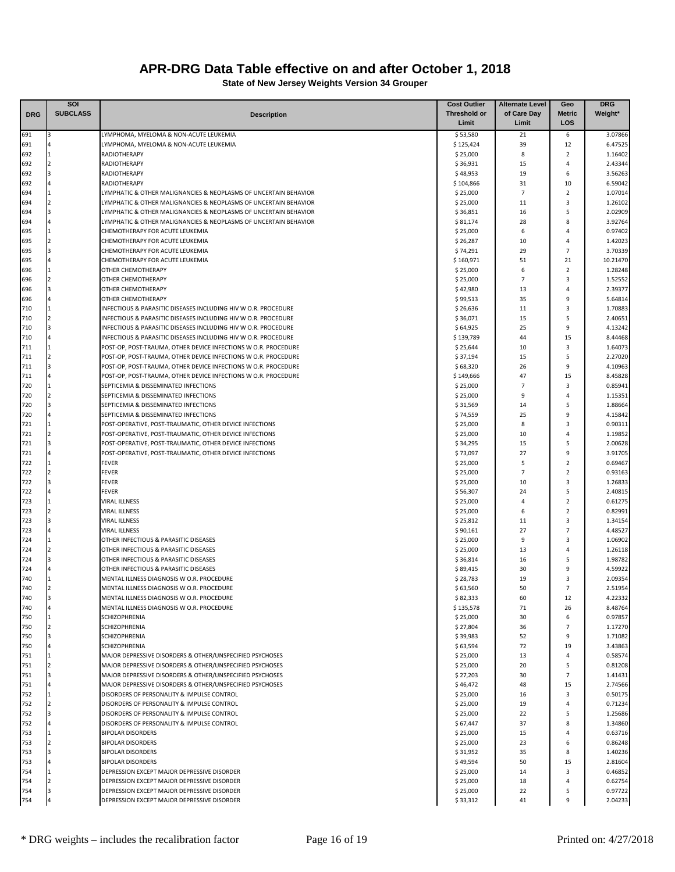|            | SOI             |                                                                  | <b>Cost Outlier</b>  | <b>Alternate Level</b> | Geo                 | <b>DRG</b>         |
|------------|-----------------|------------------------------------------------------------------|----------------------|------------------------|---------------------|--------------------|
| <b>DRG</b> | <b>SUBCLASS</b> | <b>Description</b>                                               | <b>Threshold or</b>  | of Care Day            | <b>Metric</b>       | Weight*            |
|            |                 |                                                                  | Limit                | Limit                  | LOS                 |                    |
| 691        | 3               | LYMPHOMA, MYELOMA & NON-ACUTE LEUKEMIA                           | \$53,580             | 21                     | 6                   | 3.07866            |
| 691        |                 | LYMPHOMA, MYELOMA & NON-ACUTE LEUKEMIA                           | \$125,424            | 39                     | 12                  | 6.47525            |
| 692<br>692 |                 | RADIOTHERAPY<br>RADIOTHERAPY                                     | \$25,000<br>\$36,931 | 8<br>15                | $\overline{2}$<br>4 | 1.16402<br>2.43344 |
| 692        |                 | RADIOTHERAPY                                                     | \$48,953             | 19                     | 6                   | 3.56263            |
| 692        |                 | RADIOTHERAPY                                                     | \$104,866            | 31                     | 10                  | 6.59042            |
| 694        |                 | LYMPHATIC & OTHER MALIGNANCIES & NEOPLASMS OF UNCERTAIN BEHAVIOR | \$25,000             | $\overline{7}$         | $\overline{2}$      | 1.07014            |
| 694        |                 | LYMPHATIC & OTHER MALIGNANCIES & NEOPLASMS OF UNCERTAIN BEHAVIOR | \$25,000             | 11                     | 3                   | 1.26102            |
| 694        | з               | LYMPHATIC & OTHER MALIGNANCIES & NEOPLASMS OF UNCERTAIN BEHAVIOR | \$36,851             | 16                     | 5                   | 2.02909            |
| 694        |                 | LYMPHATIC & OTHER MALIGNANCIES & NEOPLASMS OF UNCERTAIN BEHAVIOR | \$81,174             | 28                     | 8                   | 3.92764            |
| 695        |                 | CHEMOTHERAPY FOR ACUTE LEUKEMIA                                  | \$25,000             | 6                      | $\overline{4}$      | 0.97402            |
| 695        |                 | CHEMOTHERAPY FOR ACUTE LEUKEMIA                                  | \$26,287             | 10                     | 4                   | 1.42023            |
| 695        |                 | CHEMOTHERAPY FOR ACUTE LEUKEMIA                                  | \$74,291             | 29                     | $\overline{7}$      | 3.70339            |
| 695        |                 | CHEMOTHERAPY FOR ACUTE LEUKEMIA                                  | \$160,971            | 51                     | 21                  | 10.21470           |
| 696        |                 | OTHER CHEMOTHERAPY                                               | \$25,000             | 6                      | $\overline{2}$      | 1.28248            |
| 696        |                 | OTHER CHEMOTHERAPY                                               | \$25,000             | $\overline{7}$         | 3                   | 1.52552            |
| 696<br>696 |                 | OTHER CHEMOTHERAPY<br>OTHER CHEMOTHERAPY                         | \$42,980<br>\$99,513 | 13<br>35               | 4<br>9              | 2.39377<br>5.64814 |
| 710        |                 | INFECTIOUS & PARASITIC DISEASES INCLUDING HIV W O.R. PROCEDURE   | \$26,636             | 11                     | 3                   | 1.70883            |
| 710        |                 | INFECTIOUS & PARASITIC DISEASES INCLUDING HIV W O.R. PROCEDURE   | \$36,071             | 15                     | 5                   | 2.40651            |
| 710        |                 | INFECTIOUS & PARASITIC DISEASES INCLUDING HIV W O.R. PROCEDURE   | \$64,925             | 25                     | 9                   | 4.13242            |
| 710        |                 | INFECTIOUS & PARASITIC DISEASES INCLUDING HIV W O.R. PROCEDURE   | \$139,789            | 44                     | 15                  | 8.44468            |
| 711        |                 | POST-OP, POST-TRAUMA, OTHER DEVICE INFECTIONS W O.R. PROCEDURE   | \$25,644             | 10                     | 3                   | 1.64073            |
| 711        |                 | POST-OP, POST-TRAUMA, OTHER DEVICE INFECTIONS W O.R. PROCEDURE   | \$37,194             | 15                     | 5                   | 2.27020            |
| 711        |                 | POST-OP, POST-TRAUMA, OTHER DEVICE INFECTIONS W O.R. PROCEDURE   | \$68,320             | 26                     | 9                   | 4.10963            |
| 711        |                 | POST-OP, POST-TRAUMA, OTHER DEVICE INFECTIONS W O.R. PROCEDURE   | \$149,666            | 47                     | 15                  | 8.45828            |
| 720        |                 | SEPTICEMIA & DISSEMINATED INFECTIONS                             | \$25,000             | $\overline{7}$         | 3                   | 0.85941            |
| 720        |                 | SEPTICEMIA & DISSEMINATED INFECTIONS                             | \$25,000             | 9                      | $\overline{4}$      | 1.15351            |
| 720        |                 | SEPTICEMIA & DISSEMINATED INFECTIONS                             | \$31,569             | 14                     | 5                   | 1.88664            |
| 720        |                 | SEPTICEMIA & DISSEMINATED INFECTIONS                             | \$74,559             | 25                     | 9                   | 4.15842            |
| 721        |                 | POST-OPERATIVE, POST-TRAUMATIC, OTHER DEVICE INFECTIONS          | \$25,000             | 8                      | 3                   | 0.90311            |
| 721        |                 | POST-OPERATIVE, POST-TRAUMATIC, OTHER DEVICE INFECTIONS          | \$25,000             | 10                     | 4                   | 1.19852            |
| 721        |                 | POST-OPERATIVE, POST-TRAUMATIC, OTHER DEVICE INFECTIONS          | \$34,295             | 15                     | 5                   | 2.00628            |
| 721        |                 | POST-OPERATIVE, POST-TRAUMATIC, OTHER DEVICE INFECTIONS          | \$73,097             | 27                     | 9                   | 3.91705            |
| 722        |                 | <b>FEVER</b>                                                     | \$25,000             | 5                      | $\overline{2}$      | 0.69467            |
| 722<br>722 |                 | <b>FEVER</b><br><b>FEVER</b>                                     | \$25,000<br>\$25,000 | $\overline{7}$<br>10   | $\overline{2}$<br>3 | 0.93163<br>1.26833 |
| 722        |                 | <b>FEVER</b>                                                     | \$56,307             | 24                     | 5                   | 2.40815            |
| 723        |                 | <b>VIRAL ILLNESS</b>                                             | \$25,000             | $\overline{4}$         | $\overline{2}$      | 0.61275            |
| 723        |                 | <b>VIRAL ILLNESS</b>                                             | \$25,000             | 6                      | $\overline{2}$      | 0.82991            |
| 723        |                 | <b>VIRAL ILLNESS</b>                                             | \$25,812             | 11                     | 3                   | 1.34154            |
| 723        |                 | <b>VIRAL ILLNESS</b>                                             | \$90,161             | 27                     | $\overline{7}$      | 4.48527            |
| 724        |                 | OTHER INFECTIOUS & PARASITIC DISEASES                            | \$25,000             | 9                      | 3                   | 1.06902            |
| 724        |                 | OTHER INFECTIOUS & PARASITIC DISEASES                            | \$25,000             | 13                     | 4                   | 1.26118            |
| 724        |                 | OTHER INFECTIOUS & PARASITIC DISEASES                            | \$36,814             | 16                     | 5                   | 1.98782            |
| 724        |                 | OTHER INFECTIOUS & PARASITIC DISEASES                            | \$89,415             | 30                     | 9                   | 4.59922            |
| 740        |                 | MENTAL ILLNESS DIAGNOSIS W O.R. PROCEDURE                        | \$28,783             | 19                     | 3                   | 2.09354            |
| 740        |                 | MENTAL ILLNESS DIAGNOSIS W O.R. PROCEDURE                        | \$63.560             | 50                     | $\overline{7}$      | 2.51954            |
| 740        | 3               | MENTAL ILLNESS DIAGNOSIS W O.R. PROCEDURE                        | \$82,333             | 60                     | 12                  | 4.22332            |
| 740        | $\overline{4}$  | MENTAL ILLNESS DIAGNOSIS W O.R. PROCEDURE                        | \$135,578            | 71                     | 26                  | 8.48764            |
| 750        | $\mathbf{1}$    | SCHIZOPHRENIA                                                    | \$25,000             | 30                     | 6                   | 0.97857            |
| 750        | $\overline{2}$  | SCHIZOPHRENIA                                                    | \$27,804             | 36                     | $\overline{7}$<br>9 | 1.17270            |
| 750<br>750 |                 | SCHIZOPHRENIA<br><b>SCHIZOPHRENIA</b>                            | \$39,983<br>\$63,594 | 52<br>72               | 19                  | 1.71082<br>3.43863 |
| 751        |                 | MAJOR DEPRESSIVE DISORDERS & OTHER/UNSPECIFIED PSYCHOSES         | \$25,000             | 13                     | 4                   | 0.58574            |
| 751        |                 | MAJOR DEPRESSIVE DISORDERS & OTHER/UNSPECIFIED PSYCHOSES         | \$25,000             | 20                     | 5                   | 0.81208            |
| 751        |                 | MAJOR DEPRESSIVE DISORDERS & OTHER/UNSPECIFIED PSYCHOSES         | \$27,203             | 30                     | $\overline{7}$      | 1.41431            |
| 751        |                 | MAJOR DEPRESSIVE DISORDERS & OTHER/UNSPECIFIED PSYCHOSES         | \$46,472             | 48                     | 15                  | 2.74566            |
| 752        |                 | DISORDERS OF PERSONALITY & IMPULSE CONTROL                       | \$25,000             | 16                     | 3                   | 0.50175            |
| 752        |                 | DISORDERS OF PERSONALITY & IMPULSE CONTROL                       | \$25,000             | 19                     | $\overline{4}$      | 0.71234            |
| 752        |                 | DISORDERS OF PERSONALITY & IMPULSE CONTROL                       | \$25,000             | 22                     | 5                   | 1.25686            |
| 752        |                 | DISORDERS OF PERSONALITY & IMPULSE CONTROL                       | \$67,447             | 37                     | 8                   | 1.34860            |
| 753        |                 | <b>BIPOLAR DISORDERS</b>                                         | \$25,000             | 15                     | 4                   | 0.63716            |
| 753        |                 | <b>BIPOLAR DISORDERS</b>                                         | \$25,000             | 23                     | 6                   | 0.86248            |
| 753        |                 | <b>BIPOLAR DISORDERS</b>                                         | \$31,952             | 35                     | 8                   | 1.40236            |
| 753        |                 | <b>BIPOLAR DISORDERS</b>                                         | \$49,594             | 50                     | 15                  | 2.81604            |
| 754        |                 | DEPRESSION EXCEPT MAJOR DEPRESSIVE DISORDER                      | \$25,000             | 14                     | 3                   | 0.46852            |
| 754        |                 | DEPRESSION EXCEPT MAJOR DEPRESSIVE DISORDER                      | \$25,000             | 18                     | $\overline{4}$      | 0.62754            |
| 754        |                 | DEPRESSION EXCEPT MAJOR DEPRESSIVE DISORDER                      | \$25,000             | 22                     | 5                   | 0.97722            |
| 754        |                 | DEPRESSION EXCEPT MAJOR DEPRESSIVE DISORDER                      | \$33,312             | 41                     | 9                   | 2.04233            |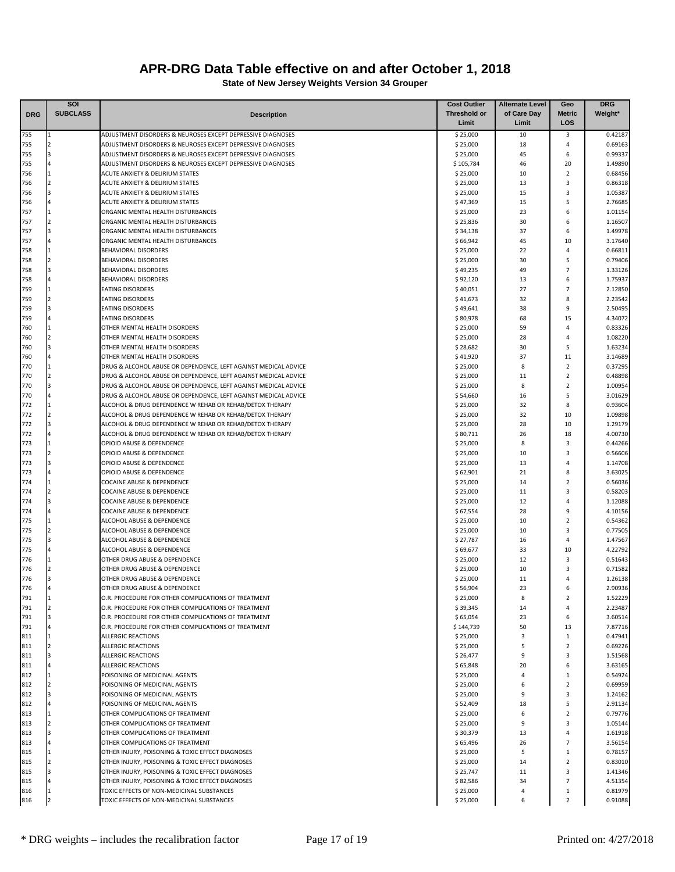|            | <b>SOI</b>              |                                                                                                                            | <b>Cost Outlier</b>   | <b>Alternate Level</b> | Geo                 | <b>DRG</b>         |
|------------|-------------------------|----------------------------------------------------------------------------------------------------------------------------|-----------------------|------------------------|---------------------|--------------------|
| <b>DRG</b> | <b>SUBCLASS</b>         | <b>Description</b>                                                                                                         | <b>Threshold or</b>   | of Care Day            | Metric              | Weight*            |
|            |                         |                                                                                                                            | Limit                 | Limit                  | LOS                 |                    |
| 755        |                         | ADJUSTMENT DISORDERS & NEUROSES EXCEPT DEPRESSIVE DIAGNOSES                                                                | \$25,000              | 10                     | 3                   | 0.42187            |
| 755        | $\overline{2}$<br>з     | ADJUSTMENT DISORDERS & NEUROSES EXCEPT DEPRESSIVE DIAGNOSES                                                                | \$25,000              | 18                     | 4                   | 0.69163            |
| 755<br>755 |                         | ADJUSTMENT DISORDERS & NEUROSES EXCEPT DEPRESSIVE DIAGNOSES<br>ADJUSTMENT DISORDERS & NEUROSES EXCEPT DEPRESSIVE DIAGNOSES | \$25,000<br>\$105,784 | 45<br>46               | 6<br>20             | 0.99337<br>1.49890 |
| 756        |                         | ACUTE ANXIETY & DELIRIUM STATES                                                                                            | \$25,000              | 10                     | $\overline{2}$      | 0.68456            |
| 756        | 2                       | ACUTE ANXIETY & DELIRIUM STATES                                                                                            | \$25,000              | 13                     | 3                   | 0.86318            |
| 756        | 3                       | ACUTE ANXIETY & DELIRIUM STATES                                                                                            | \$25,000              | 15                     | 3                   | 1.05387            |
| 756        |                         | ACUTE ANXIETY & DELIRIUM STATES                                                                                            | \$47,369              | 15                     | 5                   | 2.76685            |
| 757        |                         | ORGANIC MENTAL HEALTH DISTURBANCES                                                                                         | \$25,000              | 23                     | 6                   | 1.01154            |
| 757        |                         | ORGANIC MENTAL HEALTH DISTURBANCES                                                                                         | \$25,836              | 30                     | 6                   | 1.16507            |
| 757        |                         | ORGANIC MENTAL HEALTH DISTURBANCES                                                                                         | \$34,138              | 37                     | 6                   | 1.49978            |
| 757        |                         | ORGANIC MENTAL HEALTH DISTURBANCES                                                                                         | \$66,942              | 45                     | 10                  | 3.17640            |
| 758        |                         | BEHAVIORAL DISORDERS                                                                                                       | \$25,000              | 22                     | $\overline{4}$      | 0.66811            |
| 758        | $\overline{2}$          | BEHAVIORAL DISORDERS                                                                                                       | \$25,000              | 30                     | 5                   | 0.79406            |
| 758        |                         | <b>BEHAVIORAL DISORDERS</b>                                                                                                | \$49,235              | 49                     | $\overline{7}$      | 1.33126            |
| 758        |                         | BEHAVIORAL DISORDERS                                                                                                       | \$92,120              | 13                     | 6                   | 1.75937            |
| 759        | 2                       | <b>EATING DISORDERS</b>                                                                                                    | \$40,051              | 27                     | $\overline{7}$<br>8 | 2.12850            |
| 759<br>759 |                         | <b>EATING DISORDERS</b>                                                                                                    | \$41,673              | 32<br>38               | 9                   | 2.23542<br>2.50495 |
| 759        |                         | <b>EATING DISORDERS</b><br><b>EATING DISORDERS</b>                                                                         | \$49,641<br>\$80,978  | 68                     | 15                  | 4.34072            |
| 760        |                         | OTHER MENTAL HEALTH DISORDERS                                                                                              | \$25,000              | 59                     | 4                   | 0.83326            |
| 760        | $\overline{2}$          | OTHER MENTAL HEALTH DISORDERS                                                                                              | \$25,000              | 28                     | $\overline{4}$      | 1.08220            |
| 760        |                         | OTHER MENTAL HEALTH DISORDERS                                                                                              | \$28,682              | 30                     | 5                   | 1.63234            |
| 760        |                         | OTHER MENTAL HEALTH DISORDERS                                                                                              | \$41,920              | 37                     | 11                  | 3.14689            |
| 770        |                         | DRUG & ALCOHOL ABUSE OR DEPENDENCE, LEFT AGAINST MEDICAL ADVICE                                                            | \$25,000              | 8                      | $\overline{2}$      | 0.37295            |
| 770        | $\mathcal{P}$           | DRUG & ALCOHOL ABUSE OR DEPENDENCE, LEFT AGAINST MEDICAL ADVICE                                                            | \$25,000              | 11                     | $\mathbf 2$         | 0.48898            |
| 770        | $\overline{\mathbf{3}}$ | DRUG & ALCOHOL ABUSE OR DEPENDENCE, LEFT AGAINST MEDICAL ADVICE                                                            | \$25,000              | 8                      | $\overline{2}$      | 1.00954            |
| 770        |                         | DRUG & ALCOHOL ABUSE OR DEPENDENCE, LEFT AGAINST MEDICAL ADVICE                                                            | \$54,660              | 16                     | 5                   | 3.01629            |
| 772        |                         | ALCOHOL & DRUG DEPENDENCE W REHAB OR REHAB/DETOX THERAPY                                                                   | \$25,000              | 32                     | 8                   | 0.93604            |
| 772        |                         | ALCOHOL & DRUG DEPENDENCE W REHAB OR REHAB/DETOX THERAPY                                                                   | \$25,000              | 32                     | 10                  | 1.09898            |
| 772        | 3                       | ALCOHOL & DRUG DEPENDENCE W REHAB OR REHAB/DETOX THERAPY                                                                   | \$25,000              | 28                     | 10                  | 1.29179            |
| 772        |                         | ALCOHOL & DRUG DEPENDENCE W REHAB OR REHAB/DETOX THERAPY                                                                   | \$80,711              | 26                     | 18                  | 4.00730            |
| 773        |                         | OPIOID ABUSE & DEPENDENCE                                                                                                  | \$25,000              | 8                      | 3                   | 0.44266            |
| 773        | $\overline{a}$          | OPIOID ABUSE & DEPENDENCE                                                                                                  | \$25,000              | 10                     | 3                   | 0.56606            |
| 773        |                         | OPIOID ABUSE & DEPENDENCE                                                                                                  | \$25,000              | 13                     | $\overline{4}$      | 1.14708            |
| 773        |                         | OPIOID ABUSE & DEPENDENCE                                                                                                  | \$62,901              | 21                     | 8                   | 3.63025            |
| 774        |                         | COCAINE ABUSE & DEPENDENCE                                                                                                 | \$25,000              | 14                     | $\overline{2}$      | 0.56036            |
| 774        | $\overline{a}$          | COCAINE ABUSE & DEPENDENCE                                                                                                 | \$25,000              | 11                     | 3                   | 0.58203            |
| 774        | 3                       | COCAINE ABUSE & DEPENDENCE                                                                                                 | \$25,000              | 12                     | $\overline{4}$      | 1.12088            |
| 774        |                         | COCAINE ABUSE & DEPENDENCE                                                                                                 | \$67,554              | 28                     | 9                   | 4.10156            |
| 775<br>775 | $\overline{a}$          | ALCOHOL ABUSE & DEPENDENCE<br>ALCOHOL ABUSE & DEPENDENCE                                                                   | \$25,000<br>\$25,000  | 10<br>10               | $\mathbf 2$<br>3    | 0.54362<br>0.77505 |
| 775        |                         | ALCOHOL ABUSE & DEPENDENCE                                                                                                 | \$27,787              | 16                     | 4                   | 1.47567            |
| 775        |                         | ALCOHOL ABUSE & DEPENDENCE                                                                                                 | \$69,677              | 33                     | 10                  | 4.22792            |
| 776        |                         | OTHER DRUG ABUSE & DEPENDENCE                                                                                              | \$25,000              | 12                     | 3                   | 0.51643            |
| 776        |                         | OTHER DRUG ABUSE & DEPENDENCE                                                                                              | \$25,000              | 10                     | 3                   | 0.71582            |
| 776        |                         | OTHER DRUG ABUSE & DEPENDENCE                                                                                              | \$25,000              | 11                     | $\overline{4}$      | 1.26138            |
| 776        |                         | OTHER DRUG ABUSE & DEPENDENCE                                                                                              | \$56,904              | 23                     | 6                   | 2.90936            |
| 791        |                         | O.R. PROCEDURE FOR OTHER COMPLICATIONS OF TREATMENT                                                                        | \$25,000              | 8                      | 2                   | 1.52229            |
| 791        | $\overline{2}$          | O.R. PROCEDURE FOR OTHER COMPLICATIONS OF TREATMENT                                                                        | \$39,345              | 14                     | 4                   | 2.23487            |
| 791        | 3                       | O.R. PROCEDURE FOR OTHER COMPLICATIONS OF TREATMENT                                                                        | \$65,054              | 23                     | 6                   | 3.60514            |
| 791        | 4                       | O.R. PROCEDURE FOR OTHER COMPLICATIONS OF TREATMENT                                                                        | \$144,739             | 50                     | 13                  | 7.87716            |
| 811        | $\mathbf{1}$            | <b>ALLERGIC REACTIONS</b>                                                                                                  | \$25,000              | 3                      | $\mathbf{1}$        | 0.47941            |
| 811        | $\overline{2}$          | <b>ALLERGIC REACTIONS</b>                                                                                                  | \$25,000              | 5                      | $\overline{2}$      | 0.69226            |
| 811        |                         | <b>ALLERGIC REACTIONS</b>                                                                                                  | \$26,477              | 9                      | 3                   | 1.51568            |
| 811        | 4                       | <b>ALLERGIC REACTIONS</b>                                                                                                  | \$65,848              | 20                     | 6                   | 3.63165            |
| 812        |                         | POISONING OF MEDICINAL AGENTS                                                                                              | \$25,000              | 4                      | $\mathbf{1}$        | 0.54924            |
| 812        | $\overline{2}$          | POISONING OF MEDICINAL AGENTS                                                                                              | \$25,000              | 6                      | $\overline{2}$      | 0.69959            |
| 812        | 3                       | POISONING OF MEDICINAL AGENTS                                                                                              | \$25,000              | 9                      | 3                   | 1.24162            |
| 812        |                         | POISONING OF MEDICINAL AGENTS                                                                                              | \$52,409              | 18<br>6                | 5<br>$\overline{2}$ | 2.91134            |
| 813<br>813 | $\overline{2}$          | OTHER COMPLICATIONS OF TREATMENT<br>OTHER COMPLICATIONS OF TREATMENT                                                       | \$25,000              | 9                      | 3                   | 0.79776            |
| 813        | 3                       | OTHER COMPLICATIONS OF TREATMENT                                                                                           | \$25,000<br>\$30,379  | 13                     | 4                   | 1.05144<br>1.61918 |
| 813        |                         | OTHER COMPLICATIONS OF TREATMENT                                                                                           | \$65,496              | 26                     | 7                   | 3.56154            |
| 815        | 1                       | OTHER INJURY, POISONING & TOXIC EFFECT DIAGNOSES                                                                           | \$25,000              | 5                      | $\mathbf{1}$        | 0.78157            |
| 815        | $\overline{2}$          | OTHER INJURY, POISONING & TOXIC EFFECT DIAGNOSES                                                                           | \$25,000              | 14                     | $\overline{2}$      | 0.83010            |
| 815        |                         | OTHER INJURY, POISONING & TOXIC EFFECT DIAGNOSES                                                                           | \$25,747              | 11                     | 3                   | 1.41346            |
| 815        |                         | OTHER INJURY, POISONING & TOXIC EFFECT DIAGNOSES                                                                           | \$82,586              | 34                     | 7                   | 4.51354            |
| 816        |                         | TOXIC EFFECTS OF NON-MEDICINAL SUBSTANCES                                                                                  | \$25,000              | 4                      | $\mathbf{1}$        | 0.81979            |
| 816        |                         | TOXIC EFFECTS OF NON-MEDICINAL SUBSTANCES                                                                                  | \$25,000              | 6                      | $\overline{2}$      | 0.91088            |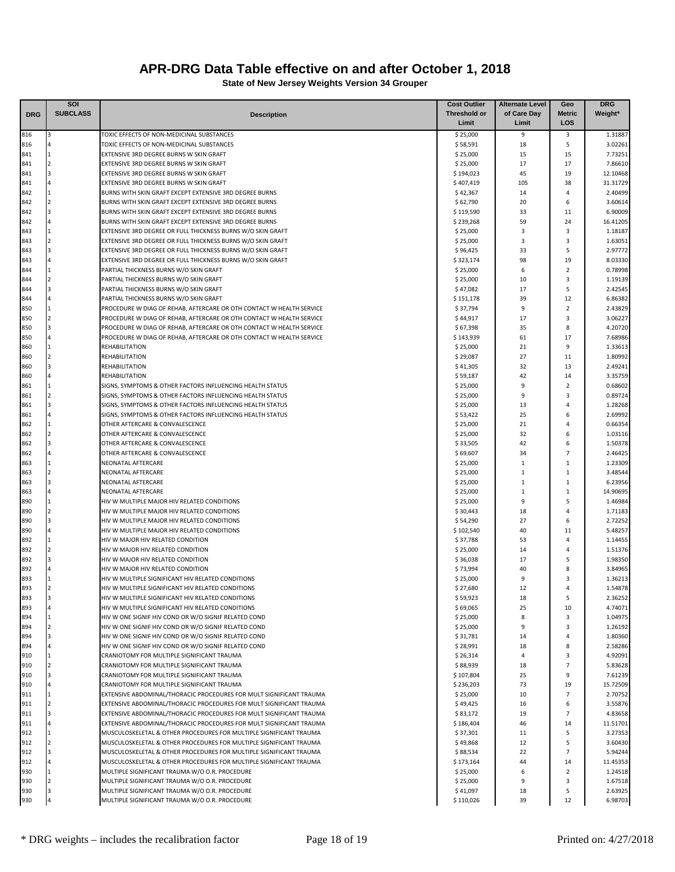|            | SOI                     |                                                                                                                                              | <b>Cost Outlier</b>   | <b>Alternate Level</b> | Geo                 | <b>DRG</b>          |
|------------|-------------------------|----------------------------------------------------------------------------------------------------------------------------------------------|-----------------------|------------------------|---------------------|---------------------|
| <b>DRG</b> | <b>SUBCLASS</b>         | <b>Description</b>                                                                                                                           | <b>Threshold or</b>   | of Care Day            | <b>Metric</b>       | Weight*             |
|            |                         |                                                                                                                                              | Limit                 | Limit                  | LOS                 |                     |
| 816        | 3                       | TOXIC EFFECTS OF NON-MEDICINAL SUBSTANCES                                                                                                    | \$25,000              | 9                      | 3                   | 1.31887             |
| 816        |                         | TOXIC EFFECTS OF NON-MEDICINAL SUBSTANCES                                                                                                    | \$58,591              | 18                     | 5                   | 3.02261             |
| 841        | $\overline{2}$          | EXTENSIVE 3RD DEGREE BURNS W SKIN GRAFT                                                                                                      | \$25,000              | 15                     | 15                  | 7.73251             |
| 841<br>841 | $\overline{\mathbf{3}}$ | EXTENSIVE 3RD DEGREE BURNS W SKIN GRAFT<br>EXTENSIVE 3RD DEGREE BURNS W SKIN GRAFT                                                           | \$25,000<br>\$194,023 | 17<br>45               | 17<br>19            | 7.86610<br>12.10468 |
| 841        |                         | EXTENSIVE 3RD DEGREE BURNS W SKIN GRAFT                                                                                                      | \$407,419             | 105                    | 38                  | 31.31729            |
| 842        |                         | BURNS WITH SKIN GRAFT EXCEPT EXTENSIVE 3RD DEGREE BURNS                                                                                      | \$42,367              | 14                     | 4                   | 2.40499             |
| 842        | $\overline{2}$          | BURNS WITH SKIN GRAFT EXCEPT EXTENSIVE 3RD DEGREE BURNS                                                                                      | \$62,790              | 20                     | 6                   | 3.60614             |
| 842        |                         | BURNS WITH SKIN GRAFT EXCEPT EXTENSIVE 3RD DEGREE BURNS                                                                                      | \$119,590             | 33                     | 11                  | 6.90009             |
| 842        |                         | BURNS WITH SKIN GRAFT EXCEPT EXTENSIVE 3RD DEGREE BURNS                                                                                      | \$239,268             | 59                     | 24                  | 16.41205            |
| 843        |                         | EXTENSIVE 3RD DEGREE OR FULL THICKNESS BURNS W/O SKIN GRAFT                                                                                  | \$25,000              | 3                      | 3                   | 1.18187             |
| 843        |                         | EXTENSIVE 3RD DEGREE OR FULL THICKNESS BURNS W/O SKIN GRAFT                                                                                  | \$25,000              | $\overline{3}$         | 3                   | 1.63051             |
| 843        |                         | EXTENSIVE 3RD DEGREE OR FULL THICKNESS BURNS W/O SKIN GRAFT                                                                                  | \$96,425              | 33                     | 5                   | 2.97772             |
| 843        |                         | EXTENSIVE 3RD DEGREE OR FULL THICKNESS BURNS W/O SKIN GRAFT                                                                                  | \$323,174             | 98                     | 19                  | 8.03330             |
| 844        |                         | PARTIAL THICKNESS BURNS W/O SKIN GRAFT                                                                                                       | \$25,000              | 6                      | $\overline{2}$      | 0.78998             |
| 844        | $\overline{a}$          | PARTIAL THICKNESS BURNS W/O SKIN GRAFT                                                                                                       | \$25,000              | 10                     | 3                   | 1.19139             |
| 844        |                         | PARTIAL THICKNESS BURNS W/O SKIN GRAFT                                                                                                       | \$47,082              | 17                     | 5                   | 2.42545             |
| 844        |                         | PARTIAL THICKNESS BURNS W/O SKIN GRAFT                                                                                                       | \$151,178             | 39                     | 12                  | 6.86382             |
| 850        | $\overline{2}$          | PROCEDURE W DIAG OF REHAB, AFTERCARE OR OTH CONTACT W HEALTH SERVICE                                                                         | \$37,794              | 9                      | $\overline{2}$<br>3 | 2.43829             |
| 850<br>850 |                         | PROCEDURE W DIAG OF REHAB, AFTERCARE OR OTH CONTACT W HEALTH SERVICE<br>PROCEDURE W DIAG OF REHAB, AFTERCARE OR OTH CONTACT W HEALTH SERVICE | \$44,917<br>\$67,398  | 17<br>35               | 8                   | 3.06227<br>4.20720  |
| 850        |                         | PROCEDURE W DIAG OF REHAB, AFTERCARE OR OTH CONTACT W HEALTH SERVICE                                                                         | \$143,939             | 61                     | 17                  | 7.68986             |
| 860        |                         | REHABILITATION                                                                                                                               | \$25,000              | 21                     | 9                   | 1.33613             |
| 860        | $\overline{2}$          | REHABILITATION                                                                                                                               | \$29,087              | 27                     | 11                  | 1.80992             |
| 860        |                         | REHABILITATION                                                                                                                               | \$41,305              | 32                     | 13                  | 2.49241             |
| 860        |                         | REHABILITATION                                                                                                                               | \$59,187              | 42                     | 14                  | 3.35759             |
| 861        |                         | SIGNS, SYMPTOMS & OTHER FACTORS INFLUENCING HEALTH STATUS                                                                                    | \$25,000              | 9                      | $\overline{2}$      | 0.68602             |
| 861        |                         | SIGNS, SYMPTOMS & OTHER FACTORS INFLUENCING HEALTH STATUS                                                                                    | \$25,000              | 9                      | 3                   | 0.89724             |
| 861        |                         | SIGNS, SYMPTOMS & OTHER FACTORS INFLUENCING HEALTH STATUS                                                                                    | \$25,000              | 13                     | 4                   | 1.28268             |
| 861        |                         | SIGNS, SYMPTOMS & OTHER FACTORS INFLUENCING HEALTH STATUS                                                                                    | \$53,422              | 25                     | 6                   | 2.69992             |
| 862        |                         | OTHER AFTERCARE & CONVALESCENCE                                                                                                              | \$25,000              | 21                     | 4                   | 0.66354             |
| 862        |                         | OTHER AFTERCARE & CONVALESCENCE                                                                                                              | \$25,000              | 32                     | 6                   | 1.03116             |
| 862        |                         | OTHER AFTERCARE & CONVALESCENCE                                                                                                              | \$33,505              | 42                     | 6                   | 1.50378             |
| 862        |                         | OTHER AFTERCARE & CONVALESCENCE                                                                                                              | \$69,607              | 34                     | $\overline{7}$      | 2.46425             |
| 863        |                         | NEONATAL AFTERCARE                                                                                                                           | \$25,000              | $\mathbf{1}$           | 1                   | 1.23309             |
| 863        |                         | NEONATAL AFTERCARE                                                                                                                           | \$25,000              | $\mathbf{1}$           | 1                   | 3.48544             |
| 863        | з                       | NEONATAL AFTERCARE                                                                                                                           | \$25,000              | $\mathbf{1}$           | 1                   | 6.23956             |
| 863        |                         | NEONATAL AFTERCARE                                                                                                                           | \$25,000              | $\mathbf{1}$           | 1                   | 14.90695            |
| 890        |                         | HIV W MULTIPLE MAJOR HIV RELATED CONDITIONS                                                                                                  | \$25,000              | 9                      | 5                   | 1.46984             |
| 890        |                         | HIV W MULTIPLE MAJOR HIV RELATED CONDITIONS                                                                                                  | \$30,443              | 18                     | 4                   | 1.71183             |
| 890        |                         | HIV W MULTIPLE MAJOR HIV RELATED CONDITIONS                                                                                                  | \$54,290              | 27                     | 6                   | 2.72252             |
| 890<br>892 |                         | HIV W MULTIPLE MAJOR HIV RELATED CONDITIONS<br>HIV W MAJOR HIV RELATED CONDITION                                                             | \$102,540<br>\$37,788 | 40<br>53               | 11<br>4             | 5.48257<br>1.14455  |
| 892        |                         | HIV W MAJOR HIV RELATED CONDITION                                                                                                            | \$25,000              | 14                     | 4                   | 1.51376             |
| 892        |                         | HIV W MAJOR HIV RELATED CONDITION                                                                                                            | \$36,038              | 17                     | 5                   | 1.98350             |
| 892        |                         | HIV W MAJOR HIV RELATED CONDITION                                                                                                            | \$73,994              | 40                     | 8                   | 3.84965             |
| 893        |                         | HIV W MULTIPLE SIGNIFICANT HIV RELATED CONDITIONS                                                                                            | \$25,000              | 9                      | 3                   | 1.36213             |
| 893        |                         | HIV W MULTIPLE SIGNIFICANT HIV RELATED CONDITIONS                                                                                            | \$27,680              | 12                     | 4                   | 1.54878             |
| 893        |                         | HIV W MULTIPLE SIGNIFICANT HIV RELATED CONDITIONS                                                                                            | \$59,923              | 18                     | 5                   | 2.36252             |
| 893        | 4                       | HIV W MULTIPLE SIGNIFICANT HIV RELATED CONDITIONS                                                                                            | \$69,065              | 25                     | 10                  | 4.74071             |
| 894        | 1                       | HIV W ONE SIGNIF HIV COND OR W/O SIGNIF RELATED COND                                                                                         | \$25,000              | 8                      | 3                   | 1.04975             |
| 894        | $\overline{2}$          | HIV W ONE SIGNIF HIV COND OR W/O SIGNIF RELATED COND                                                                                         | \$25,000              | 9                      | 3                   | 1.26192             |
| 894        | 3                       | HIV W ONE SIGNIF HIV COND OR W/O SIGNIF RELATED COND                                                                                         | \$31,781              | 14                     | 4                   | 1.80360             |
| 894        |                         | HIV W ONE SIGNIF HIV COND OR W/O SIGNIF RELATED COND                                                                                         | \$28,991              | 18                     | 8                   | 2.58286             |
| 910        |                         | CRANIOTOMY FOR MULTIPLE SIGNIFICANT TRAUMA                                                                                                   | \$26,314              | $\overline{4}$         | 3                   | 4.92091             |
| 910        | $\overline{2}$          | CRANIOTOMY FOR MULTIPLE SIGNIFICANT TRAUMA                                                                                                   | \$88,939              | 18                     | $\overline{7}$      | 5.83628             |
| 910        | 3                       | CRANIOTOMY FOR MULTIPLE SIGNIFICANT TRAUMA                                                                                                   | \$107,804             | 25                     | 9                   | 7.61239             |
| 910        |                         | CRANIOTOMY FOR MULTIPLE SIGNIFICANT TRAUMA                                                                                                   | \$236,203             | 73                     | 19                  | 15.72509            |
| 911        | $\mathbf{1}$            | EXTENSIVE ABDOMINAL/THORACIC PROCEDURES FOR MULT SIGNIFICANT TRAUMA                                                                          | \$25,000              | 10                     | $\overline{7}$      | 2.70752             |
| 911        | $\overline{2}$          | EXTENSIVE ABDOMINAL/THORACIC PROCEDURES FOR MULT SIGNIFICANT TRAUMA                                                                          | \$49,425              | 16                     | 6                   | 3.55876             |
| 911        | 3                       | EXTENSIVE ABDOMINAL/THORACIC PROCEDURES FOR MULT SIGNIFICANT TRAUMA                                                                          | \$83,172              | 19                     | $\overline{7}$      | 4.83658             |
| 911        | 4                       | EXTENSIVE ABDOMINAL/THORACIC PROCEDURES FOR MULT SIGNIFICANT TRAUMA                                                                          | \$186,404             | 46                     | 14                  | 11.51701            |
| 912<br>912 | $\overline{a}$          | MUSCULOSKELETAL & OTHER PROCEDURES FOR MULTIPLE SIGNIFICANT TRAUMA                                                                           | \$37,301              | 11<br>12               | 5<br>5              | 3.27353<br>3.60430  |
| 912        | 3                       | MUSCULOSKELETAL & OTHER PROCEDURES FOR MULTIPLE SIGNIFICANT TRAUMA<br>MUSCULOSKELETAL & OTHER PROCEDURES FOR MULTIPLE SIGNIFICANT TRAUMA     | \$49,868<br>\$88,534  | 22                     | $\overline{7}$      | 5.94244             |
| 912        |                         | MUSCULOSKELETAL & OTHER PROCEDURES FOR MULTIPLE SIGNIFICANT TRAUMA                                                                           | \$173,164             | 44                     | 14                  | 11.45353            |
| 930        |                         | MULTIPLE SIGNIFICANT TRAUMA W/O O.R. PROCEDURE                                                                                               | \$25,000              | 6                      | $\overline{2}$      | 1.24518             |
| 930        | $\overline{2}$          | MULTIPLE SIGNIFICANT TRAUMA W/O O.R. PROCEDURE                                                                                               | \$25,000              | 9                      | 3                   | 1.67518             |
| 930        | 3                       | MULTIPLE SIGNIFICANT TRAUMA W/O O.R. PROCEDURE                                                                                               | \$41,097              | 18                     | 5                   | 2.63925             |
| 930        |                         | MULTIPLE SIGNIFICANT TRAUMA W/O O.R. PROCEDURE                                                                                               | \$110,026             | 39                     | 12                  | 6.98703             |